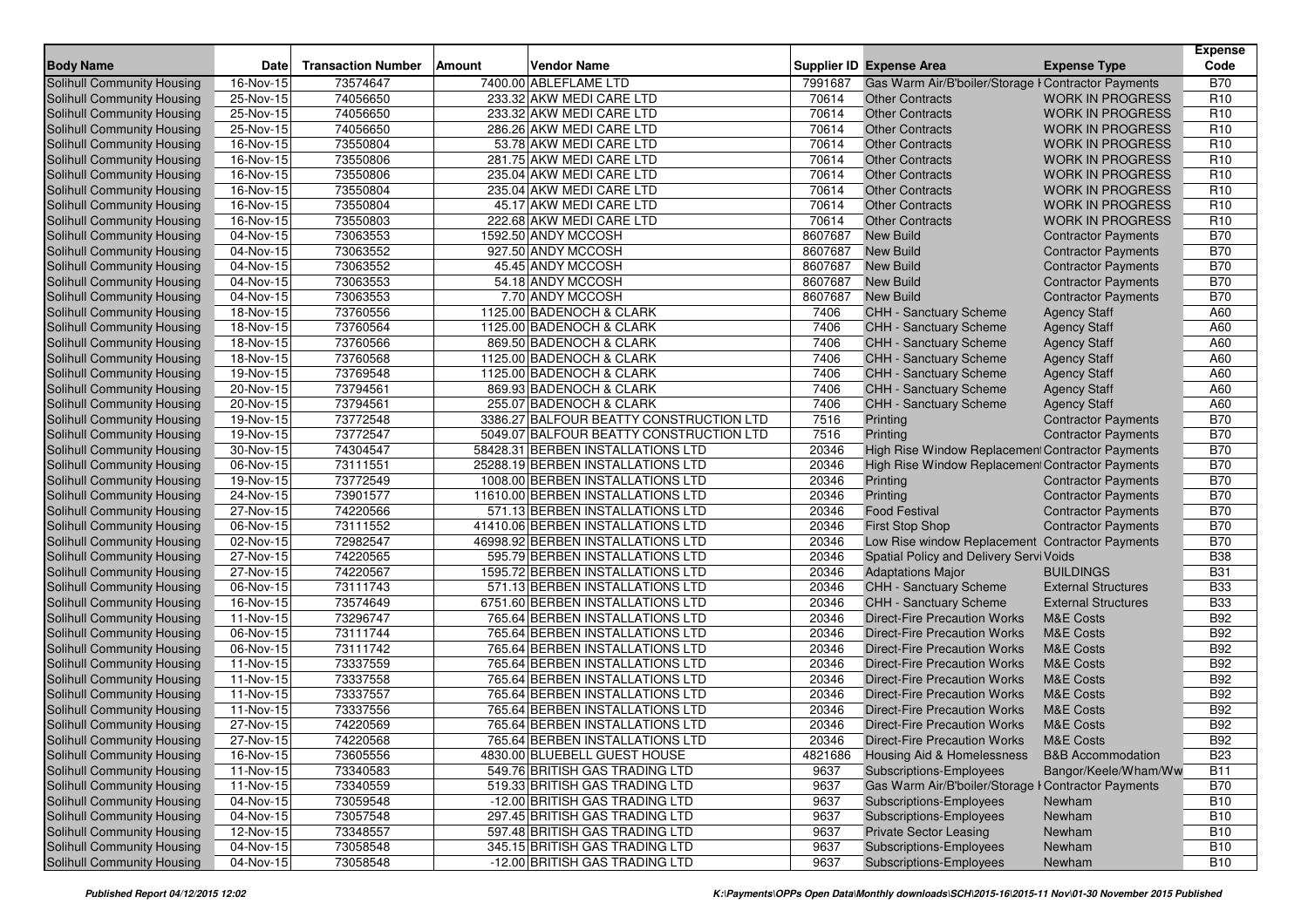| <b>Body Name</b>                                         | <b>Date</b>             | <b>Transaction Number</b> | <b>Amount</b> | <b>Vendor Name</b>                                               |              | Supplier ID Expense Area                                 | <b>Expense Type</b>          | Expense<br>Code          |
|----------------------------------------------------------|-------------------------|---------------------------|---------------|------------------------------------------------------------------|--------------|----------------------------------------------------------|------------------------------|--------------------------|
| <b>Solihull Community Housing</b>                        | $\overline{16}$ -Nov-15 | 73574647                  |               | 7400.00 ABLEFLAME LTD                                            | 7991687      | Gas Warm Air/B'boiler/Storage I Contractor Payments      |                              | <b>B70</b>               |
| Solihull Community Housing                               | 25-Nov-15               | 74056650                  |               | 233.32 AKW MEDI CARE LTD                                         | 70614        | <b>Other Contracts</b>                                   | <b>WORK IN PROGRESS</b>      | R <sub>10</sub>          |
| Solihull Community Housing                               | 25-Nov-15               | 74056650                  |               | 233.32 AKW MEDI CARE LTD                                         | 70614        | <b>Other Contracts</b>                                   | <b>WORK IN PROGRESS</b>      | R <sub>10</sub>          |
| Solihull Community Housing                               | 25-Nov-15               | 74056650                  |               | 286.26 AKW MEDI CARE LTD                                         | 70614        | <b>Other Contracts</b>                                   | <b>WORK IN PROGRESS</b>      | R <sub>10</sub>          |
| Solihull Community Housing                               | 16-Nov-15               | 73550804                  |               | 53.78 AKW MEDI CARE LTD                                          | 70614        | <b>Other Contracts</b>                                   | <b>WORK IN PROGRESS</b>      | R <sub>10</sub>          |
| <b>Solihull Community Housing</b>                        | 16-Nov-15               | 73550806                  |               | 281.75 AKW MEDI CARE LTD                                         | 70614        | <b>Other Contracts</b>                                   | <b>WORK IN PROGRESS</b>      | R <sub>10</sub>          |
| Solihull Community Housing                               | 16-Nov-15               | 73550806                  |               | 235.04 AKW MEDI CARE LTD                                         | 70614        | <b>Other Contracts</b>                                   | <b>WORK IN PROGRESS</b>      | R <sub>10</sub>          |
| Solihull Community Housing                               | 16-Nov-15               | 73550804                  |               | 235.04 AKW MEDI CARE LTD                                         | 70614        | <b>Other Contracts</b>                                   | <b>WORK IN PROGRESS</b>      | R <sub>10</sub>          |
| Solihull Community Housing                               | 16-Nov-15               | 73550804                  |               | 45.17 AKW MEDI CARE LTD                                          | 70614        | <b>Other Contracts</b>                                   | <b>WORK IN PROGRESS</b>      | R <sub>10</sub>          |
| Solihull Community Housing                               | 16-Nov-15               | 73550803                  |               | 222.68 AKW MEDI CARE LTD                                         | 70614        | <b>Other Contracts</b>                                   | <b>WORK IN PROGRESS</b>      | R <sub>10</sub>          |
| Solihull Community Housing                               | $\overline{04}$ -Nov-15 | 73063553                  |               | 1592.50 ANDY MCCOSH                                              | 8607687      | <b>New Build</b>                                         | <b>Contractor Payments</b>   | <b>B70</b>               |
| Solihull Community Housing                               | 04-Nov-15               | 73063552                  |               | 927.50 ANDY MCCOSH                                               | 8607687      | <b>New Build</b>                                         | <b>Contractor Payments</b>   | <b>B70</b>               |
| Solihull Community Housing                               | 04-Nov-15               | 73063552                  |               | 45.45 ANDY MCCOSH                                                | 8607687      | <b>New Build</b>                                         | <b>Contractor Payments</b>   | <b>B70</b>               |
| Solihull Community Housing                               | 04-Nov-15               | 73063553                  |               | 54.18 ANDY MCCOSH                                                | 8607687      | <b>New Build</b>                                         | <b>Contractor Payments</b>   | <b>B70</b>               |
| Solihull Community Housing                               | 04-Nov-15               | 73063553                  |               | 7.70 ANDY MCCOSH                                                 | 8607687      | <b>New Build</b>                                         | <b>Contractor Payments</b>   | <b>B70</b>               |
| Solihull Community Housing                               | 18-Nov-15               | 73760556                  |               | 1125.00 BADENOCH & CLARK                                         | 7406         | <b>CHH - Sanctuary Scheme</b>                            | <b>Agency Staff</b>          | A60                      |
| Solihull Community Housing                               | 18-Nov-15               | 73760564                  |               | 1125.00 BADENOCH & CLARK                                         | 7406         | <b>CHH - Sanctuary Scheme</b>                            | <b>Agency Staff</b>          | A60                      |
| Solihull Community Housing                               | 18-Nov-15               | 73760566                  |               | 869.50 BADENOCH & CLARK                                          | 7406         | <b>CHH - Sanctuary Scheme</b>                            | <b>Agency Staff</b>          | A60                      |
| Solihull Community Housing                               | 18-Nov-15               | 73760568                  |               | 1125.00 BADENOCH & CLARK                                         | 7406         | CHH - Sanctuary Scheme                                   | <b>Agency Staff</b>          | A60                      |
| Solihull Community Housing                               | 19-Nov-15               | 73769548                  |               | 1125.00 BADENOCH & CLARK                                         | 7406         | <b>CHH - Sanctuary Scheme</b>                            | <b>Agency Staff</b>          | A60                      |
| Solihull Community Housing                               | 20-Nov-15               | 73794561                  |               | 869.93 BADENOCH & CLARK                                          | 7406         | <b>CHH - Sanctuary Scheme</b>                            | <b>Agency Staff</b>          | A60                      |
| Solihull Community Housing                               | 20-Nov-15               | 73794561                  |               | 255.07 BADENOCH & CLARK                                          | 7406         | <b>CHH - Sanctuary Scheme</b>                            | <b>Agency Staff</b>          | A60                      |
| Solihull Community Housing                               | 19-Nov-15               | 73772548                  |               | 3386.27 BALFOUR BEATTY CONSTRUCTION LTD                          | 7516         | Printing                                                 | <b>Contractor Payments</b>   | <b>B70</b>               |
| Solihull Community Housing                               | 19-Nov-15               | 73772547                  |               | 5049.07 BALFOUR BEATTY CONSTRUCTION LTD                          | 7516         | Printing                                                 | <b>Contractor Payments</b>   | <b>B70</b>               |
| Solihull Community Housing                               | 30-Nov-15               | 74304547                  |               | 58428.31 BERBEN INSTALLATIONS LTD                                | 20346        | High Rise Window Replacement Contractor Payments         |                              | <b>B70</b>               |
| Solihull Community Housing                               | 06-Nov-15               | 73111551                  |               | 25288.19 BERBEN INSTALLATIONS LTD                                | 20346        | High Rise Window Replacement Contractor Payments         |                              | <b>B70</b>               |
| Solihull Community Housing                               | 19-Nov-15               | 73772549                  |               | 1008.00 BERBEN INSTALLATIONS LTD                                 | 20346        | Printing                                                 | <b>Contractor Payments</b>   | <b>B70</b>               |
| Solihull Community Housing                               | 24-Nov-15               | 73901577                  |               | 11610.00 BERBEN INSTALLATIONS LTD                                | 20346        | Printing                                                 | <b>Contractor Payments</b>   | <b>B70</b>               |
| Solihull Community Housing                               | 27-Nov-15               | 74220566                  |               | 571.13 BERBEN INSTALLATIONS LTD                                  | 20346        | <b>Food Festival</b>                                     | <b>Contractor Payments</b>   | <b>B70</b>               |
| Solihull Community Housing                               | 06-Nov-15               | 73111552                  |               | 41410.06 BERBEN INSTALLATIONS LTD                                | 20346        | <b>First Stop Shop</b>                                   | <b>Contractor Payments</b>   | <b>B70</b>               |
| Solihull Community Housing                               | 02-Nov-15               | 72982547                  |               | 46998.92 BERBEN INSTALLATIONS LTD                                | 20346        | Low Rise window Replacement Contractor Payments          |                              | <b>B70</b>               |
| Solihull Community Housing                               | 27-Nov-15               | 74220565                  |               | 595.79 BERBEN INSTALLATIONS LTD                                  | 20346        | <b>Spatial Policy and Delivery Servi Voids</b>           |                              | <b>B38</b>               |
| Solihull Community Housing                               | 27-Nov-15               | 74220567                  |               | 1595.72 BERBEN INSTALLATIONS LTD                                 | 20346        | <b>Adaptations Major</b>                                 | <b>BUILDINGS</b>             | <b>B31</b>               |
| Solihull Community Housing                               | 06-Nov-15               | 73111743                  |               | 571.13 BERBEN INSTALLATIONS LTD                                  | 20346        | <b>CHH - Sanctuary Scheme</b>                            | <b>External Structures</b>   | <b>B33</b>               |
| Solihull Community Housing                               | 16-Nov-15               | 73574649                  |               | 6751.60 BERBEN INSTALLATIONS LTD                                 | 20346        | <b>CHH - Sanctuary Scheme</b>                            | <b>External Structures</b>   | <b>B33</b>               |
| <b>Solihull Community Housing</b>                        | $\overline{11}$ -Nov-15 | 73296747                  |               | 765.64 BERBEN INSTALLATIONS LTD                                  | 20346        | <b>Direct-Fire Precaution Works</b>                      | <b>M&amp;E Costs</b>         | <b>B92</b>               |
| Solihull Community Housing                               | 06-Nov-15               | 73111744                  |               | 765.64 BERBEN INSTALLATIONS LTD                                  | 20346        | <b>Direct-Fire Precaution Works</b>                      | <b>M&amp;E Costs</b>         | <b>B92</b>               |
| Solihull Community Housing                               | 06-Nov-15               | 73111742                  |               | 765.64 BERBEN INSTALLATIONS LTD                                  | 20346        | <b>Direct-Fire Precaution Works</b>                      | <b>M&amp;E Costs</b>         | <b>B92</b>               |
| Solihull Community Housing                               | 11-Nov-15               | 73337559                  |               | 765.64 BERBEN INSTALLATIONS LTD                                  | 20346        | <b>Direct-Fire Precaution Works</b>                      | <b>M&amp;E Costs</b>         | <b>B92</b>               |
| Solihull Community Housing                               | 11-Nov-15               | 73337558                  |               | 765.64 BERBEN INSTALLATIONS LTD                                  | 20346        | <b>Direct-Fire Precaution Works</b>                      | <b>M&amp;E Costs</b>         | <b>B92</b>               |
| Solihull Community Housing                               | 11-Nov-15               | 73337557                  |               | 765.64 BERBEN INSTALLATIONS LTD                                  | 20346        | <b>Direct-Fire Precaution Works</b>                      | <b>M&amp;E Costs</b>         | <b>B92</b>               |
| Solihull Community Housing                               | 11-Nov-15               | 73337556                  |               | 765.64 BERBEN INSTALLATIONS LTD                                  | 20346        | <b>Direct-Fire Precaution Works</b>                      | <b>M&amp;E Costs</b>         | <b>B92</b>               |
| Solihull Community Housing                               | 27-Nov-15               | 74220569                  |               | 765.64 BERBEN INSTALLATIONS LTD                                  | 20346        | <b>Direct-Fire Precaution Works</b>                      | <b>M&amp;E Costs</b>         | <b>B92</b>               |
| Solihull Community Housing                               | 27-Nov-15               | 74220568                  |               | 765.64 BERBEN INSTALLATIONS LTD                                  | 20346        | <b>Direct-Fire Precaution Works</b>                      | M&E Costs                    | <b>B92</b>               |
| Solihull Community Housing                               | 16-Nov-15               | 73605556                  |               | 4830.00 BLUEBELL GUEST HOUSE                                     | 4821686      | <b>Housing Aid &amp; Homelessness</b>                    | <b>B&amp;B Accommodation</b> | <b>B23</b>               |
| Solihull Community Housing                               | 11-Nov-15               | 73340583                  |               | 549.76 BRITISH GAS TRADING LTD                                   | 9637         | Subscriptions-Employees                                  | Bangor/Keele/Wham/Ww         | <b>B11</b>               |
| Solihull Community Housing                               | 11-Nov-15               | 73340559                  |               | 519.33 BRITISH GAS TRADING LTD                                   | 9637         | Gas Warm Air/B'boiler/Storage I Contractor Payments      |                              | <b>B70</b>               |
| Solihull Community Housing                               | 04-Nov-15               | 73059548                  |               | -12.00 BRITISH GAS TRADING LTD                                   | 9637         | <b>Subscriptions-Employees</b>                           | Newham                       | <b>B10</b>               |
| Solihull Community Housing                               | 04-Nov-15               | 73057548                  |               | 297.45 BRITISH GAS TRADING LTD                                   | 9637         | <b>Subscriptions-Employees</b>                           | Newham                       | <b>B10</b>               |
| Solihull Community Housing<br>Solihull Community Housing | 12-Nov-15               | 73348557<br>73058548      |               | 597.48 BRITISH GAS TRADING LTD<br>345.15 BRITISH GAS TRADING LTD | 9637<br>9637 | <b>Private Sector Leasing</b><br>Subscriptions-Employees | Newham                       | <b>B10</b><br><b>B10</b> |
| <b>Solihull Community Housing</b>                        | 04-Nov-15<br>04-Nov-15  | 73058548                  |               | -12.00 BRITISH GAS TRADING LTD                                   | 9637         | <b>Subscriptions-Employees</b>                           | Newham<br>Newham             | <b>B10</b>               |
|                                                          |                         |                           |               |                                                                  |              |                                                          |                              |                          |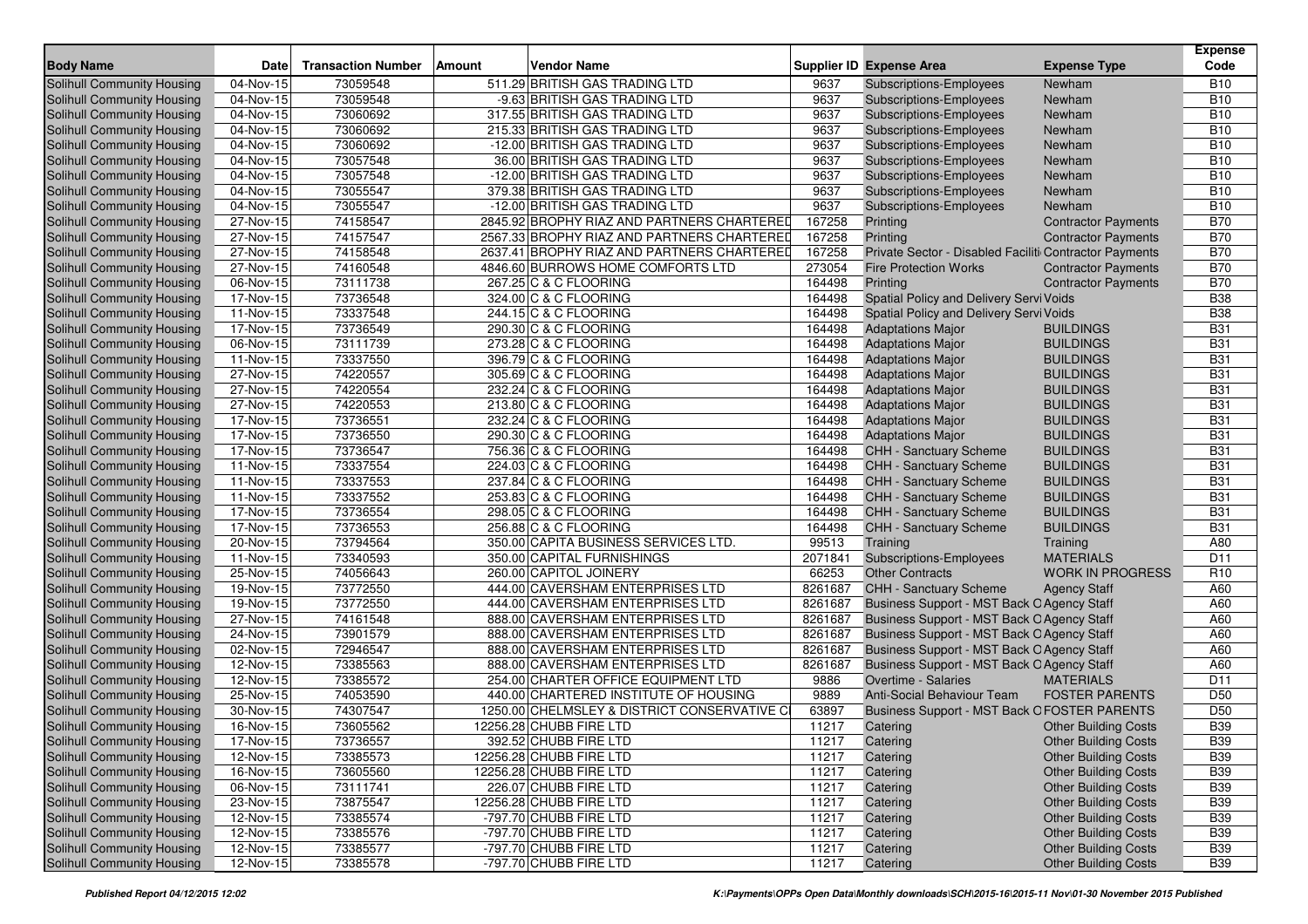|                                   |                         |                           |        |                                             |         |                                                        |                             | <b>Expense</b>  |
|-----------------------------------|-------------------------|---------------------------|--------|---------------------------------------------|---------|--------------------------------------------------------|-----------------------------|-----------------|
| <b>Body Name</b>                  | <b>Date</b>             | <b>Transaction Number</b> | Amount | <b>Vendor Name</b>                          |         | <b>Supplier ID Expense Area</b>                        | <b>Expense Type</b>         | Code            |
| <b>Solihull Community Housing</b> | 04-Nov-15               | 73059548                  |        | 511.29 BRITISH GAS TRADING LTD              | 9637    | <b>Subscriptions-Employees</b>                         | Newham                      | <b>B10</b>      |
| Solihull Community Housing        | 04-Nov-15               | 73059548                  |        | -9.63 BRITISH GAS TRADING LTD               | 9637    | <b>Subscriptions-Employees</b>                         | Newham                      | <b>B10</b>      |
| Solihull Community Housing        | $\overline{04}$ -Nov-15 | 73060692                  |        | 317.55 BRITISH GAS TRADING LTD              | 9637    | Subscriptions-Employees                                | Newham                      | <b>B10</b>      |
| Solihull Community Housing        | 04-Nov-15               | 73060692                  |        | 215.33 BRITISH GAS TRADING LTD              | 9637    | <b>Subscriptions-Employees</b>                         | Newham                      | <b>B10</b>      |
| Solihull Community Housing        | 04-Nov-15               | 73060692                  |        | -12.00 BRITISH GAS TRADING LTD              | 9637    | <b>Subscriptions-Employees</b>                         | Newham                      | <b>B10</b>      |
| Solihull Community Housing        | 04-Nov-15               | 73057548                  |        | 36.00 BRITISH GAS TRADING LTD               | 9637    | <b>Subscriptions-Employees</b>                         | Newham                      | <b>B10</b>      |
| Solihull Community Housing        | 04-Nov-15               | 73057548                  |        | -12.00 BRITISH GAS TRADING LTD              | 9637    | Subscriptions-Employees                                | Newham                      | <b>B10</b>      |
| Solihull Community Housing        | 04-Nov-15               | 73055547                  |        | 379.38 BRITISH GAS TRADING LTD              | 9637    | Subscriptions-Employees                                | Newham                      | <b>B10</b>      |
| Solihull Community Housing        | 04-Nov-15               | 73055547                  |        | -12.00 BRITISH GAS TRADING LTD              | 9637    | <b>Subscriptions-Employees</b>                         | Newham                      | <b>B10</b>      |
| <b>Solihull Community Housing</b> | 27-Nov-15               | 74158547                  |        | 2845.92 BROPHY RIAZ AND PARTNERS CHARTERED  | 167258  | Printing                                               | <b>Contractor Payments</b>  | <b>B70</b>      |
| Solihull Community Housing        | 27-Nov-15               | 74157547                  |        | 2567.33 BROPHY RIAZ AND PARTNERS CHARTERED  | 167258  | Printing                                               | <b>Contractor Payments</b>  | <b>B70</b>      |
| <b>Solihull Community Housing</b> | 27-Nov-15               | 74158548                  |        | 2637.41 BROPHY RIAZ AND PARTNERS CHARTERED  | 167258  | Private Sector - Disabled Faciliti Contractor Payments |                             | <b>B70</b>      |
| Solihull Community Housing        | 27-Nov-15               | 74160548                  |        | 4846.60 BURROWS HOME COMFORTS LTD           | 273054  | <b>Fire Protection Works</b>                           | <b>Contractor Payments</b>  | <b>B70</b>      |
| Solihull Community Housing        | 06-Nov-15               | 73111738                  |        | 267.25 C & C FLOORING                       | 164498  | Printing                                               | <b>Contractor Payments</b>  | <b>B70</b>      |
| Solihull Community Housing        | 17-Nov-15               | 73736548                  |        | 324.00 C & C FLOORING                       | 164498  | Spatial Policy and Delivery Servi Voids                |                             | <b>B38</b>      |
| Solihull Community Housing        | 11-Nov-15               | 73337548                  |        | 244.15 C & C FLOORING                       | 164498  | Spatial Policy and Delivery Servi Voids                |                             | <b>B38</b>      |
| Solihull Community Housing        | 17-Nov-15               | 73736549                  |        | 290.30 C & C FLOORING                       | 164498  | <b>Adaptations Major</b>                               | <b>BUILDINGS</b>            | <b>B31</b>      |
| Solihull Community Housing        | 06-Nov-15               | 73111739                  |        | 273.28 C & C FLOORING                       | 164498  | <b>Adaptations Major</b>                               | <b>BUILDINGS</b>            | <b>B31</b>      |
| Solihull Community Housing        | 11-Nov-15               | 73337550                  |        | 396.79 C & C FLOORING                       | 164498  | <b>Adaptations Major</b>                               | <b>BUILDINGS</b>            | <b>B31</b>      |
| Solihull Community Housing        | 27-Nov-15               | 74220557                  |        | 305.69 C & C FLOORING                       | 164498  | <b>Adaptations Major</b>                               | <b>BUILDINGS</b>            | <b>B31</b>      |
| Solihull Community Housing        | $\overline{27}$ -Nov-15 | 74220554                  |        | 232.24 C & C FLOORING                       | 164498  | <b>Adaptations Major</b>                               | <b>BUILDINGS</b>            | <b>B31</b>      |
| Solihull Community Housing        | 27-Nov-15               | 74220553                  |        | 213.80 C & C FLOORING                       | 164498  | <b>Adaptations Major</b>                               | <b>BUILDINGS</b>            | <b>B31</b>      |
| Solihull Community Housing        | 17-Nov-15               | 73736551                  |        | 232.24 C & C FLOORING                       | 164498  | <b>Adaptations Major</b>                               | <b>BUILDINGS</b>            | <b>B31</b>      |
| Solihull Community Housing        | 17-Nov-15               | 73736550                  |        | 290.30 C & C FLOORING                       | 164498  | <b>Adaptations Major</b>                               | <b>BUILDINGS</b>            | <b>B31</b>      |
| Solihull Community Housing        | 17-Nov-15               | 73736547                  |        | 756.36 C & C FLOORING                       | 164498  | <b>CHH - Sanctuary Scheme</b>                          | <b>BUILDINGS</b>            | <b>B31</b>      |
| Solihull Community Housing        | 11-Nov-15               | 73337554                  |        | 224.03 C & C FLOORING                       | 164498  | CHH - Sanctuary Scheme                                 | <b>BUILDINGS</b>            | <b>B31</b>      |
| Solihull Community Housing        | 11-Nov-15               | 73337553                  |        | 237.84 C & C FLOORING                       | 164498  | <b>CHH - Sanctuary Scheme</b>                          | <b>BUILDINGS</b>            | <b>B31</b>      |
| Solihull Community Housing        | $11-Nov-15$             | 73337552                  |        | 253.83 C & C FLOORING                       | 164498  | <b>CHH - Sanctuary Scheme</b>                          | <b>BUILDINGS</b>            | <b>B31</b>      |
| Solihull Community Housing        | 17-Nov-15               | 73736554                  |        | 298.05 C & C FLOORING                       | 164498  | <b>CHH - Sanctuary Scheme</b>                          | <b>BUILDINGS</b>            | <b>B31</b>      |
| Solihull Community Housing        | 17-Nov-15               | 73736553                  |        | 256.88 C & C FLOORING                       | 164498  | CHH - Sanctuary Scheme                                 | <b>BUILDINGS</b>            | <b>B31</b>      |
| Solihull Community Housing        | 20-Nov-15               | 73794564                  |        | 350.00 CAPITA BUSINESS SERVICES LTD.        | 99513   | Training                                               | Training                    | A80             |
| Solihull Community Housing        | 11-Nov-15               | 73340593                  |        | 350.00 CAPITAL FURNISHINGS                  | 2071841 | Subscriptions-Employees                                | <b>MATERIALS</b>            | D <sub>11</sub> |
| Solihull Community Housing        | 25-Nov-15               | 74056643                  |        | 260.00 CAPITOL JOINERY                      | 66253   | <b>Other Contracts</b>                                 | <b>WORK IN PROGRESS</b>     | R <sub>10</sub> |
| Solihull Community Housing        | 19-Nov-15               | 73772550                  |        | 444.00 CAVERSHAM ENTERPRISES LTD            | 8261687 | <b>CHH - Sanctuary Scheme</b>                          | <b>Agency Staff</b>         | A60             |
| <b>Solihull Community Housing</b> | $\overline{19}$ -Nov-15 | 73772550                  |        | 444.00 CAVERSHAM ENTERPRISES LTD            | 8261687 | Business Support - MST Back O Agency Staff             |                             | A60             |
| Solihull Community Housing        | 27-Nov-15               | 74161548                  |        | 888.00 CAVERSHAM ENTERPRISES LTD            | 8261687 | Business Support - MST Back O Agency Staff             |                             | A60             |
| Solihull Community Housing        | 24-Nov-15               | 73901579                  |        | 888.00 CAVERSHAM ENTERPRISES LTD            | 8261687 | Business Support - MST Back O Agency Staff             |                             | A60             |
| Solihull Community Housing        | 02-Nov-15               | 72946547                  |        | 888.00 CAVERSHAM ENTERPRISES LTD            | 8261687 | Business Support - MST Back O Agency Staff             |                             | A60             |
| <b>Solihull Community Housing</b> | 12-Nov-15               | 73385563                  |        | 888.00 CAVERSHAM ENTERPRISES LTD            | 8261687 | Business Support - MST Back O Agency Staff             |                             | A60             |
| Solihull Community Housing        | 12-Nov-15               | 73385572                  |        | 254.00 CHARTER OFFICE EQUIPMENT LTD         | 9886    | Overtime - Salaries                                    | <b>MATERIALS</b>            | D11             |
| Solihull Community Housing        | 25-Nov-15               | 74053590                  |        | 440.00 CHARTERED INSTITUTE OF HOUSING       | 9889    | Anti-Social Behaviour Team                             | <b>FOSTER PARENTS</b>       | D <sub>50</sub> |
| Solihull Community Housing        | 30-Nov-15               | 74307547                  |        | 1250.00 CHELMSLEY & DISTRICT CONSERVATIVE C | 63897   | <b>Business Support - MST Back OFOSTER PARENTS</b>     |                             | D <sub>50</sub> |
| Solihull Community Housing        | 16-Nov-15               | 73605562                  |        | 12256.28 CHUBB FIRE LTD                     | 11217   | Catering                                               | <b>Other Building Costs</b> | <b>B39</b>      |
| <b>Solihull Community Housing</b> | 17-Nov-15               | 73736557                  |        | 392.52 CHUBB FIRE LTD                       | 11217   | Catering                                               | <b>Other Building Costs</b> | <b>B39</b>      |
| Solihull Community Housing        | 12-Nov-15               | 73385573                  |        | 12256.28 CHUBB FIRE LTD                     | 11217   | Catering                                               | <b>Other Building Costs</b> | <b>B39</b>      |
| Solihull Community Housing        | 16-Nov-15               | 73605560                  |        | 12256.28 CHUBB FIRE LTD                     | 11217   | Catering                                               | <b>Other Building Costs</b> | <b>B39</b>      |
| Solihull Community Housing        | 06-Nov-15               | 73111741                  |        | 226.07 CHUBB FIRE LTD                       | 11217   | Catering                                               | <b>Other Building Costs</b> | <b>B39</b>      |
| Solihull Community Housing        | 23-Nov-15               | 73875547                  |        | 12256.28 CHUBB FIRE LTD                     | 11217   | Catering                                               | <b>Other Building Costs</b> | <b>B39</b>      |
| Solihull Community Housing        | 12-Nov-15               | 73385574                  |        | -797.70 CHUBB FIRE LTD                      | 11217   | Catering                                               | <b>Other Building Costs</b> | <b>B39</b>      |
| Solihull Community Housing        | 12-Nov-15               | 73385576                  |        | -797.70 CHUBB FIRE LTD                      | 11217   | Catering                                               | <b>Other Building Costs</b> | <b>B39</b>      |
| Solihull Community Housing        | 12-Nov-15               | 73385577                  |        | -797.70 CHUBB FIRE LTD                      | 11217   | Catering                                               | <b>Other Building Costs</b> | <b>B39</b>      |
| Solihull Community Housing        | 12-Nov-15               | 73385578                  |        | -797.70 CHUBB FIRE LTD                      | 11217   | Catering                                               | <b>Other Building Costs</b> | <b>B39</b>      |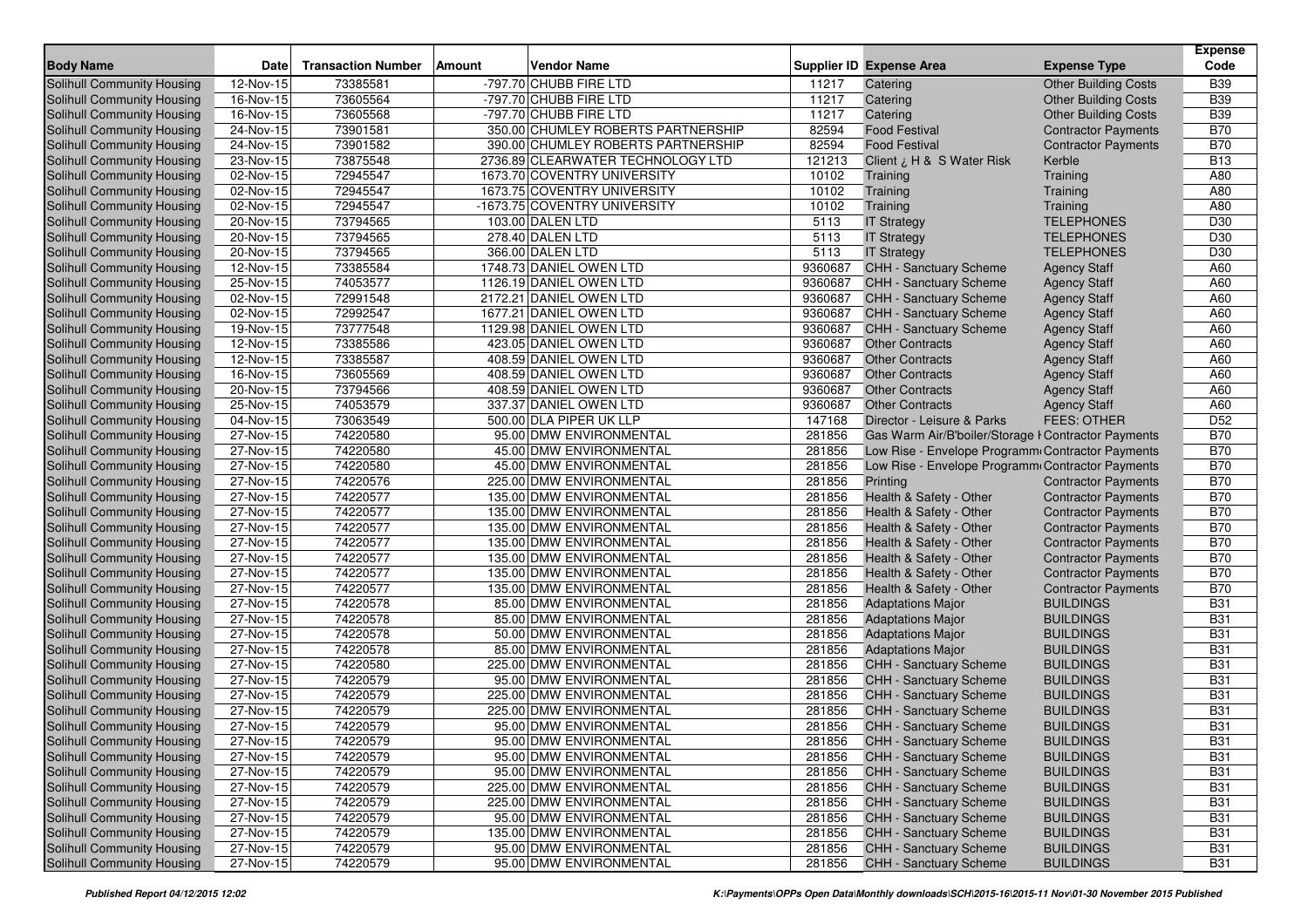|                                                          | <b>Date</b>             |                           |               |                                                                  |                  | <b>Supplier ID Expense Area</b>                      |                                      | <b>Expense</b><br>Code   |
|----------------------------------------------------------|-------------------------|---------------------------|---------------|------------------------------------------------------------------|------------------|------------------------------------------------------|--------------------------------------|--------------------------|
| <b>Body Name</b>                                         |                         | <b>Transaction Number</b> | <b>Amount</b> | <b>Vendor Name</b>                                               |                  |                                                      | <b>Expense Type</b>                  |                          |
| <b>Solihull Community Housing</b>                        | 12-Nov-15               | 73385581                  |               | -797.70 CHUBB FIRE LTD                                           | 11217            | Catering                                             | <b>Other Building Costs</b>          | <b>B39</b>               |
| Solihull Community Housing                               | 16-Nov-15               | 73605564                  |               | -797.70 CHUBB FIRE LTD                                           | 11217            | Catering                                             | <b>Other Building Costs</b>          | <b>B39</b>               |
| Solihull Community Housing                               | $\overline{16}$ -Nov-15 | 73605568                  |               | -797.70 CHUBB FIRE LTD                                           | 11217            | Catering                                             | <b>Other Building Costs</b>          | <b>B39</b>               |
| Solihull Community Housing                               | 24-Nov-15               | 73901581                  |               | 350.00 CHUMLEY ROBERTS PARTNERSHIP                               | 82594<br>82594   | <b>Food Festival</b>                                 | <b>Contractor Payments</b>           | <b>B70</b><br><b>B70</b> |
| Solihull Community Housing                               | 24-Nov-15               | 73901582                  |               | 390.00 CHUMLEY ROBERTS PARTNERSHIP                               |                  | <b>Food Festival</b>                                 | <b>Contractor Payments</b>           | <b>B13</b>               |
| Solihull Community Housing<br>Solihull Community Housing | 23-Nov-15<br>02-Nov-15  | 73875548<br>72945547      |               | 2736.89 CLEARWATER TECHNOLOGY LTD<br>1673.70 COVENTRY UNIVERSITY | 121213<br>10102  | Client ¿ H & S Water Risk<br>Training                | Kerble<br>Training                   | A80                      |
| Solihull Community Housing                               | 02-Nov-15               | 72945547                  |               | 1673.75 COVENTRY UNIVERSITY                                      | 10102            | Training                                             | Training                             | A80                      |
| Solihull Community Housing                               | 02-Nov-15               | 72945547                  |               | -1673.75 COVENTRY UNIVERSITY                                     | 10102            | Training                                             | Training                             | A80                      |
| Solihull Community Housing                               | 20-Nov-15               | 73794565                  |               | 103.00 DALEN LTD                                                 | 5113             | <b>IT Strategy</b>                                   | <b>TELEPHONES</b>                    | D30                      |
| Solihull Community Housing                               | 20-Nov-15               | 73794565                  |               | 278.40 DALEN LTD                                                 | 5113             | <b>IT Strategy</b>                                   | <b>TELEPHONES</b>                    | D30                      |
| Solihull Community Housing                               | 20-Nov-15               | 73794565                  |               | 366.00 DALEN LTD                                                 | 5113             | <b>IT Strategy</b>                                   | <b>TELEPHONES</b>                    | D30                      |
| Solihull Community Housing                               | 12-Nov-15               | 73385584                  |               | 1748.73 DANIEL OWEN LTD                                          | 9360687          | CHH - Sanctuary Scheme                               | <b>Agency Staff</b>                  | A60                      |
| Solihull Community Housing                               | 25-Nov-15               | 74053577                  |               | 1126.19 DANIEL OWEN LTD                                          | 9360687          | <b>CHH - Sanctuary Scheme</b>                        | <b>Agency Staff</b>                  | A60                      |
| Solihull Community Housing                               | 02-Nov-15               | 72991548                  |               | 2172.21 DANIEL OWEN LTD                                          | 9360687          | <b>CHH - Sanctuary Scheme</b>                        | <b>Agency Staff</b>                  | A60                      |
| Solihull Community Housing                               | 02-Nov-15               | 72992547                  |               | 1677.21 DANIEL OWEN LTD                                          | 9360687          | CHH - Sanctuary Scheme                               | <b>Agency Staff</b>                  | A60                      |
| Solihull Community Housing                               | 19-Nov-15               | 73777548                  |               | 1129.98 DANIEL OWEN LTD                                          | 9360687          | <b>CHH - Sanctuary Scheme</b>                        | <b>Agency Staff</b>                  | A60                      |
| Solihull Community Housing                               | 12-Nov-15               | 73385586                  |               | 423.05 DANIEL OWEN LTD                                           | 9360687          | <b>Other Contracts</b>                               | <b>Agency Staff</b>                  | A60                      |
| Solihull Community Housing                               | 12-Nov-15               | 73385587                  |               | 408.59 DANIEL OWEN LTD                                           | 9360687          | <b>Other Contracts</b>                               | <b>Agency Staff</b>                  | A60                      |
| Solihull Community Housing                               | 16-Nov-15               | 73605569                  |               | 408.59 DANIEL OWEN LTD                                           | 9360687          | <b>Other Contracts</b>                               | <b>Agency Staff</b>                  | A60                      |
| Solihull Community Housing                               | 20-Nov-15               | 73794566                  |               | 408.59 DANIEL OWEN LTD                                           | 9360687          | <b>Other Contracts</b>                               | <b>Agency Staff</b>                  | A60                      |
| Solihull Community Housing                               | 25-Nov-15               | 74053579                  |               | 337.37 DANIEL OWEN LTD                                           | 9360687          | <b>Other Contracts</b>                               | <b>Agency Staff</b>                  | A60                      |
| <b>Solihull Community Housing</b>                        | 04-Nov-15               | 73063549                  |               | 500.00 DLA PIPER UK LLP                                          | 147168           | Director - Leisure & Parks                           | <b>FEES: OTHER</b>                   | D <sub>52</sub>          |
| Solihull Community Housing                               | 27-Nov-15               | 74220580                  |               | 95.00 DMW ENVIRONMENTAL                                          | 281856           | Gas Warm Air/B'boiler/Storage I Contractor Payments  |                                      | <b>B70</b>               |
| Solihull Community Housing                               | 27-Nov-15               | 74220580                  |               | 45.00 DMW ENVIRONMENTAL                                          | 281856           | Low Rise - Envelope Programm Contractor Payments     |                                      | <b>B70</b>               |
| Solihull Community Housing                               | 27-Nov-15               | 74220580                  |               | 45.00 DMW ENVIRONMENTAL                                          | 281856           | Low Rise - Envelope Programm Contractor Payments     |                                      | <b>B70</b>               |
| Solihull Community Housing                               | 27-Nov-15               | 74220576                  |               | 225.00 DMW ENVIRONMENTAL                                         | 281856           | Printing                                             | <b>Contractor Payments</b>           | <b>B70</b>               |
| Solihull Community Housing                               | 27-Nov-15               | 74220577                  |               | 135.00 DMW ENVIRONMENTAL                                         | 281856           | Health & Safety - Other                              | <b>Contractor Payments</b>           | <b>B70</b>               |
| Solihull Community Housing                               | 27-Nov-15               | 74220577                  |               | 135.00 DMW ENVIRONMENTAL                                         | 281856           | Health & Safety - Other                              | <b>Contractor Payments</b>           | <b>B70</b>               |
| Solihull Community Housing                               | 27-Nov-15               | 74220577                  |               | 135.00 DMW ENVIRONMENTAL                                         | 281856           | Health & Safety - Other                              | <b>Contractor Payments</b>           | <b>B70</b>               |
| Solihull Community Housing                               | 27-Nov-15               | 74220577                  |               | 135.00 DMW ENVIRONMENTAL                                         | 281856           | Health & Safety - Other                              | <b>Contractor Payments</b>           | <b>B70</b>               |
| Solihull Community Housing                               | 27-Nov-15               | 74220577                  |               | 135.00 DMW ENVIRONMENTAL                                         | 281856           | Health & Safety - Other                              | <b>Contractor Payments</b>           | <b>B70</b>               |
| Solihull Community Housing                               | 27-Nov-15               | 74220577                  |               | 135.00 DMW ENVIRONMENTAL                                         | 281856           | Health & Safety - Other                              | <b>Contractor Payments</b>           | <b>B70</b>               |
| Solihull Community Housing                               | 27-Nov-15               | 74220577                  |               | 135.00 DMW ENVIRONMENTAL                                         | 281856           | Health & Safety - Other                              | <b>Contractor Payments</b>           | <b>B70</b>               |
| Solihull Community Housing                               | 27-Nov-15               | 74220578                  |               | 85.00 DMW ENVIRONMENTAL                                          | 281856           | <b>Adaptations Major</b>                             | <b>BUILDINGS</b>                     | <b>B31</b>               |
| Solihull Community Housing<br>Solihull Community Housing | 27-Nov-15               | 74220578                  |               | 85.00 DMW ENVIRONMENTAL                                          | 281856<br>281856 | <b>Adaptations Major</b>                             | <b>BUILDINGS</b><br><b>BUILDINGS</b> | <b>B31</b>               |
| Solihull Community Housing                               | 27-Nov-15<br>27-Nov-15  | 74220578<br>74220578      |               | 50.00 DMW ENVIRONMENTAL<br>85.00 DMW ENVIRONMENTAL               | 281856           | <b>Adaptations Major</b><br><b>Adaptations Major</b> | <b>BUILDINGS</b>                     | <b>B31</b><br><b>B31</b> |
| Solihull Community Housing                               | $27-Nov-15$             | 74220580                  |               | 225.00 DMW ENVIRONMENTAL                                         | 281856           | <b>CHH - Sanctuary Scheme</b>                        | <b>BUILDINGS</b>                     | <b>B31</b>               |
| Solihull Community Housing                               | 27-Nov-15               | 74220579                  |               | 95.00 DMW ENVIRONMENTAL                                          | 281856           | CHH - Sanctuary Scheme                               | <b>BUILDINGS</b>                     | <b>B31</b>               |
| Solihull Community Housing                               | 27-Nov-15               | 74220579                  |               | 225.00 DMW ENVIRONMENTAL                                         | 281856           | CHH - Sanctuary Scheme                               | <b>BUILDINGS</b>                     | <b>B31</b>               |
| Solihull Community Housing                               | 27-Nov-15               | 74220579                  |               | 225.00 DMW ENVIRONMENTAL                                         | 281856           | CHH - Sanctuary Scheme                               | <b>BUILDINGS</b>                     | <b>B31</b>               |
| Solihull Community Housing                               | 27-Nov-15               | 74220579                  |               | 95.00 DMW ENVIRONMENTAL                                          | 281856           | <b>CHH - Sanctuary Scheme</b>                        | <b>BUILDINGS</b>                     | <b>B31</b>               |
| <b>Solihull Community Housing</b>                        | 27-Nov-15               | 74220579                  |               | 95.00 DMW ENVIRONMENTAL                                          | 281856           | CHH - Sanctuary Scheme                               | <b>BUILDINGS</b>                     | <b>B31</b>               |
| Solihull Community Housing                               | 27-Nov-15               | 74220579                  |               | 95.00 DMW ENVIRONMENTAL                                          | 281856           | CHH - Sanctuary Scheme                               | <b>BUILDINGS</b>                     | <b>B31</b>               |
| Solihull Community Housing                               | 27-Nov-15               | 74220579                  |               | 95.00 DMW ENVIRONMENTAL                                          | 281856           | <b>CHH - Sanctuary Scheme</b>                        | <b>BUILDINGS</b>                     | <b>B31</b>               |
| Solihull Community Housing                               | 27-Nov-15               | 74220579                  |               | 225.00 DMW ENVIRONMENTAL                                         | 281856           | CHH - Sanctuary Scheme                               | <b>BUILDINGS</b>                     | <b>B31</b>               |
| Solihull Community Housing                               | 27-Nov-15               | 74220579                  |               | 225.00 DMW ENVIRONMENTAL                                         | 281856           | CHH - Sanctuary Scheme                               | <b>BUILDINGS</b>                     | <b>B31</b>               |
| Solihull Community Housing                               | 27-Nov-15               | 74220579                  |               | 95.00 DMW ENVIRONMENTAL                                          | 281856           | CHH - Sanctuary Scheme                               | <b>BUILDINGS</b>                     | <b>B31</b>               |
| Solihull Community Housing                               | 27-Nov-15               | 74220579                  |               | 135.00 DMW ENVIRONMENTAL                                         | 281856           | <b>CHH - Sanctuary Scheme</b>                        | <b>BUILDINGS</b>                     | <b>B31</b>               |
| <b>Solihull Community Housing</b>                        | 27-Nov-15               | 74220579                  |               | 95.00 DMW ENVIRONMENTAL                                          | 281856           | CHH - Sanctuary Scheme                               | <b>BUILDINGS</b>                     | <b>B31</b>               |
| Solihull Community Housing                               | 27-Nov-15               | 74220579                  |               | 95.00 DMW ENVIRONMENTAL                                          | 281856           | <b>CHH - Sanctuary Scheme</b>                        | <b>BUILDINGS</b>                     | <b>B31</b>               |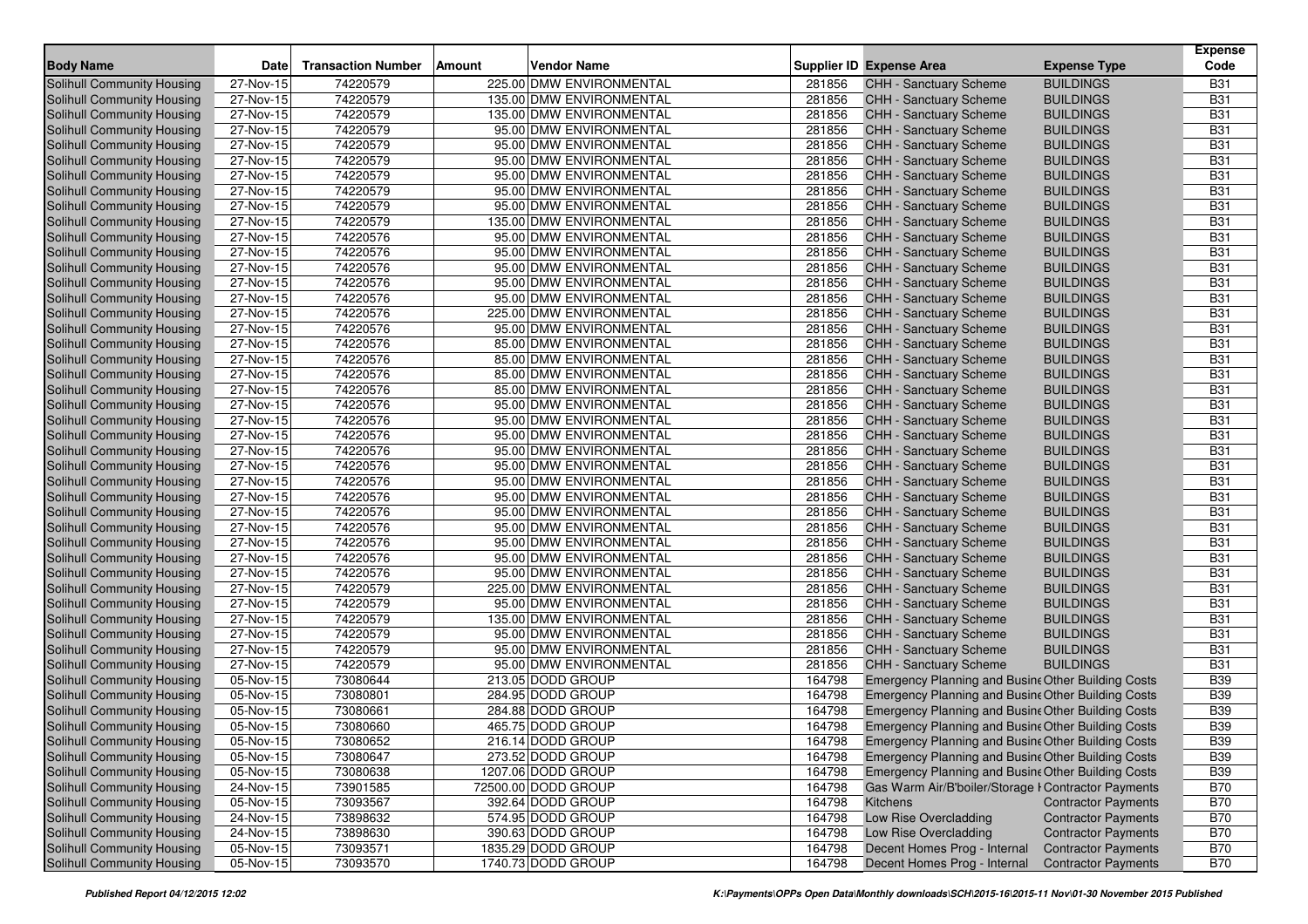| <b>Body Name</b>                  | <b>Date</b> | <b>Transaction Number</b> | Amount | <b>Vendor Name</b>       |        | <b>Supplier ID Expense Area</b>                     | <b>Expense Type</b>        | <b>Expense</b><br>Code |
|-----------------------------------|-------------|---------------------------|--------|--------------------------|--------|-----------------------------------------------------|----------------------------|------------------------|
| Solihull Community Housing        | 27-Nov-15   | 74220579                  |        | 225.00 DMW ENVIRONMENTAL | 281856 | CHH - Sanctuary Scheme                              | <b>BUILDINGS</b>           | <b>B31</b>             |
| <b>Solihull Community Housing</b> | 27-Nov-15   | 74220579                  |        | 135.00 DMW ENVIRONMENTAL | 281856 | <b>CHH - Sanctuary Scheme</b>                       | <b>BUILDINGS</b>           | <b>B31</b>             |
| <b>Solihull Community Housing</b> | 27-Nov-15   | 74220579                  |        | 135.00 DMW ENVIRONMENTAL | 281856 | <b>CHH - Sanctuary Scheme</b>                       | <b>BUILDINGS</b>           | <b>B31</b>             |
| Solihull Community Housing        | 27-Nov-15   | 74220579                  |        | 95.00 DMW ENVIRONMENTAL  | 281856 | CHH - Sanctuary Scheme                              | <b>BUILDINGS</b>           | <b>B31</b>             |
| Solihull Community Housing        | 27-Nov-15   | 74220579                  |        | 95.00 DMW ENVIRONMENTAL  | 281856 | CHH - Sanctuary Scheme                              | <b>BUILDINGS</b>           | <b>B31</b>             |
| Solihull Community Housing        | 27-Nov-15   | 74220579                  |        | 95.00 DMW ENVIRONMENTAL  | 281856 | <b>CHH - Sanctuary Scheme</b>                       | <b>BUILDINGS</b>           | <b>B31</b>             |
| Solihull Community Housing        | 27-Nov-15   | 74220579                  |        | 95.00 DMW ENVIRONMENTAL  | 281856 | CHH - Sanctuary Scheme                              | <b>BUILDINGS</b>           | <b>B31</b>             |
| Solihull Community Housing        | 27-Nov-15   | 74220579                  |        | 95.00 DMW ENVIRONMENTAL  | 281856 | CHH - Sanctuary Scheme                              | <b>BUILDINGS</b>           | <b>B31</b>             |
| Solihull Community Housing        | 27-Nov-15   | 74220579                  |        | 95.00 DMW ENVIRONMENTAL  | 281856 | CHH - Sanctuary Scheme                              | <b>BUILDINGS</b>           | <b>B31</b>             |
| Solihull Community Housing        | 27-Nov-15   | 74220579                  |        | 135.00 DMW ENVIRONMENTAL | 281856 | <b>CHH - Sanctuary Scheme</b>                       | <b>BUILDINGS</b>           | <b>B31</b>             |
| Solihull Community Housing        | 27-Nov-15   | 74220576                  |        | 95.00 DMW ENVIRONMENTAL  | 281856 | CHH - Sanctuary Scheme                              | <b>BUILDINGS</b>           | <b>B31</b>             |
| Solihull Community Housing        | 27-Nov-15   | 74220576                  |        | 95.00 DMW ENVIRONMENTAL  | 281856 | CHH - Sanctuary Scheme                              | <b>BUILDINGS</b>           | <b>B31</b>             |
| Solihull Community Housing        | 27-Nov-15   | 74220576                  |        | 95.00 DMW ENVIRONMENTAL  | 281856 | CHH - Sanctuary Scheme                              | <b>BUILDINGS</b>           | <b>B31</b>             |
| Solihull Community Housing        | 27-Nov-15   | 74220576                  |        | 95.00 DMW ENVIRONMENTAL  | 281856 | <b>CHH - Sanctuary Scheme</b>                       | <b>BUILDINGS</b>           | <b>B31</b>             |
| Solihull Community Housing        | 27-Nov-15   | 74220576                  |        | 95.00 DMW ENVIRONMENTAL  | 281856 | <b>CHH - Sanctuary Scheme</b>                       | <b>BUILDINGS</b>           | <b>B31</b>             |
| Solihull Community Housing        | 27-Nov-15   | 74220576                  |        | 225.00 DMW ENVIRONMENTAL | 281856 | <b>CHH - Sanctuary Scheme</b>                       | <b>BUILDINGS</b>           | <b>B31</b>             |
| Solihull Community Housing        | 27-Nov-15   | 74220576                  |        | 95.00 DMW ENVIRONMENTAL  | 281856 | <b>CHH - Sanctuary Scheme</b>                       | <b>BUILDINGS</b>           | <b>B31</b>             |
| Solihull Community Housing        | 27-Nov-15   | 74220576                  |        | 85.00 DMW ENVIRONMENTAL  | 281856 | CHH - Sanctuary Scheme                              | <b>BUILDINGS</b>           | <b>B31</b>             |
| Solihull Community Housing        | 27-Nov-15   | 74220576                  |        | 85.00 DMW ENVIRONMENTAL  | 281856 | <b>CHH - Sanctuary Scheme</b>                       | <b>BUILDINGS</b>           | <b>B31</b>             |
| Solihull Community Housing        | 27-Nov-15   | 74220576                  |        | 85.00 DMW ENVIRONMENTAL  | 281856 | <b>CHH - Sanctuary Scheme</b>                       | <b>BUILDINGS</b>           | <b>B31</b>             |
| Solihull Community Housing        | 27-Nov-15   | 74220576                  |        | 85.00 DMW ENVIRONMENTAL  | 281856 | CHH - Sanctuary Scheme                              | <b>BUILDINGS</b>           | <b>B31</b>             |
| Solihull Community Housing        | 27-Nov-15   | 74220576                  |        | 95.00 DMW ENVIRONMENTAL  | 281856 | <b>CHH - Sanctuary Scheme</b>                       | <b>BUILDINGS</b>           | <b>B31</b>             |
| Solihull Community Housing        | 27-Nov-15   | 74220576                  |        | 95.00 DMW ENVIRONMENTAL  | 281856 | <b>CHH - Sanctuary Scheme</b>                       | <b>BUILDINGS</b>           | <b>B31</b>             |
| Solihull Community Housing        | 27-Nov-15   | 74220576                  |        | 95.00 DMW ENVIRONMENTAL  | 281856 | <b>CHH - Sanctuary Scheme</b>                       | <b>BUILDINGS</b>           | <b>B31</b>             |
| Solihull Community Housing        | 27-Nov-15   | 74220576                  |        | 95.00 DMW ENVIRONMENTAL  | 281856 | <b>CHH - Sanctuary Scheme</b>                       | <b>BUILDINGS</b>           | <b>B31</b>             |
| Solihull Community Housing        | 27-Nov-15   | 74220576                  |        | 95.00 DMW ENVIRONMENTAL  | 281856 | CHH - Sanctuary Scheme                              | <b>BUILDINGS</b>           | <b>B31</b>             |
| Solihull Community Housing        | 27-Nov-15   | 74220576                  |        | 95.00 DMW ENVIRONMENTAL  | 281856 | <b>CHH - Sanctuary Scheme</b>                       | <b>BUILDINGS</b>           | <b>B31</b>             |
| <b>Solihull Community Housing</b> | 27-Nov-15   | 74220576                  |        | 95.00 DMW ENVIRONMENTAL  | 281856 | <b>CHH - Sanctuary Scheme</b>                       | <b>BUILDINGS</b>           | <b>B31</b>             |
| Solihull Community Housing        | 27-Nov-15   | 74220576                  |        | 95.00 DMW ENVIRONMENTAL  | 281856 | CHH - Sanctuary Scheme                              | <b>BUILDINGS</b>           | <b>B31</b>             |
| Solihull Community Housing        | 27-Nov-15   | 74220576                  |        | 95.00 DMW ENVIRONMENTAL  | 281856 | CHH - Sanctuary Scheme                              | <b>BUILDINGS</b>           | <b>B31</b>             |
| Solihull Community Housing        | 27-Nov-15   | 74220576                  |        | 95.00 DMW ENVIRONMENTAL  | 281856 | CHH - Sanctuary Scheme                              | <b>BUILDINGS</b>           | <b>B31</b>             |
| Solihull Community Housing        | 27-Nov-15   | 74220576                  |        | 95.00 DMW ENVIRONMENTAL  | 281856 | CHH - Sanctuary Scheme                              | <b>BUILDINGS</b>           | <b>B31</b>             |
| Solihull Community Housing        | 27-Nov-15   | 74220576                  |        | 95.00 DMW ENVIRONMENTAL  | 281856 | CHH - Sanctuary Scheme                              | <b>BUILDINGS</b>           | <b>B31</b>             |
| Solihull Community Housing        | 27-Nov-15   | 74220579                  |        | 225.00 DMW ENVIRONMENTAL | 281856 | CHH - Sanctuary Scheme                              | <b>BUILDINGS</b>           | <b>B31</b>             |
| Solihull Community Housing        | 27-Nov-15   | 74220579                  |        | 95.00 DMW ENVIRONMENTAL  | 281856 | <b>CHH - Sanctuary Scheme</b>                       | <b>BUILDINGS</b>           | <b>B31</b>             |
| Solihull Community Housing        | 27-Nov-15   | 74220579                  |        | 135.00 DMW ENVIRONMENTAL | 281856 | CHH - Sanctuary Scheme                              | <b>BUILDINGS</b>           | <b>B31</b>             |
| Solihull Community Housing        | 27-Nov-15   | 74220579                  |        | 95.00 DMW ENVIRONMENTAL  | 281856 | CHH - Sanctuary Scheme                              | <b>BUILDINGS</b>           | <b>B31</b>             |
| Solihull Community Housing        | 27-Nov-15   | 74220579                  |        | 95.00 DMW ENVIRONMENTAL  | 281856 | CHH - Sanctuary Scheme                              | <b>BUILDINGS</b>           | <b>B31</b>             |
| Solihull Community Housing        | $27-Nov-15$ | 74220579                  |        | 95.00 DMW ENVIRONMENTAL  | 281856 | CHH - Sanctuary Scheme                              | <b>BUILDINGS</b>           | <b>B31</b>             |
| Solihull Community Housing        | 05-Nov-15   | 73080644                  |        | 213.05 DODD GROUP        | 164798 | Emergency Planning and Busine Other Building Costs  |                            | <b>B39</b>             |
| Solihull Community Housing        | 05-Nov-15   | 73080801                  |        | 284.95 DODD GROUP        | 164798 | Emergency Planning and Busine Other Building Costs  |                            | <b>B39</b>             |
| Solihull Community Housing        | 05-Nov-15   | 73080661                  |        | 284.88 DODD GROUP        | 164798 | Emergency Planning and Busine Other Building Costs  |                            | <b>B39</b>             |
| Solihull Community Housing        | 05-Nov-15   | 73080660                  |        | 465.75 DODD GROUP        | 164798 | Emergency Planning and Busine Other Building Costs  |                            | <b>B39</b>             |
| Solihull Community Housing        | 05-Nov-15   | 73080652                  |        | 216.14 DODD GROUP        | 164798 | Emergency Planning and Busine Other Building Costs  |                            | <b>B39</b>             |
| Solihull Community Housing        | 05-Nov-15   | 73080647                  |        | 273.52 DODD GROUP        | 164798 | Emergency Planning and Busine Other Building Costs  |                            | <b>B39</b>             |
| Solihull Community Housing        | 05-Nov-15   | 73080638                  |        | 1207.06 DODD GROUP       | 164798 | Emergency Planning and Busine Other Building Costs  |                            | <b>B39</b>             |
| Solihull Community Housing        | 24-Nov-15   | 73901585                  |        | 72500.00 DODD GROUP      | 164798 | Gas Warm Air/B'boiler/Storage I Contractor Payments |                            | <b>B70</b>             |
| Solihull Community Housing        | 05-Nov-15   | 73093567                  |        | 392.64 DODD GROUP        | 164798 | Kitchens                                            | <b>Contractor Payments</b> | <b>B70</b>             |
| Solihull Community Housing        | 24-Nov-15   | 73898632                  |        | 574.95 DODD GROUP        | 164798 | Low Rise Overcladding                               | <b>Contractor Payments</b> | <b>B70</b>             |
| Solihull Community Housing        | 24-Nov-15   | 73898630                  |        | 390.63 DODD GROUP        | 164798 | Low Rise Overcladding                               | <b>Contractor Payments</b> | <b>B70</b>             |
| Solihull Community Housing        | 05-Nov-15   | 73093571                  |        | 1835.29 DODD GROUP       | 164798 | Decent Homes Prog - Internal                        | <b>Contractor Payments</b> | <b>B70</b>             |
| Solihull Community Housing        | 05-Nov-15   | 73093570                  |        | 1740.73 DODD GROUP       | 164798 | Decent Homes Prog - Internal                        | <b>Contractor Payments</b> | <b>B70</b>             |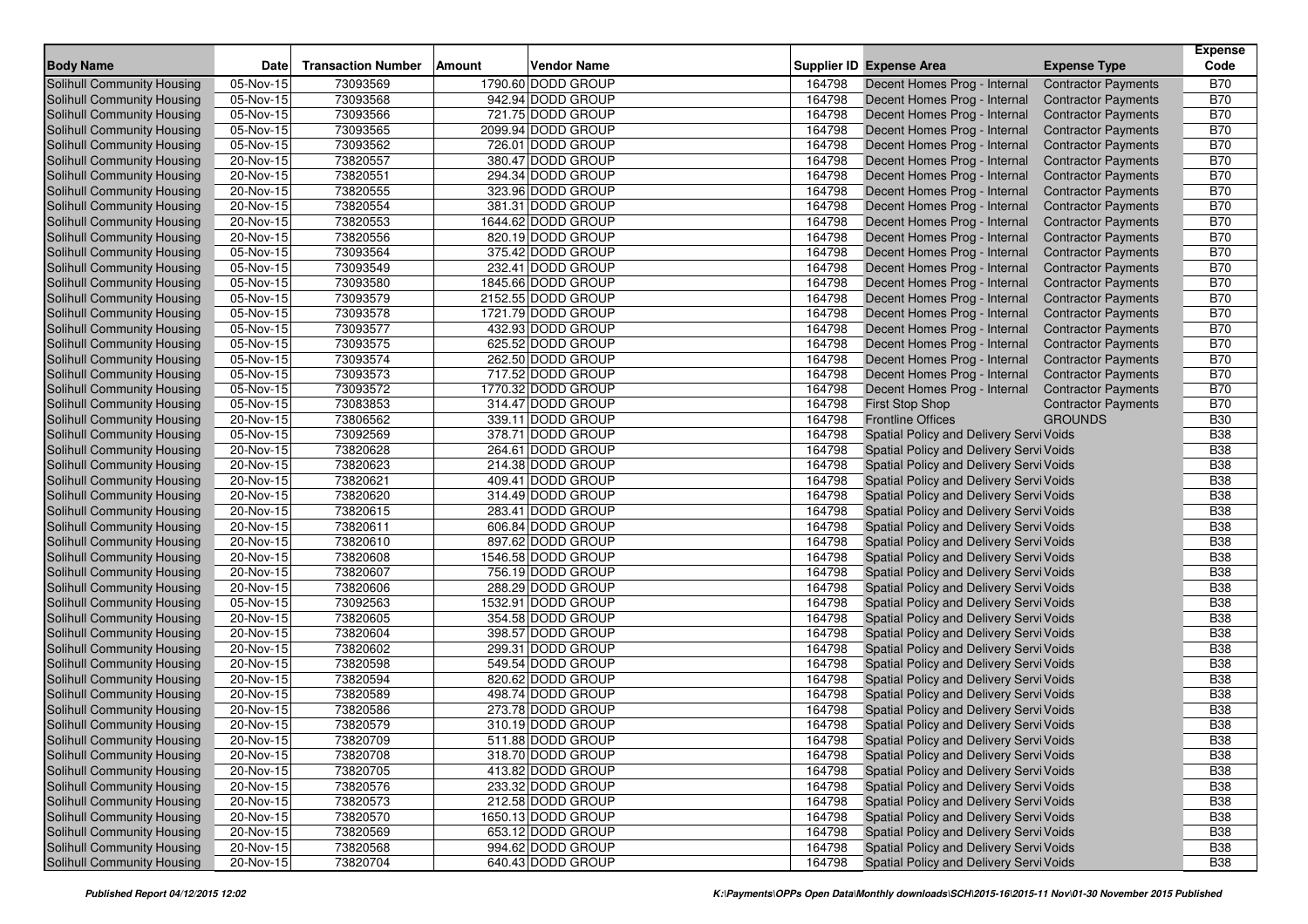| <b>Body Name</b>                                         | <b>Date</b>             | <b>Transaction Number</b> | <b>Amount</b> | <b>Vendor Name</b> |        | Supplier ID Expense Area                                     | <b>Expense Type</b>                                      | Expense<br>Code |
|----------------------------------------------------------|-------------------------|---------------------------|---------------|--------------------|--------|--------------------------------------------------------------|----------------------------------------------------------|-----------------|
| <b>Solihull Community Housing</b>                        | 05-Nov-15               | 73093569                  |               | 1790.60 DODD GROUP | 164798 | Decent Homes Prog - Internal                                 | <b>Contractor Payments</b>                               | <b>B70</b>      |
| Solihull Community Housing                               | 05-Nov-15               | 73093568                  |               | 942.94 DODD GROUP  | 164798 | Decent Homes Prog - Internal                                 | <b>Contractor Payments</b>                               | <b>B70</b>      |
| Solihull Community Housing                               | 05-Nov-15               | 73093566                  |               | 721.75 DODD GROUP  | 164798 | Decent Homes Prog - Internal                                 | <b>Contractor Payments</b>                               | <b>B70</b>      |
| Solihull Community Housing                               | 05-Nov-15               | 73093565                  |               | 2099.94 DODD GROUP | 164798 | Decent Homes Prog - Internal                                 | <b>Contractor Payments</b>                               | <b>B70</b>      |
| Solihull Community Housing                               | 05-Nov-15               | 73093562                  |               | 726.01 DODD GROUP  | 164798 | Decent Homes Prog - Internal                                 | <b>Contractor Payments</b>                               | <b>B70</b>      |
| Solihull Community Housing                               | 20-Nov-15               | 73820557                  |               | 380.47 DODD GROUP  | 164798 | Decent Homes Prog - Internal                                 | <b>Contractor Payments</b>                               | <b>B70</b>      |
| Solihull Community Housing                               | 20-Nov-15               | 73820551                  |               | 294.34 DODD GROUP  | 164798 | Decent Homes Prog - Internal                                 | <b>Contractor Payments</b>                               | <b>B70</b>      |
| Solihull Community Housing                               | 20-Nov-15               | 73820555                  |               | 323.96 DODD GROUP  | 164798 | Decent Homes Prog - Internal                                 | <b>Contractor Payments</b>                               | <b>B70</b>      |
| Solihull Community Housing                               | 20-Nov-15               | 73820554                  |               | 381.31 DODD GROUP  | 164798 | Decent Homes Prog - Internal                                 | <b>Contractor Payments</b>                               | <b>B70</b>      |
| Solihull Community Housing                               | 20-Nov-15               | 73820553                  |               | 1644.62 DODD GROUP | 164798 | Decent Homes Prog - Internal                                 | <b>Contractor Payments</b>                               | <b>B70</b>      |
| Solihull Community Housing                               | 20-Nov-15               | 73820556                  |               | 820.19 DODD GROUP  | 164798 | Decent Homes Prog - Internal                                 | <b>Contractor Payments</b>                               | <b>B70</b>      |
| Solihull Community Housing                               | 05-Nov-15               | 73093564                  |               | 375.42 DODD GROUP  | 164798 | Decent Homes Prog - Internal                                 | <b>Contractor Payments</b>                               | <b>B70</b>      |
| Solihull Community Housing                               | 05-Nov-15               | 73093549                  |               | 232.41 DODD GROUP  | 164798 | Decent Homes Prog - Internal                                 | <b>Contractor Payments</b>                               | <b>B70</b>      |
| Solihull Community Housing                               | 05-Nov-15               | 73093580                  |               | 1845.66 DODD GROUP | 164798 | Decent Homes Prog - Internal                                 | <b>Contractor Payments</b>                               | <b>B70</b>      |
| Solihull Community Housing                               | 05-Nov-15               | 73093579                  |               | 2152.55 DODD GROUP | 164798 | Decent Homes Prog - Internal                                 | <b>Contractor Payments</b>                               | <b>B70</b>      |
| Solihull Community Housing                               | 05-Nov-15               | 73093578                  |               | 1721.79 DODD GROUP | 164798 | Decent Homes Prog - Internal                                 | <b>Contractor Payments</b>                               | <b>B70</b>      |
| <b>Solihull Community Housing</b>                        | 05-Nov-15               | 73093577                  |               | 432.93 DODD GROUP  | 164798 | Decent Homes Prog - Internal                                 | <b>Contractor Payments</b>                               | <b>B70</b>      |
|                                                          | 05-Nov-15               | 73093575                  |               | 625.52 DODD GROUP  | 164798 |                                                              |                                                          | <b>B70</b>      |
| Solihull Community Housing<br>Solihull Community Housing | 05-Nov-15               | 73093574                  |               | 262.50 DODD GROUP  | 164798 | Decent Homes Prog - Internal<br>Decent Homes Prog - Internal | <b>Contractor Payments</b><br><b>Contractor Payments</b> | <b>B70</b>      |
| Solihull Community Housing                               | 05-Nov-15               | 73093573                  |               | 717.52 DODD GROUP  | 164798 | Decent Homes Prog - Internal                                 | <b>Contractor Payments</b>                               | <b>B70</b>      |
| Solihull Community Housing                               | 05-Nov-15               | 73093572                  |               | 1770.32 DODD GROUP | 164798 | Decent Homes Prog - Internal                                 | <b>Contractor Payments</b>                               | <b>B70</b>      |
| Solihull Community Housing                               | 05-Nov-15               | 73083853                  |               | 314.47 DODD GROUP  | 164798 | <b>First Stop Shop</b>                                       | <b>Contractor Payments</b>                               | <b>B70</b>      |
| Solihull Community Housing                               | 20-Nov-15               | 73806562                  |               | 339.11 DODD GROUP  | 164798 | <b>Frontline Offices</b>                                     | <b>GROUNDS</b>                                           | <b>B30</b>      |
| Solihull Community Housing                               | 05-Nov-15               | 73092569                  |               | 378.71 DODD GROUP  | 164798 | Spatial Policy and Delivery Servi Voids                      |                                                          | <b>B38</b>      |
| Solihull Community Housing                               | $\overline{20}$ -Nov-15 | 73820628                  |               | 264.61 DODD GROUP  | 164798 | Spatial Policy and Delivery Servi Voids                      |                                                          | <b>B38</b>      |
| Solihull Community Housing                               | 20-Nov-15               | 73820623                  |               | 214.38 DODD GROUP  | 164798 | Spatial Policy and Delivery Servi Voids                      |                                                          | <b>B38</b>      |
| Solihull Community Housing                               | 20-Nov-15               | 73820621                  |               | 409.41 DODD GROUP  | 164798 | Spatial Policy and Delivery Servi Voids                      |                                                          | <b>B38</b>      |
| Solihull Community Housing                               | 20-Nov-15               | 73820620                  |               | 314.49 DODD GROUP  | 164798 | Spatial Policy and Delivery Servi Voids                      |                                                          | <b>B38</b>      |
| Solihull Community Housing                               | 20-Nov-15               | 73820615                  |               | 283.41 DODD GROUP  | 164798 | Spatial Policy and Delivery Servi Voids                      |                                                          | <b>B38</b>      |
| Solihull Community Housing                               | 20-Nov-15               | 73820611                  |               | 606.84 DODD GROUP  | 164798 | Spatial Policy and Delivery Servi Voids                      |                                                          | <b>B38</b>      |
| Solihull Community Housing                               | 20-Nov-15               | 73820610                  |               | 897.62 DODD GROUP  | 164798 | Spatial Policy and Delivery Servi Voids                      |                                                          | <b>B38</b>      |
| Solihull Community Housing                               | 20-Nov-15               | 73820608                  |               | 1546.58 DODD GROUP | 164798 | Spatial Policy and Delivery Servi Voids                      |                                                          | <b>B38</b>      |
| Solihull Community Housing                               | 20-Nov-15               | 73820607                  |               | 756.19 DODD GROUP  | 164798 | Spatial Policy and Delivery Servi Voids                      |                                                          | <b>B38</b>      |
| Solihull Community Housing                               | 20-Nov-15               | 73820606                  |               | 288.29 DODD GROUP  | 164798 | Spatial Policy and Delivery Servi Voids                      |                                                          | <b>B38</b>      |
| Solihull Community Housing                               | 05-Nov-15               | 73092563                  |               | 1532.91 DODD GROUP | 164798 | Spatial Policy and Delivery Servi Voids                      |                                                          | <b>B38</b>      |
| <b>Solihull Community Housing</b>                        | 20-Nov-15               | 73820605                  |               | 354.58 DODD GROUP  | 164798 | Spatial Policy and Delivery Servi Voids                      |                                                          | <b>B38</b>      |
| Solihull Community Housing                               | 20-Nov-15               | 73820604                  |               | 398.57 DODD GROUP  | 164798 | <b>Spatial Policy and Delivery Servi Voids</b>               |                                                          | <b>B38</b>      |
| Solihull Community Housing                               | 20-Nov-15               | 73820602                  |               | 299.31 DODD GROUP  | 164798 | Spatial Policy and Delivery Servi Voids                      |                                                          | <b>B38</b>      |
| <b>Solihull Community Housing</b>                        | 20-Nov-15               | 73820598                  |               | 549.54 DODD GROUP  | 164798 | Spatial Policy and Delivery Servi Voids                      |                                                          | <b>B38</b>      |
| Solihull Community Housing                               | 20-Nov-15               | 73820594                  |               | 820.62 DODD GROUP  | 164798 | Spatial Policy and Delivery Servi Voids                      |                                                          | <b>B38</b>      |
| Solihull Community Housing                               | 20-Nov-15               | 73820589                  |               | 498.74 DODD GROUP  | 164798 | Spatial Policy and Delivery Servi Voids                      |                                                          | <b>B38</b>      |
| Solihull Community Housing                               | 20-Nov-15               | 73820586                  |               | 273.78 DODD GROUP  | 164798 | Spatial Policy and Delivery Servi Voids                      |                                                          | <b>B38</b>      |
| Solihull Community Housing                               | 20-Nov-15               | 73820579                  |               | 310.19 DODD GROUP  | 164798 | Spatial Policy and Delivery Servi Voids                      |                                                          | <b>B38</b>      |
| Solihull Community Housing                               | 20-Nov-15               | 73820709                  |               | 511.88 DODD GROUP  | 164798 | Spatial Policy and Delivery Servi Voids                      |                                                          | <b>B38</b>      |
| Solihull Community Housing                               | 20-Nov-15               | 73820708                  |               | 318.70 DODD GROUP  | 164798 | Spatial Policy and Delivery Servi Voids                      |                                                          | <b>B38</b>      |
| Solihull Community Housing                               | 20-Nov-15               | 73820705                  |               | 413.82 DODD GROUP  | 164798 | Spatial Policy and Delivery Servi Voids                      |                                                          | <b>B38</b>      |
| Solihull Community Housing                               | 20-Nov-15               | 73820576                  |               | 233.32 DODD GROUP  | 164798 | Spatial Policy and Delivery Servi Voids                      |                                                          | <b>B38</b>      |
| Solihull Community Housing                               | 20-Nov-15               | 73820573                  |               | 212.58 DODD GROUP  | 164798 | Spatial Policy and Delivery Servi Voids                      |                                                          | <b>B38</b>      |
| Solihull Community Housing                               | 20-Nov-15               | 73820570                  |               | 1650.13 DODD GROUP | 164798 | Spatial Policy and Delivery Servi Voids                      |                                                          | <b>B38</b>      |
| Solihull Community Housing                               | 20-Nov-15               | 73820569                  |               | 653.12 DODD GROUP  | 164798 | Spatial Policy and Delivery Servi Voids                      |                                                          | <b>B38</b>      |
| Solihull Community Housing                               | 20-Nov-15               | 73820568                  |               | 994.62 DODD GROUP  | 164798 | Spatial Policy and Delivery Servi Voids                      |                                                          | <b>B38</b>      |
| Solihull Community Housing                               | 20-Nov-15               | 73820704                  |               | 640.43 DODD GROUP  | 164798 | Spatial Policy and Delivery Servi Voids                      |                                                          | <b>B38</b>      |
|                                                          |                         |                           |               |                    |        |                                                              |                                                          |                 |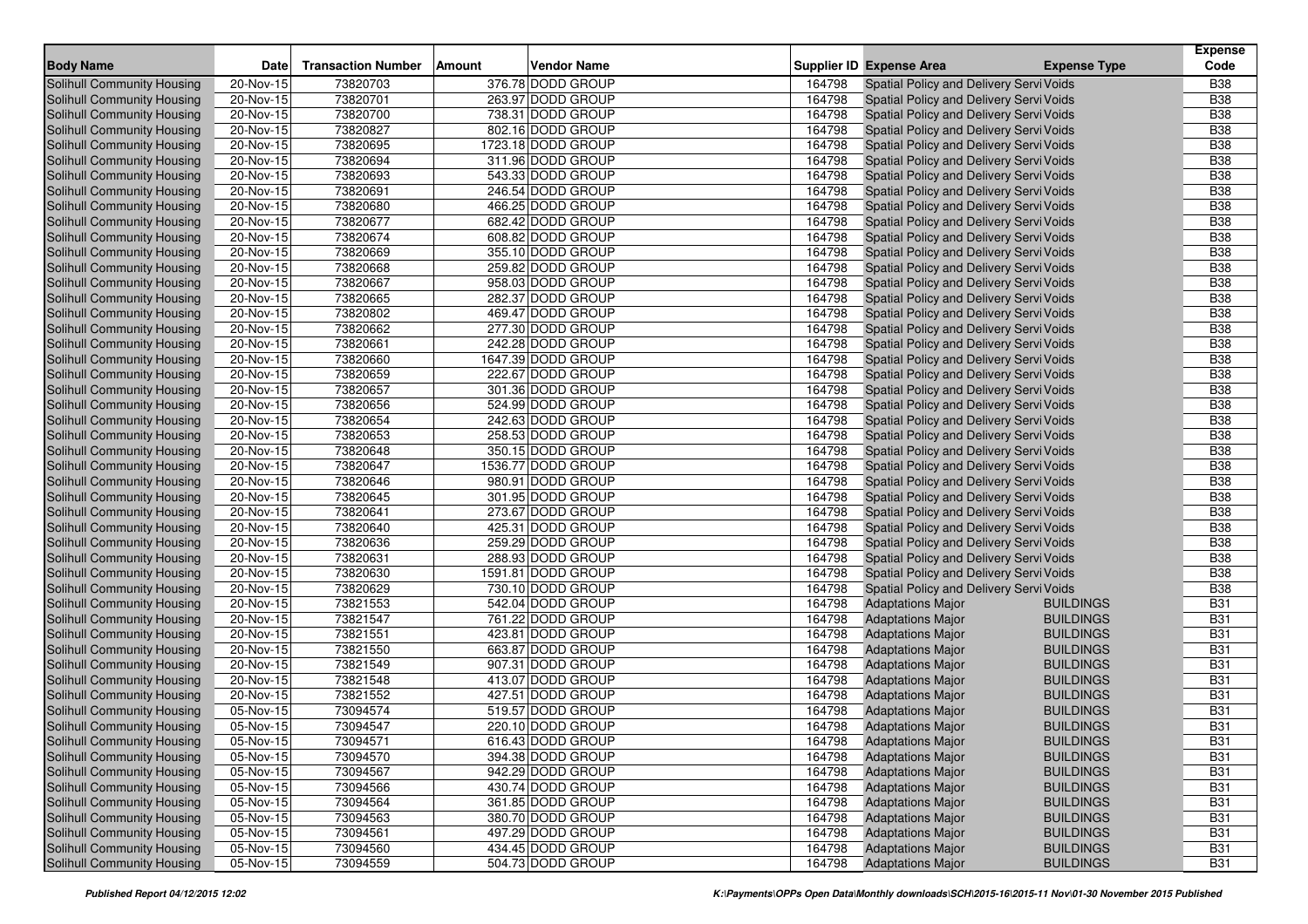|                                   |             |                           |        |                    |        |                                         |                     | <b>Expense</b> |
|-----------------------------------|-------------|---------------------------|--------|--------------------|--------|-----------------------------------------|---------------------|----------------|
| <b>Body Name</b>                  | <b>Date</b> | <b>Transaction Number</b> | Amount | <b>Vendor Name</b> |        | <b>Supplier ID Expense Area</b>         | <b>Expense Type</b> | Code           |
| <b>Solihull Community Housing</b> | 20-Nov-15   | 73820703                  |        | 376.78 DODD GROUP  | 164798 | Spatial Policy and Delivery Servi Voids |                     | <b>B38</b>     |
| Solihull Community Housing        | 20-Nov-15   | 73820701                  |        | 263.97 DODD GROUP  | 164798 | Spatial Policy and Delivery Servi Voids |                     | <b>B38</b>     |
| Solihull Community Housing        | 20-Nov-15   | 73820700                  |        | 738.31 DODD GROUP  | 164798 | Spatial Policy and Delivery Servi Voids |                     | <b>B38</b>     |
| Solihull Community Housing        | 20-Nov-15   | 73820827                  |        | 802.16 DODD GROUP  | 164798 | Spatial Policy and Delivery Servi Voids |                     | <b>B38</b>     |
| Solihull Community Housing        | 20-Nov-15   | 73820695                  |        | 1723.18 DODD GROUP | 164798 | Spatial Policy and Delivery Servi Voids |                     | <b>B38</b>     |
| <b>Solihull Community Housing</b> | $20-Nov-15$ | 73820694                  |        | 311.96 DODD GROUP  | 164798 | Spatial Policy and Delivery Servi Voids |                     | <b>B38</b>     |
| Solihull Community Housing        | 20-Nov-15   | 73820693                  |        | 543.33 DODD GROUP  | 164798 | Spatial Policy and Delivery Servi Voids |                     | <b>B38</b>     |
| Solihull Community Housing        | 20-Nov-15   | 73820691                  |        | 246.54 DODD GROUP  | 164798 | Spatial Policy and Delivery Servi Voids |                     | <b>B38</b>     |
| Solihull Community Housing        | 20-Nov-15   | 73820680                  |        | 466.25 DODD GROUP  | 164798 | Spatial Policy and Delivery Servi Voids |                     | <b>B38</b>     |
| Solihull Community Housing        | 20-Nov-15   | 73820677                  |        | 682.42 DODD GROUP  | 164798 | Spatial Policy and Delivery Servi Voids |                     | <b>B38</b>     |
| Solihull Community Housing        | 20-Nov-15   | 73820674                  |        | 608.82 DODD GROUP  | 164798 | Spatial Policy and Delivery Servi Voids |                     | <b>B38</b>     |
| Solihull Community Housing        | 20-Nov-15   | 73820669                  |        | 355.10 DODD GROUP  | 164798 | Spatial Policy and Delivery Servi Voids |                     | <b>B38</b>     |
| Solihull Community Housing        | 20-Nov-15   | 73820668                  |        | 259.82 DODD GROUP  | 164798 | Spatial Policy and Delivery Servi Voids |                     | <b>B38</b>     |
| Solihull Community Housing        | 20-Nov-15   | 73820667                  |        | 958.03 DODD GROUP  | 164798 | Spatial Policy and Delivery Servi Voids |                     | <b>B</b> 38    |
| Solihull Community Housing        | 20-Nov-15   | 73820665                  |        | 282.37 DODD GROUP  | 164798 | Spatial Policy and Delivery Servi Voids |                     | <b>B38</b>     |
| Solihull Community Housing        | 20-Nov-15   | 73820802                  |        | 469.47 DODD GROUP  | 164798 | Spatial Policy and Delivery Servi Voids |                     | <b>B38</b>     |
| Solihull Community Housing        | 20-Nov-15   | 73820662                  |        | 277.30 DODD GROUP  | 164798 | Spatial Policy and Delivery Servi Voids |                     | <b>B38</b>     |
| Solihull Community Housing        | 20-Nov-15   | 73820661                  |        | 242.28 DODD GROUP  | 164798 | Spatial Policy and Delivery Servi Voids |                     | <b>B38</b>     |
| Solihull Community Housing        | 20-Nov-15   | 73820660                  |        | 1647.39 DODD GROUP | 164798 | Spatial Policy and Delivery Servi Voids |                     | <b>B38</b>     |
| Solihull Community Housing        | 20-Nov-15   | 73820659                  |        | 222.67 DODD GROUP  | 164798 | Spatial Policy and Delivery Servi Voids |                     | <b>B</b> 38    |
| Solihull Community Housing        | 20-Nov-15   | 73820657                  |        | 301.36 DODD GROUP  | 164798 | Spatial Policy and Delivery Servi Voids |                     | <b>B38</b>     |
| Solihull Community Housing        | 20-Nov-15   | 73820656                  |        | 524.99 DODD GROUP  | 164798 | Spatial Policy and Delivery Servi Voids |                     | <b>B38</b>     |
| Solihull Community Housing        | 20-Nov-15   | 73820654                  |        | 242.63 DODD GROUP  | 164798 | Spatial Policy and Delivery Servi Voids |                     | <b>B38</b>     |
| Solihull Community Housing        | 20-Nov-15   | 73820653                  |        | 258.53 DODD GROUP  | 164798 | Spatial Policy and Delivery Servi Voids |                     | <b>B38</b>     |
| Solihull Community Housing        | 20-Nov-15   | 73820648                  |        | 350.15 DODD GROUP  | 164798 | Spatial Policy and Delivery Servi Voids |                     | <b>B</b> 38    |
| Solihull Community Housing        | 20-Nov-15   | 73820647                  |        | 1536.77 DODD GROUP | 164798 | Spatial Policy and Delivery Servi Voids |                     | <b>B38</b>     |
| Solihull Community Housing        | 20-Nov-15   | 73820646                  |        | 980.91 DODD GROUP  | 164798 | Spatial Policy and Delivery Servi Voids |                     | <b>B38</b>     |
| Solihull Community Housing        | $20-Nov-15$ | 73820645                  |        | 301.95 DODD GROUP  | 164798 | Spatial Policy and Delivery Servi Voids |                     | <b>B38</b>     |
| Solihull Community Housing        | $20-Nov-15$ | 73820641                  |        | 273.67 DODD GROUP  | 164798 | Spatial Policy and Delivery Servi Voids |                     | <b>B38</b>     |
| Solihull Community Housing        | 20-Nov-15   | 73820640                  |        | 425.31 DODD GROUP  | 164798 | Spatial Policy and Delivery Servi Voids |                     | <b>B38</b>     |
| Solihull Community Housing        | 20-Nov-15   | 73820636                  |        | 259.29 DODD GROUP  | 164798 | Spatial Policy and Delivery Servi Voids |                     | <b>B38</b>     |
| Solihull Community Housing        | 20-Nov-15   | 73820631                  |        | 288.93 DODD GROUP  | 164798 | Spatial Policy and Delivery Servi Voids |                     | <b>B38</b>     |
| Solihull Community Housing        | 20-Nov-15   | 73820630                  |        | 1591.81 DODD GROUP | 164798 | Spatial Policy and Delivery Servi Voids |                     | <b>B38</b>     |
| <b>Solihull Community Housing</b> | 20-Nov-15   | 73820629                  |        | 730.10 DODD GROUP  | 164798 | Spatial Policy and Delivery Servi Voids |                     | <b>B38</b>     |
| Solihull Community Housing        | 20-Nov-15   | 73821553                  |        | 542.04 DODD GROUP  | 164798 | <b>Adaptations Major</b>                | <b>BUILDINGS</b>    | <b>B31</b>     |
| Solihull Community Housing        | 20-Nov-15   | 73821547                  |        | 761.22 DODD GROUP  | 164798 | <b>Adaptations Major</b>                | <b>BUILDINGS</b>    | <b>B31</b>     |
| <b>Solihull Community Housing</b> | 20-Nov-15   | 73821551                  |        | 423.81 DODD GROUP  | 164798 | <b>Adaptations Major</b>                | <b>BUILDINGS</b>    | <b>B31</b>     |
| Solihull Community Housing        | 20-Nov-15   | 73821550                  |        | 663.87 DODD GROUP  | 164798 | <b>Adaptations Major</b>                | <b>BUILDINGS</b>    | <b>B31</b>     |
| Solihull Community Housing        | 20-Nov-15   | 73821549                  |        | 907.31 DODD GROUP  | 164798 | <b>Adaptations Major</b>                | <b>BUILDINGS</b>    | <b>B31</b>     |
| Solihull Community Housing        | $20-Nov-15$ | 73821548                  |        | 413.07 DODD GROUP  | 164798 | <b>Adaptations Major</b>                | <b>BUILDINGS</b>    | <b>B31</b>     |
| Solihull Community Housing        | 20-Nov-15   | 73821552                  |        | 427.51 DODD GROUP  | 164798 | <b>Adaptations Major</b>                | <b>BUILDINGS</b>    | <b>B31</b>     |
| Solihull Community Housing        | 05-Nov-15   | 73094574                  |        | 519.57 DODD GROUP  | 164798 | <b>Adaptations Major</b>                | <b>BUILDINGS</b>    | <b>B31</b>     |
| Solihull Community Housing        | 05-Nov-15   | 73094547                  |        | 220.10 DODD GROUP  | 164798 | <b>Adaptations Major</b>                | <b>BUILDINGS</b>    | <b>B31</b>     |
| <b>Solihull Community Housing</b> | 05-Nov-15   | 73094571                  |        | 616.43 DODD GROUP  | 164798 | <b>Adaptations Major</b>                | <b>BUILDINGS</b>    | <b>B31</b>     |
| Solihull Community Housing        | 05-Nov-15   | 73094570                  |        | 394.38 DODD GROUP  | 164798 | <b>Adaptations Major</b>                | <b>BUILDINGS</b>    | <b>B31</b>     |
| Solihull Community Housing        | 05-Nov-15   | 73094567                  |        | 942.29 DODD GROUP  | 164798 | <b>Adaptations Major</b>                | <b>BUILDINGS</b>    | <b>B31</b>     |
| Solihull Community Housing        | 05-Nov-15   | 73094566                  |        | 430.74 DODD GROUP  | 164798 | <b>Adaptations Major</b>                | <b>BUILDINGS</b>    | <b>B31</b>     |
| Solihull Community Housing        | 05-Nov-15   | 73094564                  |        | 361.85 DODD GROUP  | 164798 | <b>Adaptations Major</b>                | <b>BUILDINGS</b>    | <b>B31</b>     |
| Solihull Community Housing        | 05-Nov-15   | 73094563                  |        | 380.70 DODD GROUP  | 164798 | <b>Adaptations Major</b>                | <b>BUILDINGS</b>    | <b>B31</b>     |
| Solihull Community Housing        | 05-Nov-15   | 73094561                  |        | 497.29 DODD GROUP  | 164798 | <b>Adaptations Major</b>                | <b>BUILDINGS</b>    | <b>B31</b>     |
| <b>Solihull Community Housing</b> | $05-Nov-15$ | 73094560                  |        | 434.45 DODD GROUP  | 164798 | <b>Adaptations Major</b>                | <b>BUILDINGS</b>    | <b>B31</b>     |
| Solihull Community Housing        | 05-Nov-15   | 73094559                  |        | 504.73 DODD GROUP  | 164798 | <b>Adaptations Major</b>                | <b>BUILDINGS</b>    | <b>B31</b>     |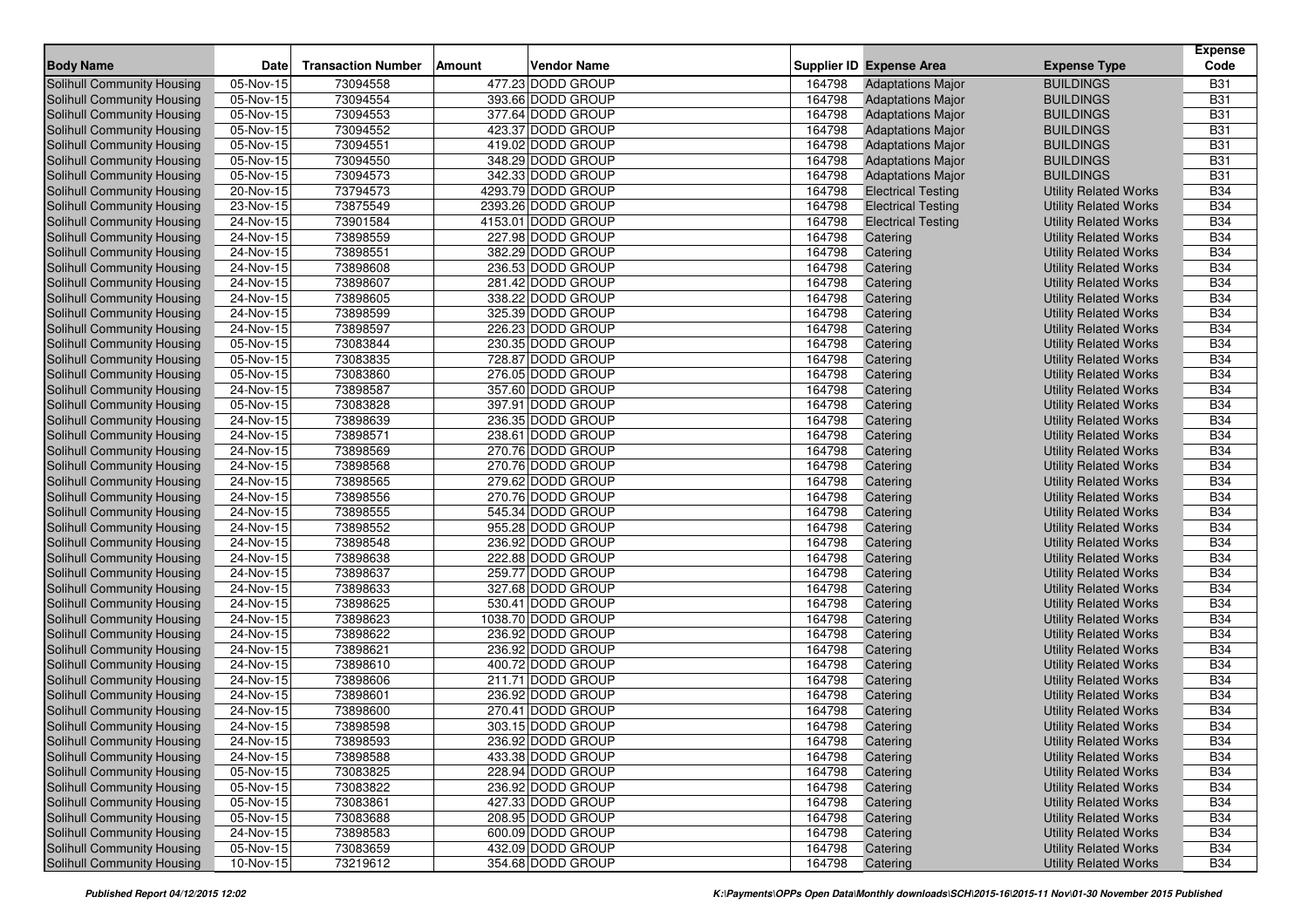|                                   |                         |                           |        |                    |        |                                 |                              | <b>Expense</b> |
|-----------------------------------|-------------------------|---------------------------|--------|--------------------|--------|---------------------------------|------------------------------|----------------|
| <b>Body Name</b>                  | Date                    | <b>Transaction Number</b> | Amount | <b>Vendor Name</b> |        | <b>Supplier ID Expense Area</b> | <b>Expense Type</b>          | Code           |
| Solihull Community Housing        | 05-Nov-15               | 73094558                  |        | 477.23 DODD GROUP  | 164798 | <b>Adaptations Major</b>        | <b>BUILDINGS</b>             | <b>B31</b>     |
| <b>Solihull Community Housing</b> | 05-Nov-15               | 73094554                  |        | 393.66 DODD GROUP  | 164798 | <b>Adaptations Major</b>        | <b>BUILDINGS</b>             | <b>B31</b>     |
| <b>Solihull Community Housing</b> | 05-Nov-15               | 73094553                  |        | 377.64 DODD GROUP  | 164798 | <b>Adaptations Major</b>        | <b>BUILDINGS</b>             | <b>B31</b>     |
| Solihull Community Housing        | 05-Nov-15               | 73094552                  |        | 423.37 DODD GROUP  | 164798 | <b>Adaptations Major</b>        | <b>BUILDINGS</b>             | <b>B31</b>     |
| Solihull Community Housing        | 05-Nov-15               | 73094551                  |        | 419.02 DODD GROUP  | 164798 | <b>Adaptations Major</b>        | <b>BUILDINGS</b>             | <b>B31</b>     |
| Solihull Community Housing        | 05-Nov-15               | 73094550                  |        | 348.29 DODD GROUP  | 164798 | <b>Adaptations Major</b>        | <b>BUILDINGS</b>             | <b>B31</b>     |
| Solihull Community Housing        | 05-Nov-15               | 73094573                  |        | 342.33 DODD GROUP  | 164798 | <b>Adaptations Major</b>        | <b>BUILDINGS</b>             | <b>B31</b>     |
| Solihull Community Housing        | 20-Nov-15               | 73794573                  |        | 4293.79 DODD GROUP | 164798 | <b>Electrical Testing</b>       | <b>Utility Related Works</b> | <b>B34</b>     |
| Solihull Community Housing        | 23-Nov-15               | 73875549                  |        | 2393.26 DODD GROUP | 164798 | <b>Electrical Testing</b>       | <b>Utility Related Works</b> | <b>B34</b>     |
| Solihull Community Housing        | 24-Nov-15               | 73901584                  |        | 4153.01 DODD GROUP | 164798 | <b>Electrical Testing</b>       | <b>Utility Related Works</b> | <b>B34</b>     |
| <b>Solihull Community Housing</b> | 24-Nov-15               | 73898559                  |        | 227.98 DODD GROUP  | 164798 | Catering                        | <b>Utility Related Works</b> | <b>B34</b>     |
| Solihull Community Housing        | 24-Nov-15               | 73898551                  |        | 382.29 DODD GROUP  | 164798 | Catering                        | <b>Utility Related Works</b> | <b>B34</b>     |
| <b>Solihull Community Housing</b> | 24-Nov-15               | 73898608                  |        | 236.53 DODD GROUP  | 164798 | Catering                        | <b>Utility Related Works</b> | <b>B34</b>     |
| <b>Solihull Community Housing</b> | 24-Nov-15               | 73898607                  |        | 281.42 DODD GROUP  | 164798 | Catering                        | <b>Utility Related Works</b> | <b>B34</b>     |
| Solihull Community Housing        | 24-Nov-15               | 73898605                  |        | 338.22 DODD GROUP  | 164798 | Catering                        | <b>Utility Related Works</b> | <b>B34</b>     |
| Solihull Community Housing        | 24-Nov-15               | 73898599                  |        | 325.39 DODD GROUP  | 164798 | Catering                        | <b>Utility Related Works</b> | <b>B34</b>     |
| Solihull Community Housing        | 24-Nov-15               | 73898597                  |        | 226.23 DODD GROUP  | 164798 | Catering                        | <b>Utility Related Works</b> | <b>B34</b>     |
| Solihull Community Housing        | 05-Nov-15               | 73083844                  |        | 230.35 DODD GROUP  | 164798 | Catering                        | <b>Utility Related Works</b> | <b>B34</b>     |
| Solihull Community Housing        | 05-Nov-15               | 73083835                  |        | 728.87 DODD GROUP  | 164798 | Catering                        | <b>Utility Related Works</b> | <b>B34</b>     |
| Solihull Community Housing        | 05-Nov-15               | 73083860                  |        | 276.05 DODD GROUP  | 164798 | Catering                        | <b>Utility Related Works</b> | <b>B34</b>     |
| Solihull Community Housing        | 24-Nov-15               | 73898587                  |        | 357.60 DODD GROUP  | 164798 | Catering                        | <b>Utility Related Works</b> | <b>B34</b>     |
| Solihull Community Housing        | 05-Nov-15               | 73083828                  |        | 397.91 DODD GROUP  | 164798 | Catering                        | <b>Utility Related Works</b> | <b>B34</b>     |
| Solihull Community Housing        | 24-Nov-15               | 73898639                  |        | 236.35 DODD GROUP  | 164798 | Catering                        | <b>Utility Related Works</b> | <b>B34</b>     |
| <b>Solihull Community Housing</b> | 24-Nov-15               | 73898571                  |        | 238.61 DODD GROUP  | 164798 | Catering                        | <b>Utility Related Works</b> | <b>B34</b>     |
| <b>Solihull Community Housing</b> | 24-Nov-15               | 73898569                  |        | 270.76 DODD GROUP  | 164798 | Catering                        | <b>Utility Related Works</b> | <b>B34</b>     |
| Solihull Community Housing        | 24-Nov-15               | 73898568                  |        | 270.76 DODD GROUP  | 164798 | Catering                        | <b>Utility Related Works</b> | <b>B34</b>     |
| <b>Solihull Community Housing</b> | 24-Nov-15               | 73898565                  |        | 279.62 DODD GROUP  | 164798 | Catering                        | <b>Utility Related Works</b> | <b>B34</b>     |
| <b>Solihull Community Housing</b> | 24-Nov-15               | 73898556                  |        | 270.76 DODD GROUP  | 164798 | Catering                        | <b>Utility Related Works</b> | <b>B34</b>     |
| Solihull Community Housing        | 24-Nov-15               | 73898555                  |        | 545.34 DODD GROUP  | 164798 | Catering                        | <b>Utility Related Works</b> | <b>B34</b>     |
| Solihull Community Housing        | 24-Nov-15               | 73898552                  |        | 955.28 DODD GROUP  | 164798 | Catering                        | <b>Utility Related Works</b> | <b>B34</b>     |
| Solihull Community Housing        | 24-Nov-15               | 73898548                  |        | 236.92 DODD GROUP  | 164798 | Catering                        | <b>Utility Related Works</b> | <b>B34</b>     |
| Solihull Community Housing        | 24-Nov-15               | 73898638                  |        | 222.88 DODD GROUP  | 164798 | Catering                        | <b>Utility Related Works</b> | <b>B34</b>     |
| Solihull Community Housing        | 24-Nov-15               | 73898637                  |        | 259.77 DODD GROUP  | 164798 | Catering                        | <b>Utility Related Works</b> | <b>B34</b>     |
| Solihull Community Housing        | 24-Nov-15               | 73898633                  |        | 327.68 DODD GROUP  | 164798 | Catering                        | <b>Utility Related Works</b> | <b>B34</b>     |
| Solihull Community Housing        | 24-Nov-15               | 73898625                  |        | 530.41 DODD GROUP  | 164798 | Catering                        | <b>Utility Related Works</b> | <b>B34</b>     |
| Solihull Community Housing        | 24-Nov-15               | 73898623                  |        | 1038.70 DODD GROUP | 164798 | Catering                        | <b>Utility Related Works</b> | <b>B34</b>     |
| Solihull Community Housing        | 24-Nov-15               | 73898622                  |        | 236.92 DODD GROUP  | 164798 | Catering                        | <b>Utility Related Works</b> | <b>B34</b>     |
| Solihull Community Housing        | 24-Nov-15               | 73898621                  |        | 236.92 DODD GROUP  | 164798 | Catering                        | <b>Utility Related Works</b> | <b>B34</b>     |
| Solihull Community Housing        | $24-Nov-15$             | 73898610                  |        | 400.72 DODD GROUP  | 164798 | Catering                        | <b>Utility Related Works</b> | <b>B34</b>     |
| Solihull Community Housing        | $\overline{24}$ -Nov-15 | 73898606                  |        | 211.71 DODD GROUP  | 164798 | Catering                        | <b>Utility Related Works</b> | <b>B34</b>     |
| Solihull Community Housing        | 24-Nov-15               | 73898601                  |        | 236.92 DODD GROUP  | 164798 | Catering                        | <b>Utility Related Works</b> | <b>B34</b>     |
| Solihull Community Housing        | 24-Nov-15               | 73898600                  |        | 270.41 DODD GROUP  | 164798 | Catering                        | <b>Utility Related Works</b> | <b>B34</b>     |
| Solihull Community Housing        | 24-Nov-15               | 73898598                  |        | 303.15 DODD GROUP  | 164798 | Catering                        | <b>Utility Related Works</b> | <b>B34</b>     |
| Solihull Community Housing        | 24-Nov-15               | 73898593                  |        | 236.92 DODD GROUP  | 164798 | Catering                        | <b>Utility Related Works</b> | <b>B34</b>     |
| Solihull Community Housing        | 24-Nov-15               | 73898588                  |        | 433.38 DODD GROUP  | 164798 | Catering                        | <b>Utility Related Works</b> | <b>B34</b>     |
| Solihull Community Housing        | 05-Nov-15               | 73083825                  |        | 228.94 DODD GROUP  | 164798 | Catering                        | <b>Utility Related Works</b> | <b>B34</b>     |
| Solihull Community Housing        | 05-Nov-15               | 73083822                  |        | 236.92 DODD GROUP  | 164798 | Catering                        | <b>Utility Related Works</b> | <b>B34</b>     |
| Solihull Community Housing        | 05-Nov-15               | 73083861                  |        | 427.33 DODD GROUP  | 164798 | Catering                        | <b>Utility Related Works</b> | <b>B34</b>     |
| Solihull Community Housing        | 05-Nov-15               | 73083688                  |        | 208.95 DODD GROUP  | 164798 | Catering                        | <b>Utility Related Works</b> | <b>B34</b>     |
| Solihull Community Housing        | 24-Nov-15               | 73898583                  |        | 600.09 DODD GROUP  | 164798 | Catering                        | <b>Utility Related Works</b> | <b>B34</b>     |
| Solihull Community Housing        | 05-Nov-15               | 73083659                  |        | 432.09 DODD GROUP  | 164798 | Catering                        | <b>Utility Related Works</b> | <b>B34</b>     |
| Solihull Community Housing        | 10-Nov-15               | 73219612                  |        | 354.68 DODD GROUP  | 164798 | Catering                        | <b>Utility Related Works</b> | <b>B34</b>     |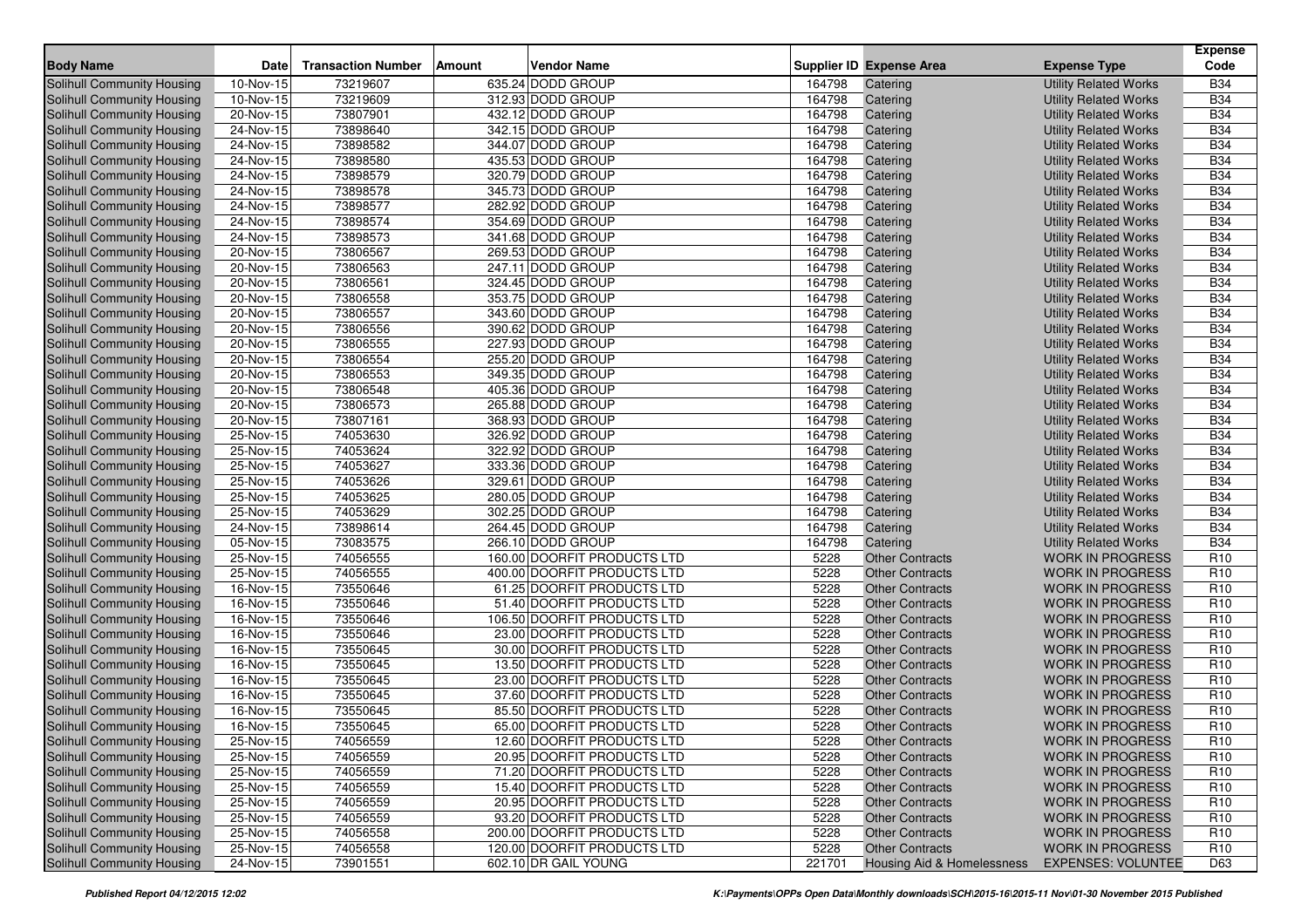| <b>Body Name</b>                                         | <b>Date</b>              | <b>Transaction Number</b> | Amount | <b>Vendor Name</b>                               |                | <b>Supplier ID Expense Area</b>                  | <b>Expense Type</b>                                | <b>Expense</b><br>Code        |
|----------------------------------------------------------|--------------------------|---------------------------|--------|--------------------------------------------------|----------------|--------------------------------------------------|----------------------------------------------------|-------------------------------|
| <b>Solihull Community Housing</b>                        | 10-Nov-15                | 73219607                  |        | 635.24 DODD GROUP                                | 164798         | Catering                                         | <b>Utility Related Works</b>                       | <b>B34</b>                    |
| Solihull Community Housing                               | 10-Nov-15                | 73219609                  |        | 312.93 DODD GROUP                                | 164798         | Catering                                         | <b>Utility Related Works</b>                       | <b>B34</b>                    |
| Solihull Community Housing                               | 20-Nov-15                | 73807901                  |        | 432.12 DODD GROUP                                | 164798         | Catering                                         | <b>Utility Related Works</b>                       | <b>B34</b>                    |
| Solihull Community Housing                               | 24-Nov-15                | 73898640                  |        | 342.15 DODD GROUP                                | 164798         | Catering                                         | <b>Utility Related Works</b>                       | <b>B34</b>                    |
| Solihull Community Housing                               | 24-Nov-15                | 73898582                  |        | 344.07 DODD GROUP                                | 164798         | Catering                                         | <b>Utility Related Works</b>                       | <b>B34</b>                    |
| Solihull Community Housing                               | 24-Nov-15                | 73898580                  |        | 435.53 DODD GROUP                                | 164798         | Catering                                         | <b>Utility Related Works</b>                       | <b>B34</b>                    |
| Solihull Community Housing                               | 24-Nov-15                | 73898579                  |        | 320.79 DODD GROUP                                | 164798         | Catering                                         | <b>Utility Related Works</b>                       | <b>B34</b>                    |
| Solihull Community Housing                               | 24-Nov-15                | 73898578                  |        | 345.73 DODD GROUP                                | 164798         | Catering                                         | <b>Utility Related Works</b>                       | <b>B34</b>                    |
| Solihull Community Housing                               | 24-Nov-15                | 73898577                  |        | 282.92 DODD GROUP                                | 164798         | Catering                                         | <b>Utility Related Works</b>                       | <b>B34</b>                    |
| Solihull Community Housing                               | 24-Nov-15                | 73898574                  |        | 354.69 DODD GROUP                                | 164798         | Catering                                         | <b>Utility Related Works</b>                       | <b>B34</b>                    |
| Solihull Community Housing                               | 24-Nov-15                | 73898573                  |        | 341.68 DODD GROUP                                | 164798         | Catering                                         | <b>Utility Related Works</b>                       | <b>B34</b>                    |
| Solihull Community Housing                               | 20-Nov-15                | 73806567                  |        | 269.53 DODD GROUP                                | 164798         | Catering                                         | <b>Utility Related Works</b>                       | <b>B34</b>                    |
| Solihull Community Housing                               | 20-Nov-15                | 73806563                  |        | 247.11 DODD GROUP                                | 164798         | Catering                                         | <b>Utility Related Works</b>                       | <b>B34</b>                    |
| Solihull Community Housing                               | 20-Nov-15                | 73806561                  |        | 324.45 DODD GROUP                                | 164798         | Catering                                         | <b>Utility Related Works</b>                       | <b>B34</b>                    |
| Solihull Community Housing                               | 20-Nov-15                | 73806558                  |        | 353.75 DODD GROUP                                | 164798         | Catering                                         | <b>Utility Related Works</b>                       | <b>B34</b>                    |
| Solihull Community Housing                               | 20-Nov-15                | 73806557                  |        | 343.60 DODD GROUP                                | 164798         | Catering                                         | <b>Utility Related Works</b>                       | <b>B34</b>                    |
| Solihull Community Housing                               | 20-Nov-15                | 73806556                  |        | 390.62 DODD GROUP                                | 164798         | Catering                                         | <b>Utility Related Works</b>                       | <b>B34</b>                    |
| Solihull Community Housing                               | 20-Nov-15                | 73806555                  |        | 227.93 DODD GROUP                                | 164798         | Catering                                         | <b>Utility Related Works</b>                       | <b>B34</b>                    |
| Solihull Community Housing                               | 20-Nov-15                | 73806554                  |        | 255.20 DODD GROUP                                | 164798         | Catering                                         | <b>Utility Related Works</b>                       | <b>B34</b>                    |
| Solihull Community Housing                               | 20-Nov-15                | 73806553                  |        | 349.35 DODD GROUP                                | 164798         | Catering                                         | <b>Utility Related Works</b>                       | <b>B34</b>                    |
| Solihull Community Housing                               | 20-Nov-15                | 73806548                  |        | 405.36 DODD GROUP                                | 164798         | Catering                                         | <b>Utility Related Works</b>                       | <b>B34</b>                    |
| Solihull Community Housing                               | 20-Nov-15                | 73806573                  |        | 265.88 DODD GROUP                                | 164798         | Catering                                         | <b>Utility Related Works</b>                       | <b>B34</b>                    |
| Solihull Community Housing                               | 20-Nov-15                | 73807161                  |        | 368.93 DODD GROUP                                | 164798         | Catering                                         | <b>Utility Related Works</b>                       | <b>B34</b>                    |
| Solihull Community Housing                               | 25-Nov-15                | 74053630                  |        | 326.92 DODD GROUP                                | 164798         | Catering                                         | <b>Utility Related Works</b>                       | <b>B34</b>                    |
| Solihull Community Housing                               | 25-Nov-15                | 74053624                  |        | 322.92 DODD GROUP                                | 164798         | Catering                                         | <b>Utility Related Works</b>                       | <b>B34</b>                    |
| Solihull Community Housing                               | 25-Nov-15                | 74053627                  |        | 333.36 DODD GROUP                                | 164798         | Catering                                         | <b>Utility Related Works</b>                       | <b>B34</b>                    |
| Solihull Community Housing                               | 25-Nov-15                | 74053626                  |        | 329.61 DODD GROUP                                | 164798         | Catering                                         | <b>Utility Related Works</b>                       | <b>B34</b>                    |
| Solihull Community Housing                               | $25-Nov-15$              | 74053625                  |        | 280.05 DODD GROUP                                | 164798         | Catering                                         | <b>Utility Related Works</b>                       | <b>B34</b>                    |
| Solihull Community Housing                               | 25-Nov-15                | 74053629                  |        | 302.25 DODD GROUP                                | 164798         | Catering                                         | <b>Utility Related Works</b>                       | <b>B34</b>                    |
| Solihull Community Housing                               | 24-Nov-15                | 73898614                  |        | 264.45 DODD GROUP                                | 164798         | Catering                                         | <b>Utility Related Works</b>                       | <b>B34</b>                    |
| Solihull Community Housing                               | 05-Nov-15<br>$25-Nov-15$ | 73083575                  |        | 266.10 DODD GROUP<br>160.00 DOORFIT PRODUCTS LTD | 164798<br>5228 | Catering                                         | <b>Utility Related Works</b>                       | <b>B34</b><br>R <sub>10</sub> |
| Solihull Community Housing                               | 25-Nov-15                | 74056555<br>74056555      |        | 400.00 DOORFIT PRODUCTS LTD                      | 5228           | <b>Other Contracts</b><br><b>Other Contracts</b> | <b>WORK IN PROGRESS</b><br><b>WORK IN PROGRESS</b> | R <sub>10</sub>               |
| Solihull Community Housing<br>Solihull Community Housing | 16-Nov-15                | 73550646                  |        | 61.25 DOORFIT PRODUCTS LTD                       | 5228           | <b>Other Contracts</b>                           | <b>WORK IN PROGRESS</b>                            | R <sub>10</sub>               |
| Solihull Community Housing                               | 16-Nov-15                | 73550646                  |        | 51.40 DOORFIT PRODUCTS LTD                       | 5228           | <b>Other Contracts</b>                           | <b>WORK IN PROGRESS</b>                            | R <sub>10</sub>               |
| Solihull Community Housing                               | 16-Nov-15                | 73550646                  |        | 106.50 DOORFIT PRODUCTS LTD                      | 5228           | <b>Other Contracts</b>                           | <b>WORK IN PROGRESS</b>                            | R <sub>10</sub>               |
| Solihull Community Housing                               | 16-Nov-15                | 73550646                  |        | 23.00 DOORFIT PRODUCTS LTD                       | 5228           | <b>Other Contracts</b>                           | <b>WORK IN PROGRESS</b>                            | R <sub>10</sub>               |
| Solihull Community Housing                               | 16-Nov-15                | 73550645                  |        | 30.00 DOORFIT PRODUCTS LTD                       | 5228           | <b>Other Contracts</b>                           | <b>WORK IN PROGRESS</b>                            | R <sub>10</sub>               |
| Solihull Community Housing                               | 16-Nov-15                | 73550645                  |        | 13.50 DOORFIT PRODUCTS LTD                       | 5228           | <b>Other Contracts</b>                           | <b>WORK IN PROGRESS</b>                            | R <sub>10</sub>               |
| Solihull Community Housing                               | 16-Nov-15                | 73550645                  |        | 23.00 DOORFIT PRODUCTS LTD                       | 5228           | <b>Other Contracts</b>                           | <b>WORK IN PROGRESS</b>                            | R <sub>10</sub>               |
| Solihull Community Housing                               | 16-Nov-15                | 73550645                  |        | 37.60 DOORFIT PRODUCTS LTD                       | 5228           | <b>Other Contracts</b>                           | <b>WORK IN PROGRESS</b>                            | R <sub>10</sub>               |
| Solihull Community Housing                               | 16-Nov-15                | 73550645                  |        | 85.50 DOORFIT PRODUCTS LTD                       | 5228           | <b>Other Contracts</b>                           | <b>WORK IN PROGRESS</b>                            | R <sub>10</sub>               |
| Solihull Community Housing                               | 16-Nov-15                | 73550645                  |        | 65.00 DOORFIT PRODUCTS LTD                       | 5228           | <b>Other Contracts</b>                           | <b>WORK IN PROGRESS</b>                            | R <sub>10</sub>               |
| Solihull Community Housing                               | 25-Nov-15                | 74056559                  |        | 12.60 DOORFIT PRODUCTS LTD                       | 5228           | Other Contracts                                  | <b>WORK IN PROGRESS</b>                            | R <sub>10</sub>               |
| Solihull Community Housing                               | 25-Nov-15                | 74056559                  |        | 20.95 DOORFIT PRODUCTS LTD                       | 5228           | <b>Other Contracts</b>                           | <b>WORK IN PROGRESS</b>                            | R <sub>10</sub>               |
| Solihull Community Housing                               | 25-Nov-15                | 74056559                  |        | 71.20 DOORFIT PRODUCTS LTD                       | 5228           | <b>Other Contracts</b>                           | <b>WORK IN PROGRESS</b>                            | R <sub>10</sub>               |
| Solihull Community Housing                               | 25-Nov-15                | 74056559                  |        | 15.40 DOORFIT PRODUCTS LTD                       | 5228           | <b>Other Contracts</b>                           | <b>WORK IN PROGRESS</b>                            | R <sub>10</sub>               |
| <b>Solihull Community Housing</b>                        | 25-Nov-15                | 74056559                  |        | 20.95 DOORFIT PRODUCTS LTD                       | 5228           | <b>Other Contracts</b>                           | <b>WORK IN PROGRESS</b>                            | R <sub>10</sub>               |
| Solihull Community Housing                               | 25-Nov-15                | 74056559                  |        | 93.20 DOORFIT PRODUCTS LTD                       | 5228           | <b>Other Contracts</b>                           | <b>WORK IN PROGRESS</b>                            | R <sub>10</sub>               |
| Solihull Community Housing                               | 25-Nov-15                | 74056558                  |        | 200.00 DOORFIT PRODUCTS LTD                      | 5228           | <b>Other Contracts</b>                           | <b>WORK IN PROGRESS</b>                            | R <sub>10</sub>               |
| <b>Solihull Community Housing</b>                        | $25$ -Nov-15             | 74056558                  |        | 120.00 DOORFIT PRODUCTS LTD                      | 5228           | <b>Other Contracts</b>                           | <b>WORK IN PROGRESS</b>                            | R <sub>10</sub>               |
| Solihull Community Housing                               | 24-Nov-15                | 73901551                  |        | 602.10 DR GAIL YOUNG                             | 221701         | Housing Aid & Homelessness                       | <b>EXPENSES: VOLUNTEE</b>                          | D63                           |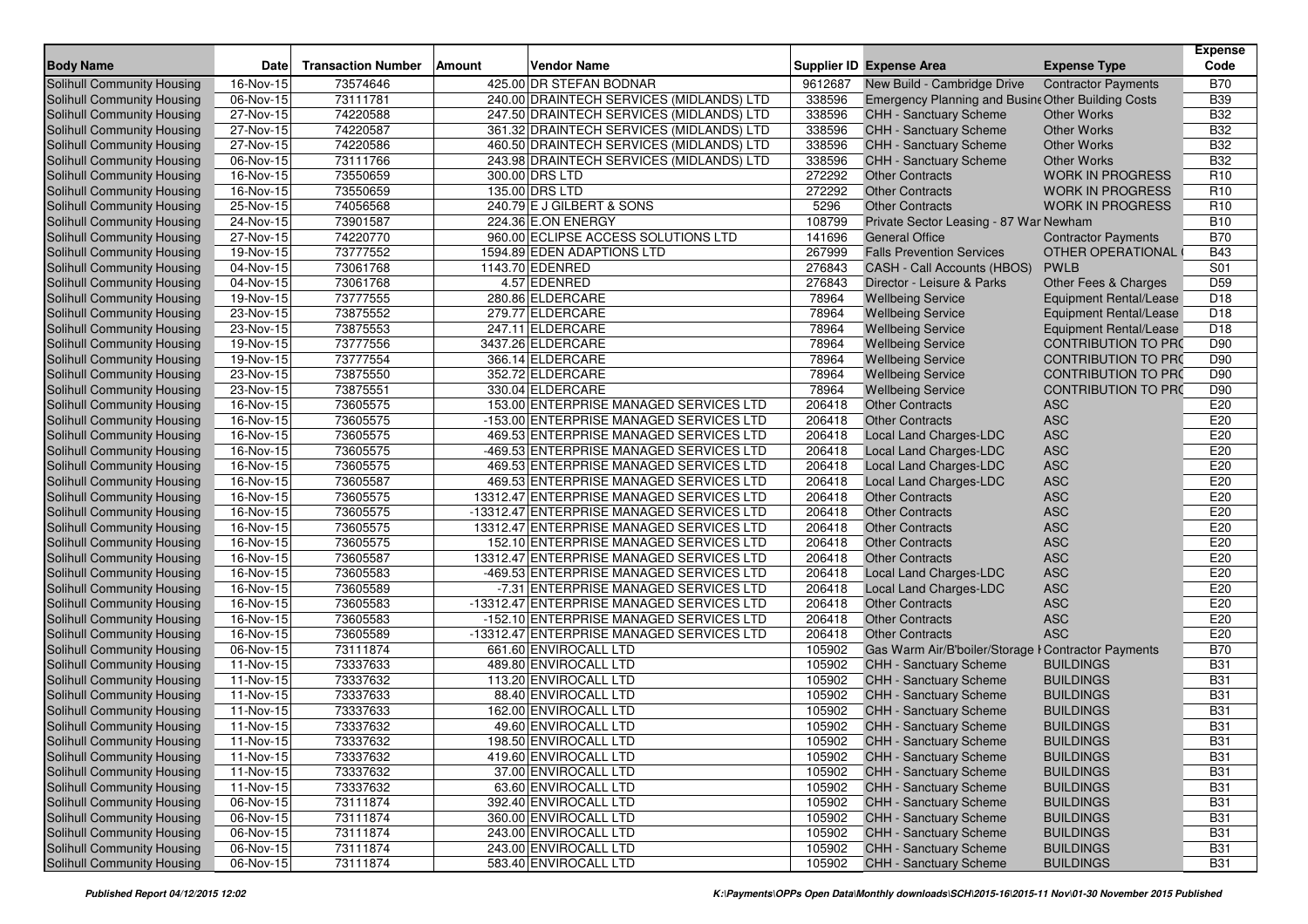|                                   |                         |                           |        |                                           |         |                                                     |                            | <b>Expense</b>  |
|-----------------------------------|-------------------------|---------------------------|--------|-------------------------------------------|---------|-----------------------------------------------------|----------------------------|-----------------|
| <b>Body Name</b>                  | <b>Date</b>             | <b>Transaction Number</b> | Amount | <b>Vendor Name</b>                        |         | <b>Supplier ID Expense Area</b>                     | <b>Expense Type</b>        | Code            |
| <b>Solihull Community Housing</b> | 16-Nov-15               | 73574646                  |        | 425.00 DR STEFAN BODNAR                   | 9612687 | New Build - Cambridge Drive                         | <b>Contractor Payments</b> | <b>B70</b>      |
| Solihull Community Housing        | 06-Nov-15               | 73111781                  |        | 240.00 DRAINTECH SERVICES (MIDLANDS) LTD  | 338596  | Emergency Planning and Busine Other Building Costs  |                            | <b>B39</b>      |
| Solihull Community Housing        | 27-Nov-15               | 74220588                  |        | 247.50 DRAINTECH SERVICES (MIDLANDS) LTD  | 338596  | <b>CHH - Sanctuary Scheme</b>                       | <b>Other Works</b>         | <b>B32</b>      |
| Solihull Community Housing        | 27-Nov-15               | 74220587                  |        | 361.32 DRAINTECH SERVICES (MIDLANDS) LTD  | 338596  | <b>CHH - Sanctuary Scheme</b>                       | <b>Other Works</b>         | <b>B32</b>      |
| Solihull Community Housing        | 27-Nov-15               | 74220586                  |        | 460.50 DRAINTECH SERVICES (MIDLANDS) LTD  | 338596  | CHH - Sanctuary Scheme                              | <b>Other Works</b>         | <b>B32</b>      |
| Solihull Community Housing        | $06-Nov-15$             | 73111766                  |        | 243.98 DRAINTECH SERVICES (MIDLANDS) LTD  | 338596  | <b>CHH - Sanctuary Scheme</b>                       | <b>Other Works</b>         | <b>B32</b>      |
| Solihull Community Housing        | 16-Nov-15               | 73550659                  |        | 300.00 DRS LTD                            | 272292  | <b>Other Contracts</b>                              | <b>WORK IN PROGRESS</b>    | R <sub>10</sub> |
| Solihull Community Housing        | 16-Nov-15               | 73550659                  |        | 135.00 DRS LTD                            | 272292  | <b>Other Contracts</b>                              | <b>WORK IN PROGRESS</b>    | R <sub>10</sub> |
| Solihull Community Housing        | 25-Nov-15               | 74056568                  |        | 240.79 E J GILBERT & SONS                 | 5296    | <b>Other Contracts</b>                              | <b>WORK IN PROGRESS</b>    | R <sub>10</sub> |
| <b>Solihull Community Housing</b> | $\overline{24}$ -Nov-15 | 73901587                  |        | 224.36 E.ON ENERGY                        | 108799  | Private Sector Leasing - 87 War Newham              |                            | <b>B10</b>      |
| Solihull Community Housing        | 27-Nov-15               | 74220770                  |        | 960.00 ECLIPSE ACCESS SOLUTIONS LTD       | 141696  | <b>General Office</b>                               | <b>Contractor Payments</b> | <b>B70</b>      |
| <b>Solihull Community Housing</b> | 19-Nov-15               | 73777552                  |        | 1594.89 EDEN ADAPTIONS LTD                | 267999  | <b>Falls Prevention Services</b>                    | OTHER OPERATIONAL          | <b>B43</b>      |
| Solihull Community Housing        | 04-Nov-15               | 73061768                  |        | 1143.70 EDENRED                           | 276843  | CASH - Call Accounts (HBOS)                         | <b>PWLB</b>                | S <sub>01</sub> |
| Solihull Community Housing        | 04-Nov-15               | 73061768                  |        | 4.57 EDENRED                              | 276843  | Director - Leisure & Parks                          | Other Fees & Charges       | D <sub>59</sub> |
| Solihull Community Housing        | 19-Nov-15               | 73777555                  |        | 280.86 ELDERCARE                          | 78964   | <b>Wellbeing Service</b>                            | Equipment Rental/Lease     | D18             |
| Solihull Community Housing        | 23-Nov-15               | 73875552                  |        | 279.77 ELDERCARE                          | 78964   | <b>Wellbeing Service</b>                            | Equipment Rental/Lease     | D18             |
| Solihull Community Housing        | 23-Nov-15               | 73875553                  |        | 247.11 ELDERCARE                          | 78964   | <b>Wellbeing Service</b>                            | Equipment Rental/Lease     | D <sub>18</sub> |
| Solihull Community Housing        | 19-Nov-15               | 73777556                  |        | 3437.26 ELDERCARE                         | 78964   | <b>Wellbeing Service</b>                            | <b>CONTRIBUTION TO PRO</b> | D90             |
| Solihull Community Housing        | 19-Nov-15               | 73777554                  |        | 366.14 ELDERCARE                          | 78964   | <b>Wellbeing Service</b>                            | <b>CONTRIBUTION TO PRO</b> | D90             |
| Solihull Community Housing        | 23-Nov-15               | 73875550                  |        | 352.72 ELDERCARE                          | 78964   | <b>Wellbeing Service</b>                            | <b>CONTRIBUTION TO PRO</b> | D90             |
| Solihull Community Housing        | 23-Nov-15               | 73875551                  |        | 330.04 ELDERCARE                          | 78964   | <b>Wellbeing Service</b>                            | <b>CONTRIBUTION TO PRO</b> | D90             |
| Solihull Community Housing        | 16-Nov-15               | 73605575                  |        | 153.00 ENTERPRISE MANAGED SERVICES LTD    | 206418  | <b>Other Contracts</b>                              | <b>ASC</b>                 | E20             |
| Solihull Community Housing        | 16-Nov-15               | 73605575                  |        | -153.00 ENTERPRISE MANAGED SERVICES LTD   | 206418  | <b>Other Contracts</b>                              | <b>ASC</b>                 | E20             |
| Solihull Community Housing        | 16-Nov-15               | 73605575                  |        | 469.53 ENTERPRISE MANAGED SERVICES LTD    | 206418  | Local Land Charges-LDC                              | <b>ASC</b>                 | E20             |
| Solihull Community Housing        | 16-Nov-15               | 73605575                  |        | -469.53 ENTERPRISE MANAGED SERVICES LTD   | 206418  | Local Land Charges-LDC                              | <b>ASC</b>                 | E20             |
| Solihull Community Housing        | 16-Nov-15               | 73605575                  |        | 469.53 ENTERPRISE MANAGED SERVICES LTD    | 206418  | Local Land Charges-LDC                              | <b>ASC</b>                 | E20             |
| Solihull Community Housing        | 16-Nov-15               | 73605587                  |        | 469.53 ENTERPRISE MANAGED SERVICES LTD    | 206418  | Local Land Charges-LDC                              | <b>ASC</b>                 | E20             |
| Solihull Community Housing        | $16-Nov-15$             | 73605575                  |        | 13312.47 ENTERPRISE MANAGED SERVICES LTD  | 206418  | <b>Other Contracts</b>                              | <b>ASC</b>                 | E20             |
| Solihull Community Housing        | $\overline{16}$ -Nov-15 | 73605575                  |        | -13312.47 ENTERPRISE MANAGED SERVICES LTD | 206418  | <b>Other Contracts</b>                              | <b>ASC</b>                 | E20             |
| Solihull Community Housing        | 16-Nov-15               | 73605575                  |        | 13312.47 ENTERPRISE MANAGED SERVICES LTD  | 206418  | <b>Other Contracts</b>                              | <b>ASC</b>                 | E20             |
| Solihull Community Housing        | 16-Nov-15               | 73605575                  |        | 152.10 ENTERPRISE MANAGED SERVICES LTD    | 206418  | <b>Other Contracts</b>                              | <b>ASC</b>                 | E20             |
| Solihull Community Housing        | 16-Nov-15               | 73605587                  |        | 13312.47 ENTERPRISE MANAGED SERVICES LTD  | 206418  | <b>Other Contracts</b>                              | <b>ASC</b>                 | E20             |
| Solihull Community Housing        | 16-Nov-15               | 73605583                  |        | -469.53 ENTERPRISE MANAGED SERVICES LTD   | 206418  | Local Land Charges-LDC                              | <b>ASC</b>                 | E20             |
| Solihull Community Housing        | 16-Nov-15               | 73605589                  |        | -7.31 ENTERPRISE MANAGED SERVICES LTD     | 206418  | Local Land Charges-LDC                              | <b>ASC</b>                 | E20             |
| Solihull Community Housing        | 16-Nov-15               | 73605583                  |        | -13312.47 ENTERPRISE MANAGED SERVICES LTD | 206418  | <b>Other Contracts</b>                              | <b>ASC</b>                 | E20             |
| Solihull Community Housing        | 16-Nov-15               | 73605583                  |        | -152.10 ENTERPRISE MANAGED SERVICES LTD   | 206418  | <b>Other Contracts</b>                              | <b>ASC</b>                 | E20             |
| Solihull Community Housing        | 16-Nov-15               | 73605589                  |        | -13312.47 ENTERPRISE MANAGED SERVICES LTD | 206418  | <b>Other Contracts</b>                              | <b>ASC</b>                 | E20             |
| <b>Solihull Community Housing</b> | 06-Nov-15               | 73111874                  |        | 661.60 ENVIROCALL LTD                     | 105902  | Gas Warm Air/B'boiler/Storage I Contractor Payments |                            | <b>B70</b>      |
| Solihull Community Housing        | 11-Nov-15               | 73337633                  |        | 489.80 ENVIROCALL LTD                     | 105902  | CHH - Sanctuary Scheme                              | <b>BUILDINGS</b>           | <b>B31</b>      |
| Solihull Community Housing        | 11-Nov-15               | 73337632                  |        | 113.20 ENVIROCALL LTD                     | 105902  | CHH - Sanctuary Scheme                              | <b>BUILDINGS</b>           | <b>B31</b>      |
| Solihull Community Housing        | 11-Nov-15               | 73337633                  |        | 88.40 ENVIROCALL LTD                      | 105902  | <b>CHH - Sanctuary Scheme</b>                       | <b>BUILDINGS</b>           | <b>B31</b>      |
| Solihull Community Housing        | 11-Nov-15               | 73337633                  |        | 162.00 ENVIROCALL LTD                     | 105902  | <b>CHH - Sanctuary Scheme</b>                       | <b>BUILDINGS</b>           | <b>B31</b>      |
| Solihull Community Housing        | 11-Nov-15               | 73337632                  |        | 49.60 ENVIROCALL LTD                      | 105902  | CHH - Sanctuary Scheme                              | <b>BUILDINGS</b>           | <b>B31</b>      |
| <b>Solihull Community Housing</b> | 11-Nov-15               | 73337632                  |        | 198.50 ENVIROCALL LTD                     |         | 105902 CHH - Sanctuary Scheme                       | <b>BUILDINGS</b>           | <b>B31</b>      |
| Solihull Community Housing        | 11-Nov-15               | 73337632                  |        | 419.60 ENVIROCALL LTD                     | 105902  | <b>CHH - Sanctuary Scheme</b>                       | <b>BUILDINGS</b>           | <b>B31</b>      |
| Solihull Community Housing        | 11-Nov-15               | 73337632                  |        | 37.00 ENVIROCALL LTD                      | 105902  | CHH - Sanctuary Scheme                              | <b>BUILDINGS</b>           | <b>B31</b>      |
| Solihull Community Housing        | 11-Nov-15               | 73337632                  |        | 63.60 ENVIROCALL LTD                      | 105902  | CHH - Sanctuary Scheme                              | <b>BUILDINGS</b>           | <b>B31</b>      |
| Solihull Community Housing        | 06-Nov-15               | 73111874                  |        | 392.40 ENVIROCALL LTD                     | 105902  | CHH - Sanctuary Scheme                              | <b>BUILDINGS</b>           | <b>B31</b>      |
| Solihull Community Housing        | 06-Nov-15               | 73111874                  |        | 360.00 ENVIROCALL LTD                     | 105902  | CHH - Sanctuary Scheme                              | <b>BUILDINGS</b>           | <b>B31</b>      |
| Solihull Community Housing        | 06-Nov-15               | 73111874                  |        | 243.00 ENVIROCALL LTD                     | 105902  | CHH - Sanctuary Scheme                              | <b>BUILDINGS</b>           | <b>B31</b>      |
| <b>Solihull Community Housing</b> | 06-Nov-15               | 73111874                  |        | 243.00 ENVIROCALL LTD                     | 105902  | CHH - Sanctuary Scheme                              | <b>BUILDINGS</b>           | <b>B31</b>      |
| <b>Solihull Community Housing</b> | 06-Nov-15               | 73111874                  |        | 583.40 ENVIROCALL LTD                     | 105902  | <b>CHH - Sanctuary Scheme</b>                       | <b>BUILDINGS</b>           | <b>B31</b>      |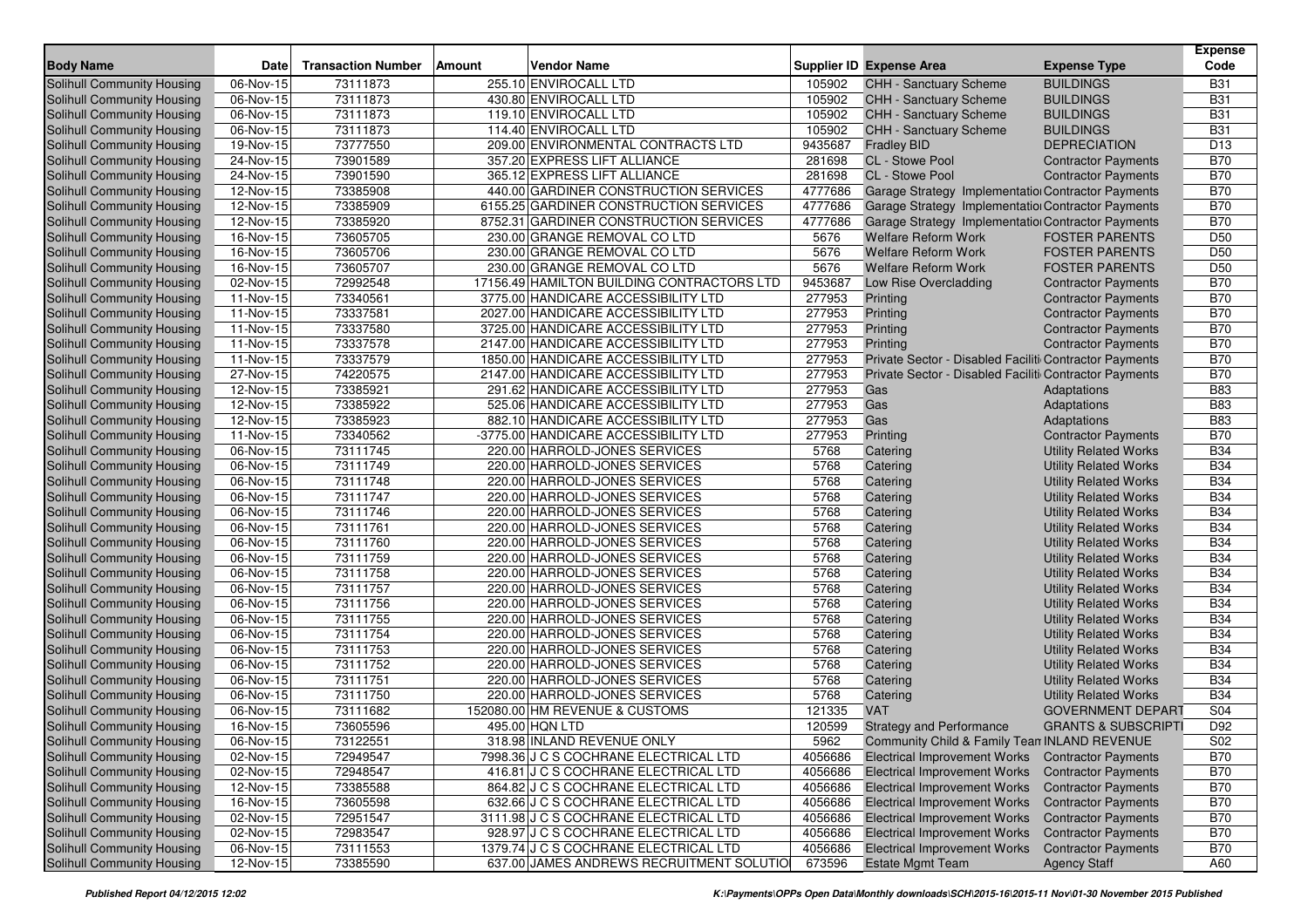| <b>Body Name</b>                  | <b>Date</b>             | <b>Transaction Number</b> | <b>Amount</b> | <b>Vendor Name</b>                         |         | <b>Supplier ID Expense Area</b>                        | <b>Expense Type</b>            | <b>Expense</b><br>Code |
|-----------------------------------|-------------------------|---------------------------|---------------|--------------------------------------------|---------|--------------------------------------------------------|--------------------------------|------------------------|
| <b>Solihull Community Housing</b> | 06-Nov-15               | 73111873                  |               | 255.10 ENVIROCALL LTD                      | 105902  | CHH - Sanctuary Scheme                                 | <b>BUILDINGS</b>               | <b>B31</b>             |
| Solihull Community Housing        | 06-Nov-15               | 73111873                  |               | 430.80 ENVIROCALL LTD                      | 105902  | CHH - Sanctuary Scheme                                 | <b>BUILDINGS</b>               | <b>B31</b>             |
| Solihull Community Housing        | $06-Nov-15$             | 73111873                  |               | 119.10 ENVIROCALL LTD                      | 105902  | CHH - Sanctuary Scheme                                 | <b>BUILDINGS</b>               | <b>B31</b>             |
| Solihull Community Housing        | 06-Nov-15               | 73111873                  |               | 114.40 ENVIROCALL LTD                      | 105902  | <b>CHH - Sanctuary Scheme</b>                          | <b>BUILDINGS</b>               | <b>B31</b>             |
| Solihull Community Housing        | 19-Nov-15               | 73777550                  |               | 209.00 ENVIRONMENTAL CONTRACTS LTD         | 9435687 | <b>Fradley BID</b>                                     | <b>DEPRECIATION</b>            | D <sub>13</sub>        |
| Solihull Community Housing        | $24-Nov-15$             | 73901589                  |               | 357.20 EXPRESS LIFT ALLIANCE               | 281698  | CL - Stowe Pool                                        | <b>Contractor Payments</b>     | <b>B70</b>             |
| Solihull Community Housing        | 24-Nov-15               | 73901590                  |               | 365.12 EXPRESS LIFT ALLIANCE               | 281698  | CL - Stowe Pool                                        | <b>Contractor Payments</b>     | <b>B70</b>             |
| Solihull Community Housing        | 12-Nov-15               | 73385908                  |               | 440.00 GARDINER CONSTRUCTION SERVICES      | 4777686 | Garage Strategy Implementation Contractor Payments     |                                | <b>B70</b>             |
| Solihull Community Housing        | 12-Nov-15               | 73385909                  |               | 6155.25 GARDINER CONSTRUCTION SERVICES     | 4777686 | Garage Strategy Implementation Contractor Payments     |                                | <b>B70</b>             |
| <b>Solihull Community Housing</b> | 12-Nov-15               | 73385920                  |               | 8752.31 GARDINER CONSTRUCTION SERVICES     | 4777686 | Garage Strategy Implementation Contractor Payments     |                                | <b>B70</b>             |
| Solihull Community Housing        | 16-Nov-15               | 73605705                  |               | 230.00 GRANGE REMOVAL CO LTD               | 5676    | Welfare Reform Work                                    | <b>FOSTER PARENTS</b>          | D <sub>50</sub>        |
| <b>Solihull Community Housing</b> | 16-Nov-15               | 73605706                  |               | 230.00 GRANGE REMOVAL CO LTD               | 5676    | <b>Welfare Reform Work</b>                             | <b>FOSTER PARENTS</b>          | D <sub>50</sub>        |
| Solihull Community Housing        | 16-Nov-15               | 73605707                  |               | 230.00 GRANGE REMOVAL CO LTD               | 5676    | <b>Welfare Reform Work</b>                             | <b>FOSTER PARENTS</b>          | D <sub>50</sub>        |
| Solihull Community Housing        | 02-Nov-15               | 72992548                  |               | 17156.49 HAMILTON BUILDING CONTRACTORS LTD | 9453687 | Low Rise Overcladding                                  | <b>Contractor Payments</b>     | <b>B70</b>             |
| Solihull Community Housing        | 11-Nov-15               | 73340561                  |               | 3775.00 HANDICARE ACCESSIBILITY LTD        | 277953  | Printing                                               | <b>Contractor Payments</b>     | <b>B70</b>             |
| Solihull Community Housing        | 11-Nov-15               | 73337581                  |               | 2027.00 HANDICARE ACCESSIBILITY LTD        | 277953  | Printing                                               | <b>Contractor Payments</b>     | <b>B70</b>             |
| Solihull Community Housing        | 11-Nov-15               | 73337580                  |               | 3725.00 HANDICARE ACCESSIBILITY LTD        | 277953  | Printing                                               | <b>Contractor Payments</b>     | <b>B70</b>             |
| Solihull Community Housing        | 11-Nov-15               | 73337578                  |               | 2147.00 HANDICARE ACCESSIBILITY LTD        | 277953  | Printing                                               | <b>Contractor Payments</b>     | <b>B70</b>             |
| Solihull Community Housing        | 11-Nov-15               | 73337579                  |               | 1850.00 HANDICARE ACCESSIBILITY LTD        | 277953  | Private Sector - Disabled Faciliti Contractor Payments |                                | <b>B70</b>             |
| Solihull Community Housing        | 27-Nov-15               | 74220575                  |               | 2147.00 HANDICARE ACCESSIBILITY LTD        | 277953  | Private Sector - Disabled Faciliti Contractor Payments |                                | <b>B70</b>             |
| Solihull Community Housing        | $\overline{1}$ 2-Nov-15 | 73385921                  |               | 291.62 HANDICARE ACCESSIBILITY LTD         | 277953  | Gas                                                    | Adaptations                    | <b>B83</b>             |
| Solihull Community Housing        | 12-Nov-15               | 73385922                  |               | 525.06 HANDICARE ACCESSIBILITY LTD         | 277953  | Gas                                                    | Adaptations                    | <b>B83</b>             |
| Solihull Community Housing        | 12-Nov-15               | 73385923                  |               | 882.10 HANDICARE ACCESSIBILITY LTD         | 277953  | Gas                                                    | Adaptations                    | <b>B83</b>             |
| Solihull Community Housing        | 11-Nov-15               | 73340562                  |               | -3775.00 HANDICARE ACCESSIBILITY LTD       | 277953  | Printing                                               | <b>Contractor Payments</b>     | <b>B70</b>             |
| Solihull Community Housing        | 06-Nov-15               | 73111745                  |               | 220.00 HARROLD-JONES SERVICES              | 5768    | Catering                                               | <b>Utility Related Works</b>   | <b>B34</b>             |
| Solihull Community Housing        | 06-Nov-15               | 73111749                  |               | 220.00 HARROLD-JONES SERVICES              | 5768    | Catering                                               | <b>Utility Related Works</b>   | <b>B34</b>             |
| Solihull Community Housing        | 06-Nov-15               | 73111748                  |               | 220.00 HARROLD-JONES SERVICES              | 5768    | Catering                                               | <b>Utility Related Works</b>   | <b>B34</b>             |
| Solihull Community Housing        | $06-Nov-15$             | 73111747                  |               | 220.00 HARROLD-JONES SERVICES              | 5768    | Catering                                               | <b>Utility Related Works</b>   | <b>B34</b>             |
| Solihull Community Housing        | 06-Nov-15               | 73111746                  |               | 220.00 HARROLD-JONES SERVICES              | 5768    | Catering                                               | <b>Utility Related Works</b>   | <b>B34</b>             |
| Solihull Community Housing        | 06-Nov-15               | 73111761                  |               | 220.00 HARROLD-JONES SERVICES              | 5768    | Catering                                               | <b>Utility Related Works</b>   | <b>B34</b>             |
| Solihull Community Housing        | 06-Nov-15               | 73111760                  |               | 220.00 HARROLD-JONES SERVICES              | 5768    | Catering                                               | <b>Utility Related Works</b>   | <b>B34</b>             |
| Solihull Community Housing        | 06-Nov-15               | 73111759                  |               | 220.00 HARROLD-JONES SERVICES              | 5768    | Catering                                               | <b>Utility Related Works</b>   | <b>B34</b>             |
| Solihull Community Housing        | 06-Nov-15               | 73111758                  |               | 220.00 HARROLD-JONES SERVICES              | 5768    | Catering                                               | <b>Utility Related Works</b>   | <b>B34</b>             |
| Solihull Community Housing        | 06-Nov-15               | 73111757                  |               | 220.00 HARROLD-JONES SERVICES              | 5768    | Catering                                               | <b>Utility Related Works</b>   | <b>B34</b>             |
| Solihull Community Housing        | 06-Nov-15               | 73111756                  |               | 220.00 HARROLD-JONES SERVICES              | 5768    | Catering                                               | <b>Utility Related Works</b>   | <b>B34</b>             |
| Solihull Community Housing        | 06-Nov-15               | 73111755                  |               | 220.00 HARROLD-JONES SERVICES              | 5768    | Catering                                               | <b>Utility Related Works</b>   | <b>B34</b>             |
| <b>Solihull Community Housing</b> | 06-Nov-15               | 73111754                  |               | 220.00 HARROLD-JONES SERVICES              | 5768    | Catering                                               | <b>Utility Related Works</b>   | <b>B34</b>             |
| Solihull Community Housing        | 06-Nov-15               | 73111753                  |               | 220.00 HARROLD-JONES SERVICES              | 5768    | Catering                                               | <b>Utility Related Works</b>   | <b>B34</b>             |
| <b>Solihull Community Housing</b> | 06-Nov-15               | 73111752                  |               | 220.00 HARROLD-JONES SERVICES              | 5768    | Catering                                               | <b>Utility Related Works</b>   | <b>B34</b>             |
| Solihull Community Housing        | 06-Nov-15               | 73111751                  |               | 220.00 HARROLD-JONES SERVICES              | 5768    | Catering                                               | <b>Utility Related Works</b>   | <b>B34</b>             |
| Solihull Community Housing        | 06-Nov-15               | 73111750                  |               | 220.00 HARROLD-JONES SERVICES              | 5768    | Catering                                               | <b>Utility Related Works</b>   | <b>B34</b>             |
| Solihull Community Housing        | 06-Nov-15               | 73111682                  |               | 152080.00 HM REVENUE & CUSTOMS             | 121335  | <b>VAT</b>                                             | <b>GOVERNMENT DEPART</b>       | S04                    |
| Solihull Community Housing        | 16-Nov-15               | 73605596                  |               | 495.00 HQN LTD                             | 120599  | <b>Strategy and Performance</b>                        | <b>GRANTS &amp; SUBSCRIPTI</b> | D92                    |
| <b>Solihull Community Housing</b> | 06-Nov-15               | 73122551                  |               | 318.98 INLAND REVENUE ONLY                 | 5962    | Community Child & Family Tean INLAND REVENUE           |                                | S <sub>02</sub>        |
| Solihull Community Housing        | 02-Nov-15               | 72949547                  |               | 7998.36 J C S COCHRANE ELECTRICAL LTD      | 4056686 | Electrical Improvement Works Contractor Payments       |                                | <b>B70</b>             |
| Solihull Community Housing        | 02-Nov-15               | 72948547                  |               | 416.81 J C S COCHRANE ELECTRICAL LTD       | 4056686 | Electrical Improvement Works Contractor Payments       |                                | <b>B70</b>             |
| Solihull Community Housing        | 12-Nov-15               | 73385588                  |               | 864.82 J C S COCHRANE ELECTRICAL LTD       | 4056686 | Electrical Improvement Works Contractor Payments       |                                | <b>B70</b>             |
| Solihull Community Housing        | 16-Nov-15               | 73605598                  |               | 632.66 J C S COCHRANE ELECTRICAL LTD       | 4056686 | Electrical Improvement Works Contractor Payments       |                                | <b>B70</b>             |
| Solihull Community Housing        | 02-Nov-15               | 72951547                  |               | 3111.98 J C S COCHRANE ELECTRICAL LTD      | 4056686 | Electrical Improvement Works Contractor Payments       |                                | <b>B70</b>             |
| Solihull Community Housing        | 02-Nov-15               | 72983547                  |               | 928.97 J C S COCHRANE ELECTRICAL LTD       | 4056686 | Electrical Improvement Works Contractor Payments       |                                | <b>B70</b>             |
| Solihull Community Housing        | 06-Nov-15               | 73111553                  |               | 1379.74 J C S COCHRANE ELECTRICAL LTD      | 4056686 | <b>Electrical Improvement Works</b>                    | <b>Contractor Payments</b>     | <b>B70</b>             |
| Solihull Community Housing        | 12-Nov-15               | 73385590                  |               | 637.00 JAMES ANDREWS RECRUITMENT SOLUTIO   | 673596  | <b>Estate Mgmt Team</b>                                | <b>Agency Staff</b>            | A60                    |
|                                   |                         |                           |               |                                            |         |                                                        |                                |                        |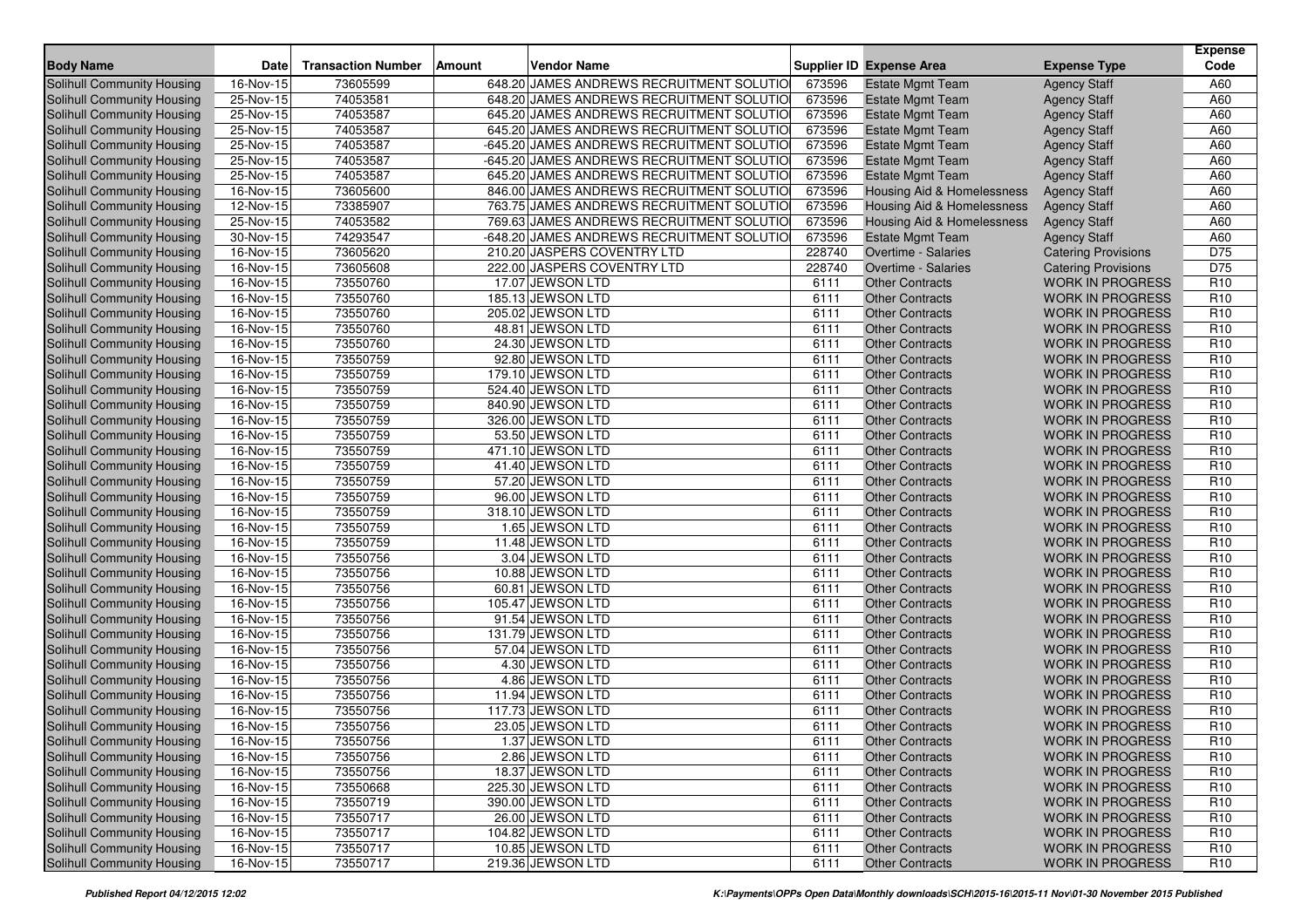| <b>Body Name</b>                                         | <b>Date</b>              | <b>Transaction Number</b> | <b>Amount</b> | <b>Vendor Name</b>                        |              | <b>Supplier ID Expense Area</b>       | <b>Expense Type</b>        | <b>Expense</b><br>Code             |
|----------------------------------------------------------|--------------------------|---------------------------|---------------|-------------------------------------------|--------------|---------------------------------------|----------------------------|------------------------------------|
| <b>Solihull Community Housing</b>                        | 16-Nov-15                | 73605599                  |               | 648.20 JAMES ANDREWS RECRUITMENT SOLUTIO  | 673596       | <b>Estate Mgmt Team</b>               | <b>Agency Staff</b>        | A60                                |
| Solihull Community Housing                               | 25-Nov-15                | 74053581                  |               | 648.20 JAMES ANDREWS RECRUITMENT SOLUTIO  | 673596       | <b>Estate Mgmt Team</b>               | <b>Agency Staff</b>        | A60                                |
| Solihull Community Housing                               | $25-Nov-15$              | 74053587                  |               | 645.20 JAMES ANDREWS RECRUITMENT SOLUTIO  | 673596       | <b>Estate Mgmt Team</b>               | <b>Agency Staff</b>        | A60                                |
| Solihull Community Housing                               | 25-Nov-15                | 74053587                  |               | 645.20 JAMES ANDREWS RECRUITMENT SOLUTIO  | 673596       | <b>Estate Mgmt Team</b>               | <b>Agency Staff</b>        | A60                                |
| Solihull Community Housing                               | 25-Nov-15                | 74053587                  |               | -645.20 JAMES ANDREWS RECRUITMENT SOLUTIO | 673596       | <b>Estate Mgmt Team</b>               | <b>Agency Staff</b>        | A60                                |
| Solihull Community Housing                               | 25-Nov-15                | 74053587                  |               | -645.20 JAMES ANDREWS RECRUITMENT SOLUTIO | 673596       | <b>Estate Mgmt Team</b>               | <b>Agency Staff</b>        | A60                                |
| Solihull Community Housing                               | 25-Nov-15                | 74053587                  |               | 645.20 JAMES ANDREWS RECRUITMENT SOLUTIO  | 673596       | <b>Estate Mgmt Team</b>               | <b>Agency Staff</b>        | A60                                |
| Solihull Community Housing                               | 16-Nov-15                | 73605600                  |               | 846.00 JAMES ANDREWS RECRUITMENT SOLUTIO  | 673596       | Housing Aid & Homelessness            | <b>Agency Staff</b>        | A60                                |
| Solihull Community Housing                               | 12-Nov-15                | 73385907                  |               | 763.75 JAMES ANDREWS RECRUITMENT SOLUTIO  | 673596       | Housing Aid & Homelessness            | <b>Agency Staff</b>        | A60                                |
| Solihull Community Housing                               | 25-Nov-15                | 74053582                  |               | 769.63 JAMES ANDREWS RECRUITMENT SOLUTIO  | 673596       | <b>Housing Aid &amp; Homelessness</b> | <b>Agency Staff</b>        | A60                                |
| Solihull Community Housing                               | 30-Nov-15                | 74293547                  |               | -648.20 JAMES ANDREWS RECRUITMENT SOLUTIO | 673596       | <b>Estate Mgmt Team</b>               | <b>Agency Staff</b>        | A60                                |
| Solihull Community Housing                               | 16-Nov-15                | 73605620                  |               | 210.20 JASPERS COVENTRY LTD               | 228740       | Overtime - Salaries                   | <b>Catering Provisions</b> | D75                                |
| Solihull Community Housing                               | 16-Nov-15                | 73605608                  |               | 222.00 JASPERS COVENTRY LTD               | 228740       | Overtime - Salaries                   | <b>Catering Provisions</b> | D75                                |
| <b>Solihull Community Housing</b>                        | $16-Nov-15$              | 73550760                  |               | 17.07 JEWSON LTD                          | 6111         | <b>Other Contracts</b>                | <b>WORK IN PROGRESS</b>    | R <sub>10</sub>                    |
| Solihull Community Housing                               | 16-Nov-15                | 73550760                  |               | 185.13 JEWSON LTD                         | 6111         | <b>Other Contracts</b>                | <b>WORK IN PROGRESS</b>    | R <sub>10</sub>                    |
| Solihull Community Housing                               | 16-Nov-15                | 73550760                  |               | 205.02 JEWSON LTD                         | 6111         | <b>Other Contracts</b>                | <b>WORK IN PROGRESS</b>    | R <sub>10</sub>                    |
| Solihull Community Housing                               | 16-Nov-15                | 73550760                  |               | 48.81 JEWSON LTD                          | 6111         | <b>Other Contracts</b>                | <b>WORK IN PROGRESS</b>    | R <sub>10</sub>                    |
| Solihull Community Housing                               | 16-Nov-15                | 73550760                  |               | 24.30 JEWSON LTD                          | 6111         | <b>Other Contracts</b>                | <b>WORK IN PROGRESS</b>    | R <sub>10</sub>                    |
| Solihull Community Housing                               | 16-Nov-15                | 73550759                  |               | 92.80 JEWSON LTD                          | 6111         | <b>Other Contracts</b>                | <b>WORK IN PROGRESS</b>    | R <sub>10</sub>                    |
|                                                          | 16-Nov-15                | 73550759                  |               | 179.10 JEWSON LTD                         | 6111         | <b>Other Contracts</b>                | <b>WORK IN PROGRESS</b>    | R <sub>10</sub>                    |
| Solihull Community Housing                               | 16-Nov-15                | 73550759                  |               | 524.40 JEWSON LTD                         | 6111         | <b>Other Contracts</b>                | <b>WORK IN PROGRESS</b>    | R <sub>10</sub>                    |
| Solihull Community Housing                               |                          | 73550759                  |               | 840.90 JEWSON LTD                         |              | <b>Other Contracts</b>                | <b>WORK IN PROGRESS</b>    | R <sub>10</sub>                    |
| Solihull Community Housing<br>Solihull Community Housing | 16-Nov-15                | 73550759                  |               | 326.00 JEWSON LTD                         | 6111         | <b>Other Contracts</b>                | <b>WORK IN PROGRESS</b>    | R <sub>10</sub>                    |
|                                                          | 16-Nov-15                |                           |               |                                           | 6111         |                                       |                            |                                    |
| Solihull Community Housing                               | 16-Nov-15<br>$16-Nov-15$ | 73550759<br>73550759      |               | 53.50 JEWSON LTD                          | 6111         | <b>Other Contracts</b>                | <b>WORK IN PROGRESS</b>    | R <sub>10</sub><br>R <sub>10</sub> |
| Solihull Community Housing                               |                          |                           |               | 471.10 JEWSON LTD                         | 6111         | <b>Other Contracts</b>                | <b>WORK IN PROGRESS</b>    |                                    |
| Solihull Community Housing                               | 16-Nov-15                | 73550759                  |               | 41.40 JEWSON LTD                          | 6111         | <b>Other Contracts</b>                | <b>WORK IN PROGRESS</b>    | R <sub>10</sub>                    |
| Solihull Community Housing                               | 16-Nov-15                | 73550759                  |               | 57.20 JEWSON LTD                          | 6111         | <b>Other Contracts</b>                | <b>WORK IN PROGRESS</b>    | R <sub>10</sub>                    |
| Solihull Community Housing                               | $16-Nov-15$              | 73550759                  |               | 96.00 JEWSON LTD                          | 6111         | <b>Other Contracts</b>                | <b>WORK IN PROGRESS</b>    | R <sub>10</sub>                    |
| Solihull Community Housing                               | 16-Nov-15                | 73550759<br>73550759      |               | 318.10 JEWSON LTD                         | 6111<br>6111 | <b>Other Contracts</b>                | <b>WORK IN PROGRESS</b>    | R <sub>10</sub><br>R <sub>10</sub> |
| Solihull Community Housing                               | 16-Nov-15                |                           |               | 1.65 JEWSON LTD                           |              | <b>Other Contracts</b>                | <b>WORK IN PROGRESS</b>    |                                    |
| Solihull Community Housing                               | 16-Nov-15                | 73550759                  |               | 11.48 JEWSON LTD                          | 6111         | <b>Other Contracts</b>                | <b>WORK IN PROGRESS</b>    | R <sub>10</sub>                    |
| Solihull Community Housing                               | 16-Nov-15                | 73550756                  |               | 3.04 JEWSON LTD                           | 6111         | <b>Other Contracts</b>                | <b>WORK IN PROGRESS</b>    | R <sub>10</sub>                    |
| Solihull Community Housing                               | 16-Nov-15                | 73550756                  |               | 10.88 JEWSON LTD                          | 6111         | <b>Other Contracts</b>                | <b>WORK IN PROGRESS</b>    | R <sub>10</sub>                    |
| <b>Solihull Community Housing</b>                        | 16-Nov-15                | 73550756                  |               | 60.81 JEWSON LTD                          | 6111         | <b>Other Contracts</b>                | <b>WORK IN PROGRESS</b>    | R <sub>10</sub>                    |
| Solihull Community Housing                               | 16-Nov-15                | 73550756                  |               | 105.47 JEWSON LTD                         | 6111         | <b>Other Contracts</b>                | <b>WORK IN PROGRESS</b>    | R <sub>10</sub>                    |
| Solihull Community Housing                               | 16-Nov-15                | 73550756                  |               | 91.54 JEWSON LTD                          | 6111         | <b>Other Contracts</b>                | <b>WORK IN PROGRESS</b>    | R <sub>10</sub>                    |
| Solihull Community Housing                               | 16-Nov-15                | 73550756                  |               | 131.79 JEWSON LTD                         | 6111         | <b>Other Contracts</b>                | <b>WORK IN PROGRESS</b>    | R <sub>10</sub>                    |
| Solihull Community Housing                               | 16-Nov-15                | 73550756                  |               | 57.04 JEWSON LTD                          | 6111         | <b>Other Contracts</b>                | <b>WORK IN PROGRESS</b>    | R <sub>10</sub>                    |
| <b>Solihull Community Housing</b>                        | $16-Nov-15$              | 73550756                  |               | 4.30 JEWSON LTD                           | 6111         | <b>Other Contracts</b>                | <b>WORK IN PROGRESS</b>    | R <sub>10</sub>                    |
| Solihull Community Housing                               | $\overline{16}$ -Nov-15  | 73550756                  |               | 4.86 JEWSON LTD                           | 6111         | <b>Other Contracts</b>                | <b>WORK IN PROGRESS</b>    | R <sub>10</sub>                    |
| Solihull Community Housing                               | 16-Nov-15                | 73550756                  |               | 11.94 JEWSON LTD                          | 6111         | <b>Other Contracts</b>                | <b>WORK IN PROGRESS</b>    | R <sub>10</sub>                    |
| Solihull Community Housing                               | 16-Nov-15                | 73550756                  |               | 117.73 JEWSON LTD                         | 6111         | <b>Other Contracts</b>                | <b>WORK IN PROGRESS</b>    | R <sub>10</sub>                    |
| Solihull Community Housing                               | 16-Nov-15                | 73550756                  |               | 23.05 JEWSON LTD                          | 6111         | <b>Other Contracts</b>                | <b>WORK IN PROGRESS</b>    | R <sub>10</sub>                    |
| Solihull Community Housing                               | 16-Nov-15                | 73550756                  |               | 1.37 JEWSON LTD                           | 6111         | Other Contracts                       | WORK IN PROGRESS           | R <sub>10</sub>                    |
| Solihull Community Housing                               | 16-Nov-15                | 73550756                  |               | 2.86 JEWSON LTD                           | 6111         | <b>Other Contracts</b>                | <b>WORK IN PROGRESS</b>    | R <sub>10</sub>                    |
| Solihull Community Housing                               | 16-Nov-15                | 73550756                  |               | 18.37 JEWSON LTD                          | 6111         | <b>Other Contracts</b>                | <b>WORK IN PROGRESS</b>    | R <sub>10</sub>                    |
| Solihull Community Housing                               | 16-Nov-15                | 73550668                  |               | 225.30 JEWSON LTD                         | 6111         | <b>Other Contracts</b>                | <b>WORK IN PROGRESS</b>    | R <sub>10</sub>                    |
| Solihull Community Housing                               | 16-Nov-15                | 73550719                  |               | 390.00 JEWSON LTD                         | 6111         | <b>Other Contracts</b>                | <b>WORK IN PROGRESS</b>    | R <sub>10</sub>                    |
| Solihull Community Housing                               | 16-Nov-15                | 73550717                  |               | 26.00 JEWSON LTD                          | 6111         | <b>Other Contracts</b>                | <b>WORK IN PROGRESS</b>    | R <sub>10</sub>                    |
| Solihull Community Housing                               | 16-Nov-15                | 73550717                  |               | 104.82 JEWSON LTD                         | 6111         | <b>Other Contracts</b>                | <b>WORK IN PROGRESS</b>    | R <sub>10</sub>                    |
| Solihull Community Housing                               | 16-Nov-15                | 73550717                  |               | 10.85 JEWSON LTD                          | 6111         | <b>Other Contracts</b>                | <b>WORK IN PROGRESS</b>    | R <sub>10</sub>                    |
| Solihull Community Housing                               | 16-Nov-15                | 73550717                  |               | 219.36 JEWSON LTD                         | 6111         | <b>Other Contracts</b>                | WORK IN PROGRESS           | R <sub>10</sub>                    |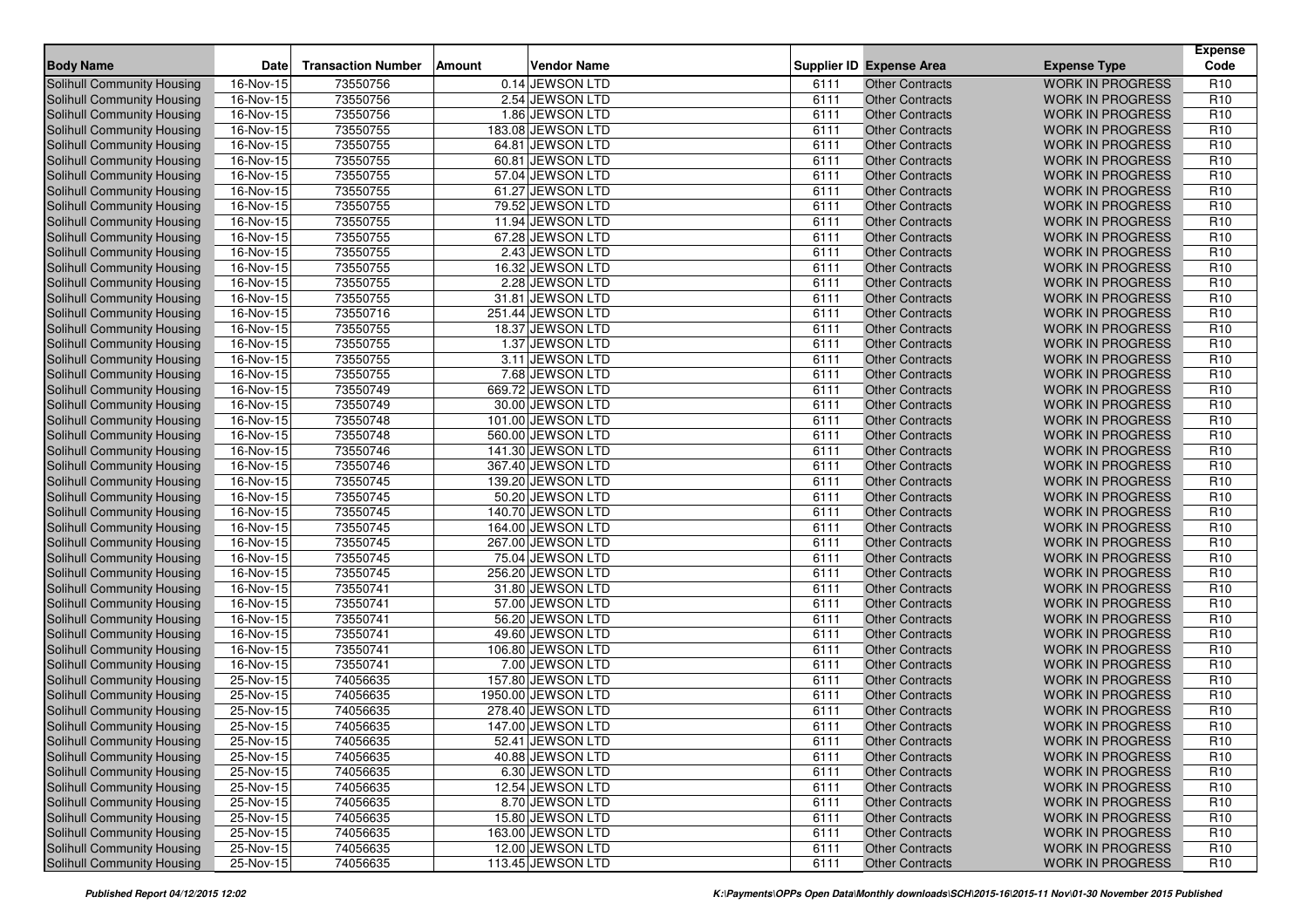| <b>Body Name</b>                  | <b>Date</b> | <b>Transaction Number</b> | Amount | <b>Vendor Name</b> |      | <b>Supplier ID Expense Area</b> | <b>Expense Type</b>     | <b>Expense</b><br>Code |
|-----------------------------------|-------------|---------------------------|--------|--------------------|------|---------------------------------|-------------------------|------------------------|
| Solihull Community Housing        | 16-Nov-15   | 73550756                  |        | 0.14 JEWSON LTD    | 6111 | <b>Other Contracts</b>          | <b>WORK IN PROGRESS</b> | R <sub>10</sub>        |
| <b>Solihull Community Housing</b> | 16-Nov-15   | 73550756                  |        | 2.54 JEWSON LTD    | 6111 | <b>Other Contracts</b>          | <b>WORK IN PROGRESS</b> | R <sub>10</sub>        |
| <b>Solihull Community Housing</b> | $16-Nov-15$ | 73550756                  |        | 1.86 JEWSON LTD    | 6111 | <b>Other Contracts</b>          | <b>WORK IN PROGRESS</b> | R <sub>10</sub>        |
| Solihull Community Housing        | 16-Nov-15   | 73550755                  |        | 183.08 JEWSON LTD  | 6111 | <b>Other Contracts</b>          | <b>WORK IN PROGRESS</b> | R <sub>10</sub>        |
| Solihull Community Housing        | 16-Nov-15   | 73550755                  |        | 64.81 JEWSON LTD   | 6111 | <b>Other Contracts</b>          | <b>WORK IN PROGRESS</b> | R <sub>10</sub>        |
| <b>Solihull Community Housing</b> | 16-Nov-15   | 73550755                  |        | 60.81 JEWSON LTD   | 6111 | <b>Other Contracts</b>          | <b>WORK IN PROGRESS</b> | R <sub>10</sub>        |
| Solihull Community Housing        | 16-Nov-15   | 73550755                  |        | 57.04 JEWSON LTD   | 6111 | <b>Other Contracts</b>          | <b>WORK IN PROGRESS</b> | R <sub>10</sub>        |
| <b>Solihull Community Housing</b> | 16-Nov-15   | 73550755                  |        | 61.27 JEWSON LTD   | 6111 | <b>Other Contracts</b>          | <b>WORK IN PROGRESS</b> | R <sub>10</sub>        |
| Solihull Community Housing        | 16-Nov-15   | 73550755                  |        | 79.52 JEWSON LTD   | 6111 | <b>Other Contracts</b>          | <b>WORK IN PROGRESS</b> | R <sub>10</sub>        |
| <b>Solihull Community Housing</b> | 16-Nov-15   | 73550755                  |        | 11.94 JEWSON LTD   | 6111 | <b>Other Contracts</b>          | <b>WORK IN PROGRESS</b> | R <sub>10</sub>        |
| <b>Solihull Community Housing</b> | 16-Nov-15   | 73550755                  |        | 67.28 JEWSON LTD   | 6111 | <b>Other Contracts</b>          | <b>WORK IN PROGRESS</b> | R <sub>10</sub>        |
| Solihull Community Housing        | $16-Nov-15$ | 73550755                  |        | 2.43 JEWSON LTD    | 6111 | <b>Other Contracts</b>          | <b>WORK IN PROGRESS</b> | R <sub>10</sub>        |
| <b>Solihull Community Housing</b> | 16-Nov-15   | 73550755                  |        | 16.32 JEWSON LTD   | 6111 | <b>Other Contracts</b>          | <b>WORK IN PROGRESS</b> | R <sub>10</sub>        |
| <b>Solihull Community Housing</b> | 16-Nov-15   | 73550755                  |        | 2.28 JEWSON LTD    | 6111 | <b>Other Contracts</b>          | <b>WORK IN PROGRESS</b> | R <sub>10</sub>        |
| Solihull Community Housing        | 16-Nov-15   | 73550755                  |        | 31.81 JEWSON LTD   | 6111 | <b>Other Contracts</b>          | <b>WORK IN PROGRESS</b> | R <sub>10</sub>        |
| Solihull Community Housing        | 16-Nov-15   | 73550716                  |        | 251.44 JEWSON LTD  | 6111 | <b>Other Contracts</b>          | <b>WORK IN PROGRESS</b> | R <sub>10</sub>        |
| Solihull Community Housing        | 16-Nov-15   | 73550755                  |        | 18.37 JEWSON LTD   | 6111 | <b>Other Contracts</b>          | <b>WORK IN PROGRESS</b> | R <sub>10</sub>        |
| Solihull Community Housing        | 16-Nov-15   | 73550755                  |        | 1.37 JEWSON LTD    | 6111 | <b>Other Contracts</b>          | <b>WORK IN PROGRESS</b> | R <sub>10</sub>        |
| Solihull Community Housing        | 16-Nov-15   | 73550755                  |        | 3.11 JEWSON LTD    | 6111 | <b>Other Contracts</b>          | <b>WORK IN PROGRESS</b> | R <sub>10</sub>        |
| Solihull Community Housing        | 16-Nov-15   | 73550755                  |        | 7.68 JEWSON LTD    | 6111 | <b>Other Contracts</b>          | <b>WORK IN PROGRESS</b> | R <sub>10</sub>        |
| Solihull Community Housing        | 16-Nov-15   | 73550749                  |        | 669.72 JEWSON LTD  | 6111 | <b>Other Contracts</b>          | <b>WORK IN PROGRESS</b> | R <sub>10</sub>        |
| Solihull Community Housing        | 16-Nov-15   | 73550749                  |        | 30.00 JEWSON LTD   | 6111 | <b>Other Contracts</b>          | <b>WORK IN PROGRESS</b> | R <sub>10</sub>        |
| Solihull Community Housing        | 16-Nov-15   | 73550748                  |        | 101.00 JEWSON LTD  | 6111 | <b>Other Contracts</b>          | <b>WORK IN PROGRESS</b> | R <sub>10</sub>        |
| <b>Solihull Community Housing</b> | 16-Nov-15   | 73550748                  |        | 560.00 JEWSON LTD  | 6111 | <b>Other Contracts</b>          | <b>WORK IN PROGRESS</b> | R <sub>10</sub>        |
| <b>Solihull Community Housing</b> | 16-Nov-15   | 73550746                  |        | 141.30 JEWSON LTD  | 6111 | <b>Other Contracts</b>          | <b>WORK IN PROGRESS</b> | R <sub>10</sub>        |
| Solihull Community Housing        | 16-Nov-15   | 73550746                  |        | 367.40 JEWSON LTD  | 6111 | <b>Other Contracts</b>          | <b>WORK IN PROGRESS</b> | R <sub>10</sub>        |
| <b>Solihull Community Housing</b> | 16-Nov-15   | 73550745                  |        | 139.20 JEWSON LTD  | 6111 | <b>Other Contracts</b>          | <b>WORK IN PROGRESS</b> | R <sub>10</sub>        |
| Solihull Community Housing        | 16-Nov-15   | 73550745                  |        | 50.20 JEWSON LTD   | 6111 | <b>Other Contracts</b>          | <b>WORK IN PROGRESS</b> | R <sub>10</sub>        |
| Solihull Community Housing        | 16-Nov-15   | 73550745                  |        | 140.70 JEWSON LTD  | 6111 | <b>Other Contracts</b>          | <b>WORK IN PROGRESS</b> | R <sub>10</sub>        |
| Solihull Community Housing        | 16-Nov-15   | 73550745                  |        | 164.00 JEWSON LTD  | 6111 | <b>Other Contracts</b>          | <b>WORK IN PROGRESS</b> | R <sub>10</sub>        |
| Solihull Community Housing        | 16-Nov-15   | 73550745                  |        | 267.00 JEWSON LTD  | 6111 | <b>Other Contracts</b>          | <b>WORK IN PROGRESS</b> | R <sub>10</sub>        |
| Solihull Community Housing        | 16-Nov-15   | 73550745                  |        | 75.04 JEWSON LTD   | 6111 | <b>Other Contracts</b>          | <b>WORK IN PROGRESS</b> | R <sub>10</sub>        |
| Solihull Community Housing        | 16-Nov-15   | 73550745                  |        | 256.20 JEWSON LTD  | 6111 | <b>Other Contracts</b>          | <b>WORK IN PROGRESS</b> | R <sub>10</sub>        |
| Solihull Community Housing        | 16-Nov-15   | 73550741                  |        | 31.80 JEWSON LTD   | 6111 | <b>Other Contracts</b>          | <b>WORK IN PROGRESS</b> | R <sub>10</sub>        |
| <b>Solihull Community Housing</b> | 16-Nov-15   | 73550741                  |        | 57.00 JEWSON LTD   | 6111 | <b>Other Contracts</b>          | <b>WORK IN PROGRESS</b> | R <sub>10</sub>        |
| Solihull Community Housing        | 16-Nov-15   | 73550741                  |        | 56.20 JEWSON LTD   | 6111 | <b>Other Contracts</b>          | <b>WORK IN PROGRESS</b> | R <sub>10</sub>        |
| Solihull Community Housing        | 16-Nov-15   | 73550741                  |        | 49.60 JEWSON LTD   | 6111 | <b>Other Contracts</b>          | <b>WORK IN PROGRESS</b> | R <sub>10</sub>        |
| <b>Solihull Community Housing</b> | 16-Nov-15   | 73550741                  |        | 106.80 JEWSON LTD  | 6111 | <b>Other Contracts</b>          | <b>WORK IN PROGRESS</b> | R <sub>10</sub>        |
| Solihull Community Housing        | 16-Nov-15   | 73550741                  |        | 7.00 JEWSON LTD    | 6111 | <b>Other Contracts</b>          | <b>WORK IN PROGRESS</b> | R <sub>10</sub>        |
| Solihull Community Housing        | 25-Nov-15   | 74056635                  |        | 157.80 JEWSON LTD  | 6111 | <b>Other Contracts</b>          | <b>WORK IN PROGRESS</b> | R <sub>10</sub>        |
| Solihull Community Housing        | 25-Nov-15   | 74056635                  |        | 1950.00 JEWSON LTD | 6111 | <b>Other Contracts</b>          | <b>WORK IN PROGRESS</b> | R <sub>10</sub>        |
| Solihull Community Housing        | 25-Nov-15   | 74056635                  |        | 278.40 JEWSON LTD  | 6111 | <b>Other Contracts</b>          | <b>WORK IN PROGRESS</b> | R <sub>10</sub>        |
| Solihull Community Housing        | 25-Nov-15   | 74056635                  |        | 147.00 JEWSON LTD  | 6111 | <b>Other Contracts</b>          | <b>WORK IN PROGRESS</b> | R <sub>10</sub>        |
| Solihull Community Housing        | 25-Nov-15   | 74056635                  |        | 52.41 JEWSON LTD   | 6111 | Other Contracts                 | WORK IN PROGRESS        | R <sub>10</sub>        |
| Solihull Community Housing        | 25-Nov-15   | 74056635                  |        | 40.88 JEWSON LTD   | 6111 | <b>Other Contracts</b>          | <b>WORK IN PROGRESS</b> | R <sub>10</sub>        |
| Solihull Community Housing        | 25-Nov-15   | 74056635                  |        | 6.30 JEWSON LTD    | 6111 | <b>Other Contracts</b>          | <b>WORK IN PROGRESS</b> | R <sub>10</sub>        |
| Solihull Community Housing        | 25-Nov-15   | 74056635                  |        | 12.54 JEWSON LTD   | 6111 | <b>Other Contracts</b>          | <b>WORK IN PROGRESS</b> | R <sub>10</sub>        |
| Solihull Community Housing        | 25-Nov-15   | 74056635                  |        | 8.70 JEWSON LTD    | 6111 | <b>Other Contracts</b>          | <b>WORK IN PROGRESS</b> | R <sub>10</sub>        |
| Solihull Community Housing        | 25-Nov-15   | 74056635                  |        | 15.80 JEWSON LTD   | 6111 | <b>Other Contracts</b>          | <b>WORK IN PROGRESS</b> | R <sub>10</sub>        |
| Solihull Community Housing        | 25-Nov-15   | 74056635                  |        | 163.00 JEWSON LTD  | 6111 | <b>Other Contracts</b>          | <b>WORK IN PROGRESS</b> | R <sub>10</sub>        |
| Solihull Community Housing        | 25-Nov-15   | 74056635                  |        | 12.00 JEWSON LTD   | 6111 | <b>Other Contracts</b>          | <b>WORK IN PROGRESS</b> | R <sub>10</sub>        |
| Solihull Community Housing        | 25-Nov-15   | 74056635                  |        | 113.45 JEWSON LTD  | 6111 | <b>Other Contracts</b>          | WORK IN PROGRESS        | R <sub>10</sub>        |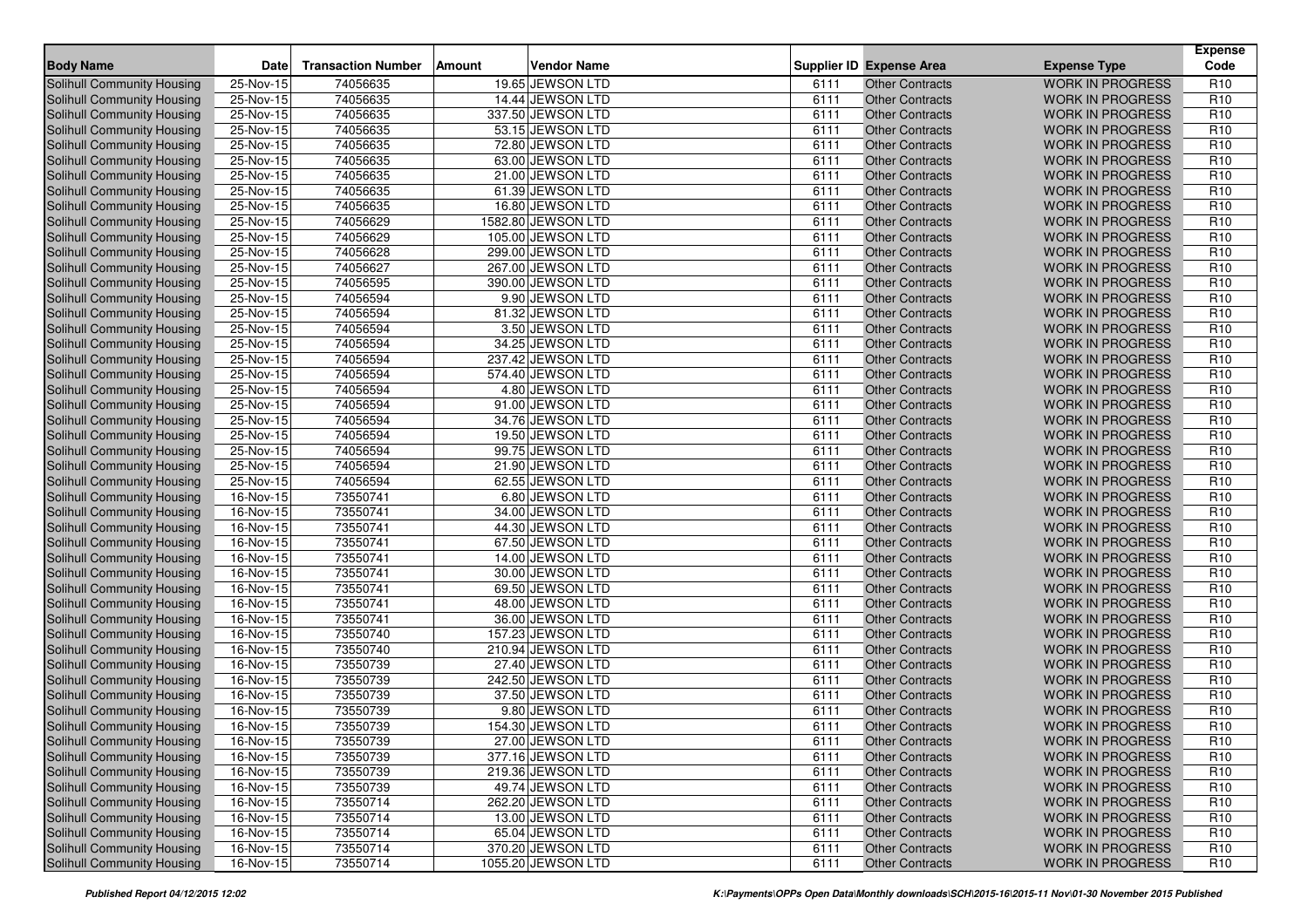| <b>Body Name</b>                                                | Date                   | <b>Transaction Number</b> | Amount | <b>Vendor Name</b> |              | <b>Supplier ID Expense Area</b>                  | <b>Expense Type</b>                                | <b>Expense</b><br>Code             |
|-----------------------------------------------------------------|------------------------|---------------------------|--------|--------------------|--------------|--------------------------------------------------|----------------------------------------------------|------------------------------------|
| Solihull Community Housing                                      | 25-Nov-15              | 74056635                  |        | 19.65 JEWSON LTD   | 6111         | <b>Other Contracts</b>                           | <b>WORK IN PROGRESS</b>                            | R <sub>10</sub>                    |
| <b>Solihull Community Housing</b>                               | 25-Nov-15              | 74056635                  |        | 14.44 JEWSON LTD   | 6111         | <b>Other Contracts</b>                           | <b>WORK IN PROGRESS</b>                            | R <sub>10</sub>                    |
|                                                                 | 25-Nov-15              | 74056635                  |        | 337.50 JEWSON LTD  | 6111         | <b>Other Contracts</b>                           | <b>WORK IN PROGRESS</b>                            | R <sub>10</sub>                    |
| Solihull Community Housing                                      | 25-Nov-15              | 74056635                  |        | 53.15 JEWSON LTD   | 6111         | <b>Other Contracts</b>                           | <b>WORK IN PROGRESS</b>                            | R <sub>10</sub>                    |
| Solihull Community Housing                                      | 25-Nov-15              | 74056635                  |        | 72.80 JEWSON LTD   | 6111         | <b>Other Contracts</b>                           | <b>WORK IN PROGRESS</b>                            | R <sub>10</sub>                    |
| Solihull Community Housing<br><b>Solihull Community Housing</b> | 25-Nov-15              | 74056635                  |        | 63.00 JEWSON LTD   | 6111         | <b>Other Contracts</b>                           | <b>WORK IN PROGRESS</b>                            | R <sub>10</sub>                    |
| Solihull Community Housing                                      | $25-Nov-15$            | 74056635                  |        | 21.00 JEWSON LTD   | 6111         | <b>Other Contracts</b>                           | <b>WORK IN PROGRESS</b>                            | R <sub>10</sub>                    |
| Solihull Community Housing                                      | 25-Nov-15              | 74056635                  |        | 61.39 JEWSON LTD   | 6111         | <b>Other Contracts</b>                           | <b>WORK IN PROGRESS</b>                            | R <sub>10</sub>                    |
| Solihull Community Housing                                      | 25-Nov-15              | 74056635                  |        | 16.80 JEWSON LTD   | 6111         | <b>Other Contracts</b>                           | <b>WORK IN PROGRESS</b>                            | R <sub>10</sub>                    |
| Solihull Community Housing                                      | 25-Nov-15              | 74056629                  |        | 1582.80 JEWSON LTD | 6111         | <b>Other Contracts</b>                           | <b>WORK IN PROGRESS</b>                            | R <sub>10</sub>                    |
| Solihull Community Housing                                      | 25-Nov-15              | 74056629                  |        | 105.00 JEWSON LTD  | 6111         | <b>Other Contracts</b>                           | <b>WORK IN PROGRESS</b>                            | R <sub>10</sub>                    |
| Solihull Community Housing                                      | 25-Nov-15              | 74056628                  |        | 299.00 JEWSON LTD  | 6111         | <b>Other Contracts</b>                           | <b>WORK IN PROGRESS</b>                            | R <sub>10</sub>                    |
| Solihull Community Housing                                      | 25-Nov-15              | 74056627                  |        | 267.00 JEWSON LTD  | 6111         | <b>Other Contracts</b>                           | <b>WORK IN PROGRESS</b>                            | R <sub>10</sub>                    |
| Solihull Community Housing                                      | 25-Nov-15              | 74056595                  |        | 390.00 JEWSON LTD  | 6111         | <b>Other Contracts</b>                           | <b>WORK IN PROGRESS</b>                            | R <sub>10</sub>                    |
| Solihull Community Housing                                      | $25-Nov-15$            | 74056594                  |        | 9.90 JEWSON LTD    | 6111         | <b>Other Contracts</b>                           | <b>WORK IN PROGRESS</b>                            | R <sub>10</sub>                    |
| Solihull Community Housing                                      | 25-Nov-15              | 74056594                  |        | 81.32 JEWSON LTD   | 6111         | <b>Other Contracts</b>                           | <b>WORK IN PROGRESS</b>                            | R <sub>10</sub>                    |
|                                                                 | 25-Nov-15              | 74056594                  |        | 3.50 JEWSON LTD    | 6111         | <b>Other Contracts</b>                           | <b>WORK IN PROGRESS</b>                            | R <sub>10</sub>                    |
| Solihull Community Housing<br>Solihull Community Housing        | $25-Nov-15$            | 74056594                  |        | 34.25 JEWSON LTD   | 6111         | <b>Other Contracts</b>                           |                                                    | R <sub>10</sub>                    |
| Solihull Community Housing                                      | 25-Nov-15              | 74056594                  |        | 237.42 JEWSON LTD  | 6111         | <b>Other Contracts</b>                           | <b>WORK IN PROGRESS</b><br><b>WORK IN PROGRESS</b> | R <sub>10</sub>                    |
| Solihull Community Housing                                      | 25-Nov-15              | 74056594                  |        | 574.40 JEWSON LTD  | 6111         | <b>Other Contracts</b>                           | <b>WORK IN PROGRESS</b>                            | R <sub>10</sub>                    |
|                                                                 | 25-Nov-15              | 74056594                  |        | 4.80 JEWSON LTD    | 6111         | <b>Other Contracts</b>                           | <b>WORK IN PROGRESS</b>                            | R <sub>10</sub>                    |
| Solihull Community Housing<br><b>Solihull Community Housing</b> |                        | 74056594                  |        | 91.00 JEWSON LTD   |              | <b>Other Contracts</b>                           | <b>WORK IN PROGRESS</b>                            | R <sub>10</sub>                    |
| Solihull Community Housing                                      | 25-Nov-15              | 74056594                  |        | 34.76 JEWSON LTD   | 6111<br>6111 |                                                  |                                                    |                                    |
| <b>Solihull Community Housing</b>                               | 25-Nov-15<br>25-Nov-15 | 74056594                  |        | 19.50 JEWSON LTD   | 6111         | <b>Other Contracts</b><br><b>Other Contracts</b> | <b>WORK IN PROGRESS</b><br><b>WORK IN PROGRESS</b> | R <sub>10</sub><br>R <sub>10</sub> |
|                                                                 | 25-Nov-15              | 74056594                  |        | 99.75 JEWSON LTD   | 6111         | <b>Other Contracts</b>                           | <b>WORK IN PROGRESS</b>                            | R <sub>10</sub>                    |
| Solihull Community Housing                                      | 25-Nov-15              | 74056594                  |        | 21.90 JEWSON LTD   | 6111         | <b>Other Contracts</b>                           | <b>WORK IN PROGRESS</b>                            | R <sub>10</sub>                    |
| Solihull Community Housing<br><b>Solihull Community Housing</b> | 25-Nov-15              | 74056594                  |        | 62.55 JEWSON LTD   | 6111         | <b>Other Contracts</b>                           | <b>WORK IN PROGRESS</b>                            | R <sub>10</sub>                    |
|                                                                 | 16-Nov-15              | 73550741                  |        | 6.80 JEWSON LTD    | 6111         | <b>Other Contracts</b>                           | <b>WORK IN PROGRESS</b>                            | R <sub>10</sub>                    |
| Solihull Community Housing<br>Solihull Community Housing        | 16-Nov-15              | 73550741                  |        | 34.00 JEWSON LTD   | 6111         | <b>Other Contracts</b>                           | <b>WORK IN PROGRESS</b>                            | R <sub>10</sub>                    |
| Solihull Community Housing                                      | 16-Nov-15              | 73550741                  |        | 44.30 JEWSON LTD   | 6111         | <b>Other Contracts</b>                           | <b>WORK IN PROGRESS</b>                            | R <sub>10</sub>                    |
| <b>Solihull Community Housing</b>                               | 16-Nov-15              | 73550741                  |        | 67.50 JEWSON LTD   | 6111         | <b>Other Contracts</b>                           | <b>WORK IN PROGRESS</b>                            | R <sub>10</sub>                    |
| Solihull Community Housing                                      | 16-Nov-15              | 73550741                  |        | 14.00 JEWSON LTD   | 6111         | <b>Other Contracts</b>                           | <b>WORK IN PROGRESS</b>                            | R <sub>10</sub>                    |
| Solihull Community Housing                                      | 16-Nov-15              | 73550741                  |        | 30.00 JEWSON LTD   | 6111         | <b>Other Contracts</b>                           | <b>WORK IN PROGRESS</b>                            | R <sub>10</sub>                    |
| Solihull Community Housing                                      | 16-Nov-15              | 73550741                  |        | 69.50 JEWSON LTD   | 6111         | <b>Other Contracts</b>                           | <b>WORK IN PROGRESS</b>                            | R <sub>10</sub>                    |
| Solihull Community Housing                                      | 16-Nov-15              | 73550741                  |        | 48.00 JEWSON LTD   | 6111         | <b>Other Contracts</b>                           | <b>WORK IN PROGRESS</b>                            | R <sub>10</sub>                    |
| <b>Solihull Community Housing</b>                               | 16-Nov-15              | 73550741                  |        | 36.00 JEWSON LTD   | 6111         | <b>Other Contracts</b>                           | <b>WORK IN PROGRESS</b>                            | R <sub>10</sub>                    |
| Solihull Community Housing                                      | 16-Nov-15              | 73550740                  |        | 157.23 JEWSON LTD  | 6111         | <b>Other Contracts</b>                           | <b>WORK IN PROGRESS</b>                            | R <sub>10</sub>                    |
| Solihull Community Housing                                      | 16-Nov-15              | 73550740                  |        | 210.94 JEWSON LTD  | 6111         | <b>Other Contracts</b>                           | <b>WORK IN PROGRESS</b>                            | R <sub>10</sub>                    |
| <b>Solihull Community Housing</b>                               | 16-Nov-15              | 73550739                  |        | 27.40 JEWSON LTD   | 6111         | <b>Other Contracts</b>                           | <b>WORK IN PROGRESS</b>                            | R <sub>10</sub>                    |
| Solihull Community Housing                                      | 16-Nov-15              | 73550739                  |        | 242.50 JEWSON LTD  | 6111         | <b>Other Contracts</b>                           | <b>WORK IN PROGRESS</b>                            | R <sub>10</sub>                    |
| <b>Solihull Community Housing</b>                               | 16-Nov-15              | 73550739                  |        | 37.50 JEWSON LTD   | 6111         | <b>Other Contracts</b>                           | <b>WORK IN PROGRESS</b>                            | R <sub>10</sub>                    |
| Solihull Community Housing                                      | 16-Nov-15              | 73550739                  |        | 9.80 JEWSON LTD    | 6111         | <b>Other Contracts</b>                           | <b>WORK IN PROGRESS</b>                            | R <sub>10</sub>                    |
| Solihull Community Housing                                      | 16-Nov-15              | 73550739                  |        | 154.30 JEWSON LTD  | 6111         | <b>Other Contracts</b>                           | <b>WORK IN PROGRESS</b>                            | R <sub>10</sub>                    |
| Solihull Community Housing                                      | 16-Nov-15              | 73550739                  |        | 27.00 JEWSON LTD   | 6111         | <b>Other Contracts</b>                           | <b>WORK IN PROGRESS</b>                            | R <sub>10</sub>                    |
| Solihull Community Housing                                      | 16-Nov-15              | 73550739                  |        | 377.16 JEWSON LTD  | 6111         | <b>Other Contracts</b>                           | <b>WORK IN PROGRESS</b>                            | R <sub>10</sub>                    |
| Solihull Community Housing                                      | $16-Nov-15$            | 73550739                  |        | 219.36 JEWSON LTD  | 6111         | <b>Other Contracts</b>                           | <b>WORK IN PROGRESS</b>                            | R <sub>10</sub>                    |
| Solihull Community Housing                                      | 16-Nov-15              | 73550739                  |        | 49.74 JEWSON LTD   | 6111         | <b>Other Contracts</b>                           | <b>WORK IN PROGRESS</b>                            | R <sub>10</sub>                    |
| Solihull Community Housing                                      | 16-Nov-15              | 73550714                  |        | 262.20 JEWSON LTD  | 6111         | <b>Other Contracts</b>                           | <b>WORK IN PROGRESS</b>                            | R <sub>10</sub>                    |
| Solihull Community Housing                                      | 16-Nov-15              | 73550714                  |        | 13.00 JEWSON LTD   | 6111         | <b>Other Contracts</b>                           | <b>WORK IN PROGRESS</b>                            | R <sub>10</sub>                    |
| Solihull Community Housing                                      | 16-Nov-15              | 73550714                  |        | 65.04 JEWSON LTD   | 6111         | <b>Other Contracts</b>                           | <b>WORK IN PROGRESS</b>                            | R <sub>10</sub>                    |
| Solihull Community Housing                                      | 16-Nov-15              | 73550714                  |        | 370.20 JEWSON LTD  | 6111         | <b>Other Contracts</b>                           | <b>WORK IN PROGRESS</b>                            | R <sub>10</sub>                    |
| Solihull Community Housing                                      | 16-Nov-15              | 73550714                  |        | 1055.20 JEWSON LTD | 6111         | <b>Other Contracts</b>                           | WORK IN PROGRESS                                   | R <sub>10</sub>                    |
|                                                                 |                        |                           |        |                    |              |                                                  |                                                    |                                    |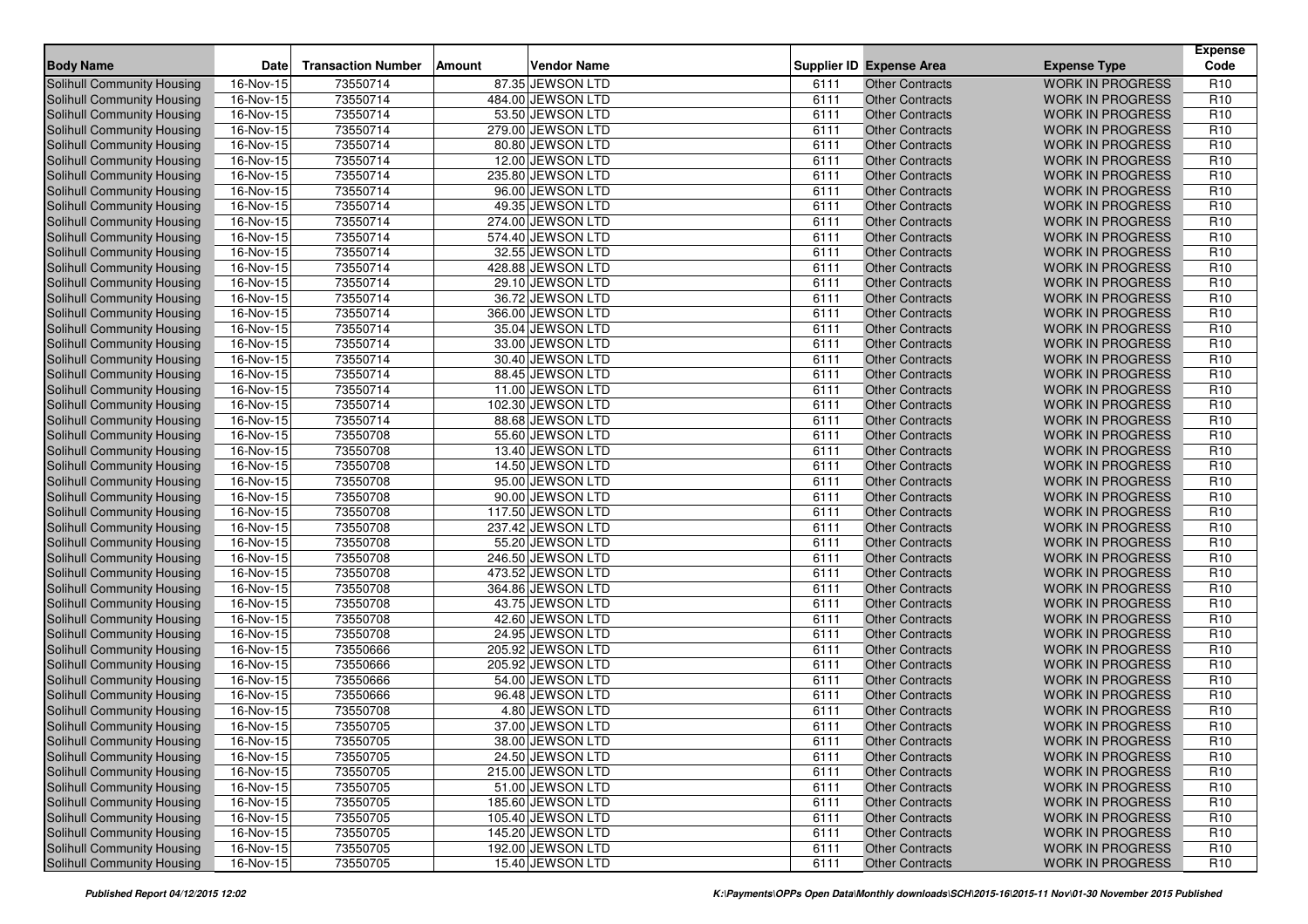| <b>Body Name</b>                  | <b>Date</b>             | <b>Transaction Number</b> | Amount | <b>Vendor Name</b> |      | <b>Supplier ID Expense Area</b> | <b>Expense Type</b>     | <b>Expense</b><br>Code |
|-----------------------------------|-------------------------|---------------------------|--------|--------------------|------|---------------------------------|-------------------------|------------------------|
| Solihull Community Housing        | 16-Nov-15               | 73550714                  |        | 87.35 JEWSON LTD   | 6111 | <b>Other Contracts</b>          | <b>WORK IN PROGRESS</b> | R <sub>10</sub>        |
| <b>Solihull Community Housing</b> | 16-Nov-15               | 73550714                  |        | 484.00 JEWSON LTD  | 6111 | <b>Other Contracts</b>          | <b>WORK IN PROGRESS</b> | R <sub>10</sub>        |
| <b>Solihull Community Housing</b> | 16-Nov-15               | 73550714                  |        | 53.50 JEWSON LTD   | 6111 | <b>Other Contracts</b>          | <b>WORK IN PROGRESS</b> | R <sub>10</sub>        |
| Solihull Community Housing        | 16-Nov-15               | 73550714                  |        | 279.00 JEWSON LTD  | 6111 | <b>Other Contracts</b>          | <b>WORK IN PROGRESS</b> | R <sub>10</sub>        |
| Solihull Community Housing        | 16-Nov-15               | 73550714                  |        | 80.80 JEWSON LTD   | 6111 | <b>Other Contracts</b>          | <b>WORK IN PROGRESS</b> | R <sub>10</sub>        |
| <b>Solihull Community Housing</b> | 16-Nov-15               | 73550714                  |        | 12.00 JEWSON LTD   | 6111 | <b>Other Contracts</b>          | <b>WORK IN PROGRESS</b> | R <sub>10</sub>        |
| Solihull Community Housing        | 16-Nov-15               | 73550714                  |        | 235.80 JEWSON LTD  | 6111 | <b>Other Contracts</b>          | <b>WORK IN PROGRESS</b> | R <sub>10</sub>        |
| Solihull Community Housing        | 16-Nov-15               | 73550714                  |        | 96.00 JEWSON LTD   | 6111 | <b>Other Contracts</b>          | <b>WORK IN PROGRESS</b> | R <sub>10</sub>        |
| Solihull Community Housing        | 16-Nov-15               | 73550714                  |        | 49.35 JEWSON LTD   | 6111 | <b>Other Contracts</b>          | <b>WORK IN PROGRESS</b> | R <sub>10</sub>        |
| Solihull Community Housing        | 16-Nov-15               | 73550714                  |        | 274.00 JEWSON LTD  | 6111 | <b>Other Contracts</b>          | <b>WORK IN PROGRESS</b> | R <sub>10</sub>        |
| Solihull Community Housing        | 16-Nov-15               | 73550714                  |        | 574.40 JEWSON LTD  | 6111 | <b>Other Contracts</b>          | <b>WORK IN PROGRESS</b> | R <sub>10</sub>        |
| Solihull Community Housing        | $16-Nov-15$             | 73550714                  |        | 32.55 JEWSON LTD   | 6111 | <b>Other Contracts</b>          | <b>WORK IN PROGRESS</b> | R <sub>10</sub>        |
| Solihull Community Housing        | 16-Nov-15               | 73550714                  |        | 428.88 JEWSON LTD  | 6111 | <b>Other Contracts</b>          | <b>WORK IN PROGRESS</b> | R <sub>10</sub>        |
| <b>Solihull Community Housing</b> | 16-Nov-15               | 73550714                  |        | 29.10 JEWSON LTD   | 6111 | <b>Other Contracts</b>          | <b>WORK IN PROGRESS</b> | R <sub>10</sub>        |
| Solihull Community Housing        | $\overline{16}$ -Nov-15 | 73550714                  |        | 36.72 JEWSON LTD   | 6111 | <b>Other Contracts</b>          | <b>WORK IN PROGRESS</b> | R <sub>10</sub>        |
| Solihull Community Housing        | 16-Nov-15               | 73550714                  |        | 366.00 JEWSON LTD  | 6111 | <b>Other Contracts</b>          | <b>WORK IN PROGRESS</b> | R <sub>10</sub>        |
| Solihull Community Housing        | 16-Nov-15               | 73550714                  |        | 35.04 JEWSON LTD   | 6111 | <b>Other Contracts</b>          | <b>WORK IN PROGRESS</b> | R <sub>10</sub>        |
| Solihull Community Housing        | 16-Nov-15               | 73550714                  |        | 33.00 JEWSON LTD   | 6111 | <b>Other Contracts</b>          | <b>WORK IN PROGRESS</b> | R <sub>10</sub>        |
| Solihull Community Housing        | 16-Nov-15               | 73550714                  |        | 30.40 JEWSON LTD   | 6111 | <b>Other Contracts</b>          | <b>WORK IN PROGRESS</b> | R <sub>10</sub>        |
| Solihull Community Housing        | 16-Nov-15               | 73550714                  |        | 88.45 JEWSON LTD   | 6111 | <b>Other Contracts</b>          | <b>WORK IN PROGRESS</b> | R <sub>10</sub>        |
| Solihull Community Housing        | 16-Nov-15               | 73550714                  |        | 11.00 JEWSON LTD   | 6111 | <b>Other Contracts</b>          | <b>WORK IN PROGRESS</b> | R <sub>10</sub>        |
| Solihull Community Housing        | 16-Nov-15               | 73550714                  |        | 102.30 JEWSON LTD  | 6111 | <b>Other Contracts</b>          | <b>WORK IN PROGRESS</b> | R <sub>10</sub>        |
| Solihull Community Housing        | 16-Nov-15               | 73550714                  |        | 88.68 JEWSON LTD   | 6111 | <b>Other Contracts</b>          | <b>WORK IN PROGRESS</b> | R <sub>10</sub>        |
| <b>Solihull Community Housing</b> | 16-Nov-15               | 73550708                  |        | 55.60 JEWSON LTD   | 6111 | <b>Other Contracts</b>          | <b>WORK IN PROGRESS</b> | R <sub>10</sub>        |
| <b>Solihull Community Housing</b> | 16-Nov-15               | 73550708                  |        | 13.40 JEWSON LTD   | 6111 | <b>Other Contracts</b>          | <b>WORK IN PROGRESS</b> | R <sub>10</sub>        |
| Solihull Community Housing        | 16-Nov-15               | 73550708                  |        | 14.50 JEWSON LTD   | 6111 | <b>Other Contracts</b>          | <b>WORK IN PROGRESS</b> | R <sub>10</sub>        |
| <b>Solihull Community Housing</b> | 16-Nov-15               | 73550708                  |        | 95.00 JEWSON LTD   | 6111 | <b>Other Contracts</b>          | <b>WORK IN PROGRESS</b> | R <sub>10</sub>        |
| Solihull Community Housing        | 16-Nov-15               | 73550708                  |        | 90.00 JEWSON LTD   | 6111 | <b>Other Contracts</b>          | <b>WORK IN PROGRESS</b> | R <sub>10</sub>        |
| Solihull Community Housing        | 16-Nov-15               | 73550708                  |        | 117.50 JEWSON LTD  | 6111 | <b>Other Contracts</b>          | <b>WORK IN PROGRESS</b> | R <sub>10</sub>        |
| Solihull Community Housing        | 16-Nov-15               | 73550708                  |        | 237.42 JEWSON LTD  | 6111 | <b>Other Contracts</b>          | <b>WORK IN PROGRESS</b> | R <sub>10</sub>        |
| Solihull Community Housing        | 16-Nov-15               | 73550708                  |        | 55.20 JEWSON LTD   | 6111 | <b>Other Contracts</b>          | <b>WORK IN PROGRESS</b> | R <sub>10</sub>        |
| Solihull Community Housing        | 16-Nov-15               | 73550708                  |        | 246.50 JEWSON LTD  | 6111 | <b>Other Contracts</b>          | <b>WORK IN PROGRESS</b> | R <sub>10</sub>        |
| Solihull Community Housing        | 16-Nov-15               | 73550708                  |        | 473.52 JEWSON LTD  | 6111 | <b>Other Contracts</b>          | <b>WORK IN PROGRESS</b> | R <sub>10</sub>        |
| Solihull Community Housing        | 16-Nov-15               | 73550708                  |        | 364.86 JEWSON LTD  | 6111 | <b>Other Contracts</b>          | <b>WORK IN PROGRESS</b> | R <sub>10</sub>        |
| <b>Solihull Community Housing</b> | 16-Nov-15               | 73550708                  |        | 43.75 JEWSON LTD   | 6111 | <b>Other Contracts</b>          | <b>WORK IN PROGRESS</b> | R <sub>10</sub>        |
| Solihull Community Housing        | 16-Nov-15               | 73550708                  |        | 42.60 JEWSON LTD   | 6111 | <b>Other Contracts</b>          | <b>WORK IN PROGRESS</b> | R <sub>10</sub>        |
| Solihull Community Housing        | 16-Nov-15               | 73550708                  |        | 24.95 JEWSON LTD   | 6111 | <b>Other Contracts</b>          | <b>WORK IN PROGRESS</b> | R <sub>10</sub>        |
| Solihull Community Housing        | 16-Nov-15               | 73550666                  |        | 205.92 JEWSON LTD  | 6111 | <b>Other Contracts</b>          | <b>WORK IN PROGRESS</b> | R <sub>10</sub>        |
| <b>Solihull Community Housing</b> | 16-Nov-15               | 73550666                  |        | 205.92 JEWSON LTD  | 6111 | <b>Other Contracts</b>          | <b>WORK IN PROGRESS</b> | R <sub>10</sub>        |
| Solihull Community Housing        | 16-Nov-15               | 73550666                  |        | 54.00 JEWSON LTD   | 6111 | <b>Other Contracts</b>          | <b>WORK IN PROGRESS</b> | R <sub>10</sub>        |
| Solihull Community Housing        | 16-Nov-15               | 73550666                  |        | 96.48 JEWSON LTD   | 6111 | <b>Other Contracts</b>          | <b>WORK IN PROGRESS</b> | R <sub>10</sub>        |
| Solihull Community Housing        | 16-Nov-15               | 73550708                  |        | 4.80 JEWSON LTD    | 6111 | <b>Other Contracts</b>          | <b>WORK IN PROGRESS</b> | R <sub>10</sub>        |
| Solihull Community Housing        | 16-Nov-15               | 73550705                  |        | 37.00 JEWSON LTD   | 6111 | <b>Other Contracts</b>          | <b>WORK IN PROGRESS</b> | R <sub>10</sub>        |
| Solihull Community Housing        | 16-Nov-15               | 73550705                  |        | 38.00 JEWSON LTD   | 6111 | Other Contracts                 | WORK IN PROGRESS        | R <sub>10</sub>        |
| Solihull Community Housing        | 16-Nov-15               | 73550705                  |        | 24.50 JEWSON LTD   | 6111 | <b>Other Contracts</b>          | <b>WORK IN PROGRESS</b> | R <sub>10</sub>        |
| Solihull Community Housing        | 16-Nov-15               | 73550705                  |        | 215.00 JEWSON LTD  | 6111 | <b>Other Contracts</b>          | <b>WORK IN PROGRESS</b> | R <sub>10</sub>        |
| Solihull Community Housing        | 16-Nov-15               | 73550705                  |        | 51.00 JEWSON LTD   | 6111 | <b>Other Contracts</b>          | <b>WORK IN PROGRESS</b> | R <sub>10</sub>        |
| Solihull Community Housing        | 16-Nov-15               | 73550705                  |        | 185.60 JEWSON LTD  | 6111 | <b>Other Contracts</b>          | <b>WORK IN PROGRESS</b> | R <sub>10</sub>        |
| Solihull Community Housing        | 16-Nov-15               | 73550705                  |        | 105.40 JEWSON LTD  | 6111 | <b>Other Contracts</b>          | <b>WORK IN PROGRESS</b> | R <sub>10</sub>        |
| Solihull Community Housing        | 16-Nov-15               | 73550705                  |        | 145.20 JEWSON LTD  | 6111 | <b>Other Contracts</b>          | <b>WORK IN PROGRESS</b> | R <sub>10</sub>        |
| Solihull Community Housing        | $16-Nov-15$             | 73550705                  |        | 192.00 JEWSON LTD  | 6111 | <b>Other Contracts</b>          | <b>WORK IN PROGRESS</b> | R <sub>10</sub>        |
| Solihull Community Housing        | 16-Nov-15               | 73550705                  |        | 15.40 JEWSON LTD   | 6111 | <b>Other Contracts</b>          | WORK IN PROGRESS        | R <sub>10</sub>        |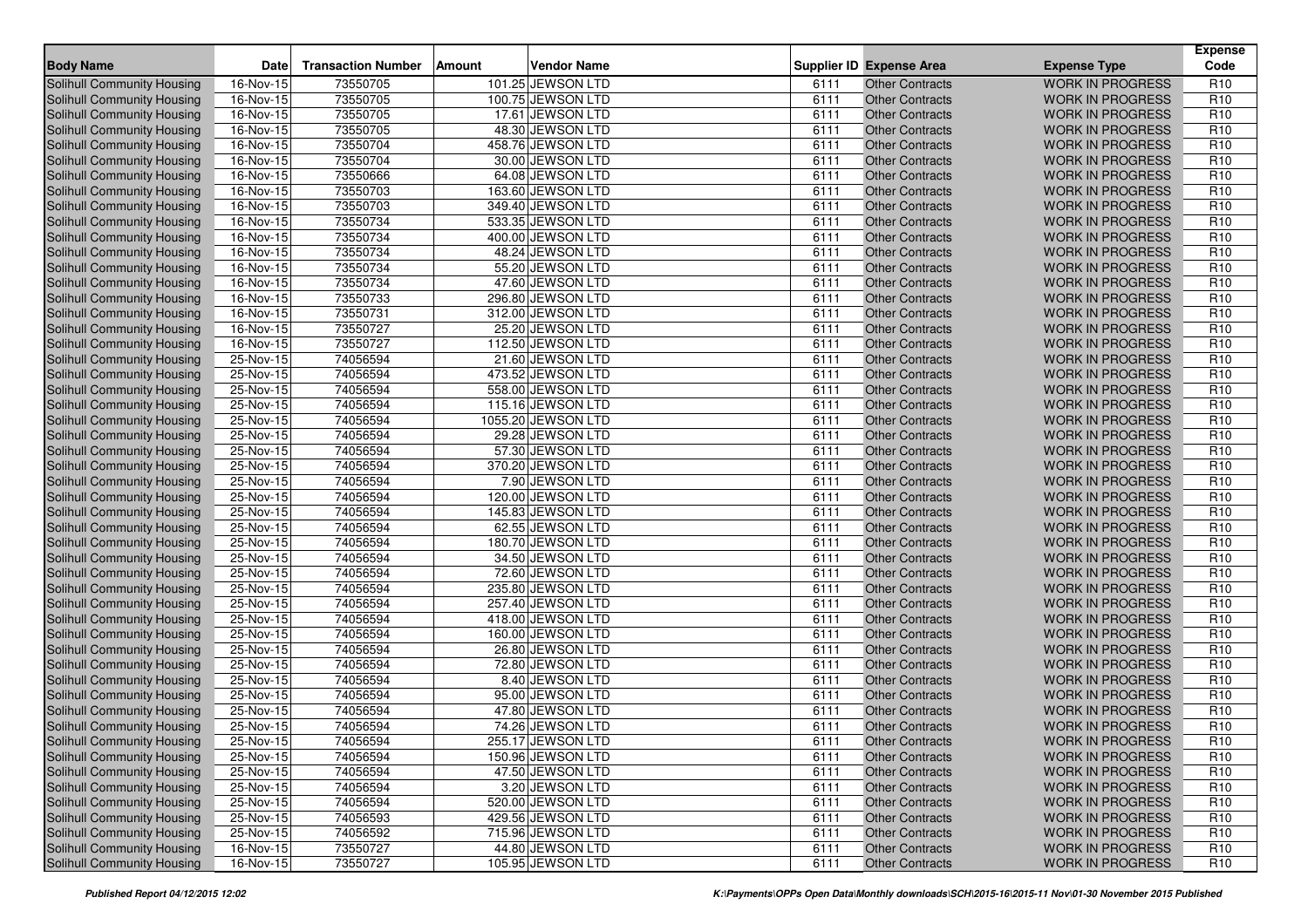| <b>Body Name</b>                  | <b>Date</b> | <b>Transaction Number</b> | Amount | <b>Vendor Name</b> |      | <b>Supplier ID Expense Area</b> | <b>Expense Type</b>     | <b>Expense</b><br>Code |
|-----------------------------------|-------------|---------------------------|--------|--------------------|------|---------------------------------|-------------------------|------------------------|
| Solihull Community Housing        | 16-Nov-15   | 73550705                  |        | 101.25 JEWSON LTD  | 6111 | <b>Other Contracts</b>          | <b>WORK IN PROGRESS</b> | R <sub>10</sub>        |
| <b>Solihull Community Housing</b> | 16-Nov-15   | 73550705                  |        | 100.75 JEWSON LTD  | 6111 | <b>Other Contracts</b>          | <b>WORK IN PROGRESS</b> | R <sub>10</sub>        |
| <b>Solihull Community Housing</b> | $16-Nov-15$ | 73550705                  |        | 17.61 JEWSON LTD   | 6111 | <b>Other Contracts</b>          | <b>WORK IN PROGRESS</b> | R <sub>10</sub>        |
| Solihull Community Housing        | 16-Nov-15   | 73550705                  |        | 48.30 JEWSON LTD   | 6111 | <b>Other Contracts</b>          | <b>WORK IN PROGRESS</b> | R <sub>10</sub>        |
| Solihull Community Housing        | 16-Nov-15   | 73550704                  |        | 458.76 JEWSON LTD  | 6111 | <b>Other Contracts</b>          | <b>WORK IN PROGRESS</b> | R <sub>10</sub>        |
| Solihull Community Housing        | 16-Nov-15   | 73550704                  |        | 30.00 JEWSON LTD   | 6111 | <b>Other Contracts</b>          | <b>WORK IN PROGRESS</b> | R <sub>10</sub>        |
| Solihull Community Housing        | 16-Nov-15   | 73550666                  |        | 64.08 JEWSON LTD   | 6111 | <b>Other Contracts</b>          | <b>WORK IN PROGRESS</b> | R <sub>10</sub>        |
| Solihull Community Housing        | 16-Nov-15   | 73550703                  |        | 163.60 JEWSON LTD  | 6111 | <b>Other Contracts</b>          | <b>WORK IN PROGRESS</b> | R <sub>10</sub>        |
| Solihull Community Housing        | 16-Nov-15   | 73550703                  |        | 349.40 JEWSON LTD  | 6111 | <b>Other Contracts</b>          | <b>WORK IN PROGRESS</b> | R <sub>10</sub>        |
| <b>Solihull Community Housing</b> | 16-Nov-15   | 73550734                  |        | 533.35 JEWSON LTD  | 6111 | <b>Other Contracts</b>          | <b>WORK IN PROGRESS</b> | R <sub>10</sub>        |
| Solihull Community Housing        | 16-Nov-15   | 73550734                  |        | 400.00 JEWSON LTD  | 6111 | <b>Other Contracts</b>          | <b>WORK IN PROGRESS</b> | R <sub>10</sub>        |
| Solihull Community Housing        | $16-Nov-15$ | 73550734                  |        | 48.24 JEWSON LTD   | 6111 | <b>Other Contracts</b>          | <b>WORK IN PROGRESS</b> | R <sub>10</sub>        |
| <b>Solihull Community Housing</b> | 16-Nov-15   | 73550734                  |        | 55.20 JEWSON LTD   | 6111 | <b>Other Contracts</b>          | <b>WORK IN PROGRESS</b> | R <sub>10</sub>        |
| <b>Solihull Community Housing</b> | 16-Nov-15   | 73550734                  |        | 47.60 JEWSON LTD   | 6111 | <b>Other Contracts</b>          | <b>WORK IN PROGRESS</b> | R <sub>10</sub>        |
| Solihull Community Housing        | 16-Nov-15   | 73550733                  |        | 296.80 JEWSON LTD  | 6111 | <b>Other Contracts</b>          | <b>WORK IN PROGRESS</b> | R <sub>10</sub>        |
| Solihull Community Housing        | 16-Nov-15   | 73550731                  |        | 312.00 JEWSON LTD  | 6111 | <b>Other Contracts</b>          | <b>WORK IN PROGRESS</b> | R <sub>10</sub>        |
| Solihull Community Housing        | 16-Nov-15   | 73550727                  |        | 25.20 JEWSON LTD   | 6111 | <b>Other Contracts</b>          | <b>WORK IN PROGRESS</b> | R <sub>10</sub>        |
| Solihull Community Housing        | 16-Nov-15   | 73550727                  |        | 112.50 JEWSON LTD  | 6111 | <b>Other Contracts</b>          | <b>WORK IN PROGRESS</b> | R <sub>10</sub>        |
| Solihull Community Housing        | 25-Nov-15   | 74056594                  |        | 21.60 JEWSON LTD   | 6111 | <b>Other Contracts</b>          | <b>WORK IN PROGRESS</b> | R <sub>10</sub>        |
| Solihull Community Housing        | 25-Nov-15   | 74056594                  |        | 473.52 JEWSON LTD  | 6111 | <b>Other Contracts</b>          | <b>WORK IN PROGRESS</b> | R <sub>10</sub>        |
| <b>Solihull Community Housing</b> | 25-Nov-15   | 74056594                  |        | 558.00 JEWSON LTD  | 6111 | <b>Other Contracts</b>          | <b>WORK IN PROGRESS</b> | R <sub>10</sub>        |
| Solihull Community Housing        | 25-Nov-15   | 74056594                  |        | 115.16 JEWSON LTD  | 6111 | <b>Other Contracts</b>          | <b>WORK IN PROGRESS</b> | R <sub>10</sub>        |
| Solihull Community Housing        | 25-Nov-15   | 74056594                  |        | 1055.20 JEWSON LTD | 6111 | <b>Other Contracts</b>          | <b>WORK IN PROGRESS</b> | R <sub>10</sub>        |
| <b>Solihull Community Housing</b> | 25-Nov-15   | 74056594                  |        | 29.28 JEWSON LTD   | 6111 | <b>Other Contracts</b>          | <b>WORK IN PROGRESS</b> | R <sub>10</sub>        |
| <b>Solihull Community Housing</b> | 25-Nov-15   | 74056594                  |        | 57.30 JEWSON LTD   | 6111 | <b>Other Contracts</b>          | <b>WORK IN PROGRESS</b> | R <sub>10</sub>        |
| Solihull Community Housing        | 25-Nov-15   | 74056594                  |        | 370.20 JEWSON LTD  | 6111 | <b>Other Contracts</b>          | <b>WORK IN PROGRESS</b> | R <sub>10</sub>        |
| <b>Solihull Community Housing</b> | 25-Nov-15   | 74056594                  |        | 7.90 JEWSON LTD    | 6111 | <b>Other Contracts</b>          | <b>WORK IN PROGRESS</b> | R <sub>10</sub>        |
| Solihull Community Housing        | 25-Nov-15   | 74056594                  |        | 120.00 JEWSON LTD  | 6111 | <b>Other Contracts</b>          | <b>WORK IN PROGRESS</b> | R <sub>10</sub>        |
| Solihull Community Housing        | 25-Nov-15   | 74056594                  |        | 145.83 JEWSON LTD  | 6111 | <b>Other Contracts</b>          | <b>WORK IN PROGRESS</b> | R <sub>10</sub>        |
| Solihull Community Housing        | $25-Nov-15$ | 74056594                  |        | 62.55 JEWSON LTD   | 6111 | <b>Other Contracts</b>          | <b>WORK IN PROGRESS</b> | R <sub>10</sub>        |
| Solihull Community Housing        | 25-Nov-15   | 74056594                  |        | 180.70 JEWSON LTD  | 6111 | <b>Other Contracts</b>          | <b>WORK IN PROGRESS</b> | R <sub>10</sub>        |
| Solihull Community Housing        | 25-Nov-15   | 74056594                  |        | 34.50 JEWSON LTD   | 6111 | <b>Other Contracts</b>          | <b>WORK IN PROGRESS</b> | R <sub>10</sub>        |
| Solihull Community Housing        | 25-Nov-15   | 74056594                  |        | 72.60 JEWSON LTD   | 6111 | <b>Other Contracts</b>          | <b>WORK IN PROGRESS</b> | R <sub>10</sub>        |
| Solihull Community Housing        | 25-Nov-15   | 74056594                  |        | 235.80 JEWSON LTD  | 6111 | <b>Other Contracts</b>          | <b>WORK IN PROGRESS</b> | R <sub>10</sub>        |
| <b>Solihull Community Housing</b> | 25-Nov-15   | 74056594                  |        | 257.40 JEWSON LTD  | 6111 | <b>Other Contracts</b>          | <b>WORK IN PROGRESS</b> | R <sub>10</sub>        |
| <b>Solihull Community Housing</b> | 25-Nov-15   | 74056594                  |        | 418.00 JEWSON LTD  | 6111 | <b>Other Contracts</b>          | <b>WORK IN PROGRESS</b> | R <sub>10</sub>        |
| Solihull Community Housing        | 25-Nov-15   | 74056594                  |        | 160.00 JEWSON LTD  | 6111 | <b>Other Contracts</b>          | <b>WORK IN PROGRESS</b> | R <sub>10</sub>        |
| <b>Solihull Community Housing</b> | 25-Nov-15   | 74056594                  |        | 26.80 JEWSON LTD   | 6111 | <b>Other Contracts</b>          | <b>WORK IN PROGRESS</b> | R <sub>10</sub>        |
| Solihull Community Housing        | 25-Nov-15   | 74056594                  |        | 72.80 JEWSON LTD   | 6111 | <b>Other Contracts</b>          | <b>WORK IN PROGRESS</b> | R <sub>10</sub>        |
| Solihull Community Housing        | 25-Nov-15   | 74056594                  |        | 8.40 JEWSON LTD    | 6111 | <b>Other Contracts</b>          | <b>WORK IN PROGRESS</b> | R <sub>10</sub>        |
| Solihull Community Housing        | 25-Nov-15   | 74056594                  |        | 95.00 JEWSON LTD   | 6111 | <b>Other Contracts</b>          | <b>WORK IN PROGRESS</b> | R <sub>10</sub>        |
| Solihull Community Housing        | 25-Nov-15   | 74056594                  |        | 47.80 JEWSON LTD   | 6111 | <b>Other Contracts</b>          | <b>WORK IN PROGRESS</b> | R <sub>10</sub>        |
| Solihull Community Housing        | 25-Nov-15   | 74056594                  |        | 74.26 JEWSON LTD   | 6111 | <b>Other Contracts</b>          | <b>WORK IN PROGRESS</b> | R <sub>10</sub>        |
| Solihull Community Housing        | 25-Nov-15   | 74056594                  |        | 255.17 JEWSON LTD  | 6111 | Other Contracts                 | WORK IN PROGRESS        | R <sub>10</sub>        |
| Solihull Community Housing        | 25-Nov-15   | 74056594                  |        | 150.96 JEWSON LTD  | 6111 | <b>Other Contracts</b>          | <b>WORK IN PROGRESS</b> | R <sub>10</sub>        |
| Solihull Community Housing        | 25-Nov-15   | 74056594                  |        | 47.50 JEWSON LTD   | 6111 | <b>Other Contracts</b>          | <b>WORK IN PROGRESS</b> | R <sub>10</sub>        |
| Solihull Community Housing        | 25-Nov-15   | 74056594                  |        | 3.20 JEWSON LTD    | 6111 | <b>Other Contracts</b>          | <b>WORK IN PROGRESS</b> | R <sub>10</sub>        |
| Solihull Community Housing        | 25-Nov-15   | 74056594                  |        | 520.00 JEWSON LTD  | 6111 | <b>Other Contracts</b>          | <b>WORK IN PROGRESS</b> | R <sub>10</sub>        |
| Solihull Community Housing        | 25-Nov-15   | 74056593                  |        | 429.56 JEWSON LTD  | 6111 | <b>Other Contracts</b>          | <b>WORK IN PROGRESS</b> | R <sub>10</sub>        |
| Solihull Community Housing        | 25-Nov-15   | 74056592                  |        | 715.96 JEWSON LTD  | 6111 | <b>Other Contracts</b>          | <b>WORK IN PROGRESS</b> | R <sub>10</sub>        |
| Solihull Community Housing        | $16-Nov-15$ | 73550727                  |        | 44.80 JEWSON LTD   | 6111 | <b>Other Contracts</b>          | <b>WORK IN PROGRESS</b> | R <sub>10</sub>        |
| Solihull Community Housing        | 16-Nov-15   | 73550727                  |        | 105.95 JEWSON LTD  | 6111 | <b>Other Contracts</b>          | WORK IN PROGRESS        | R <sub>10</sub>        |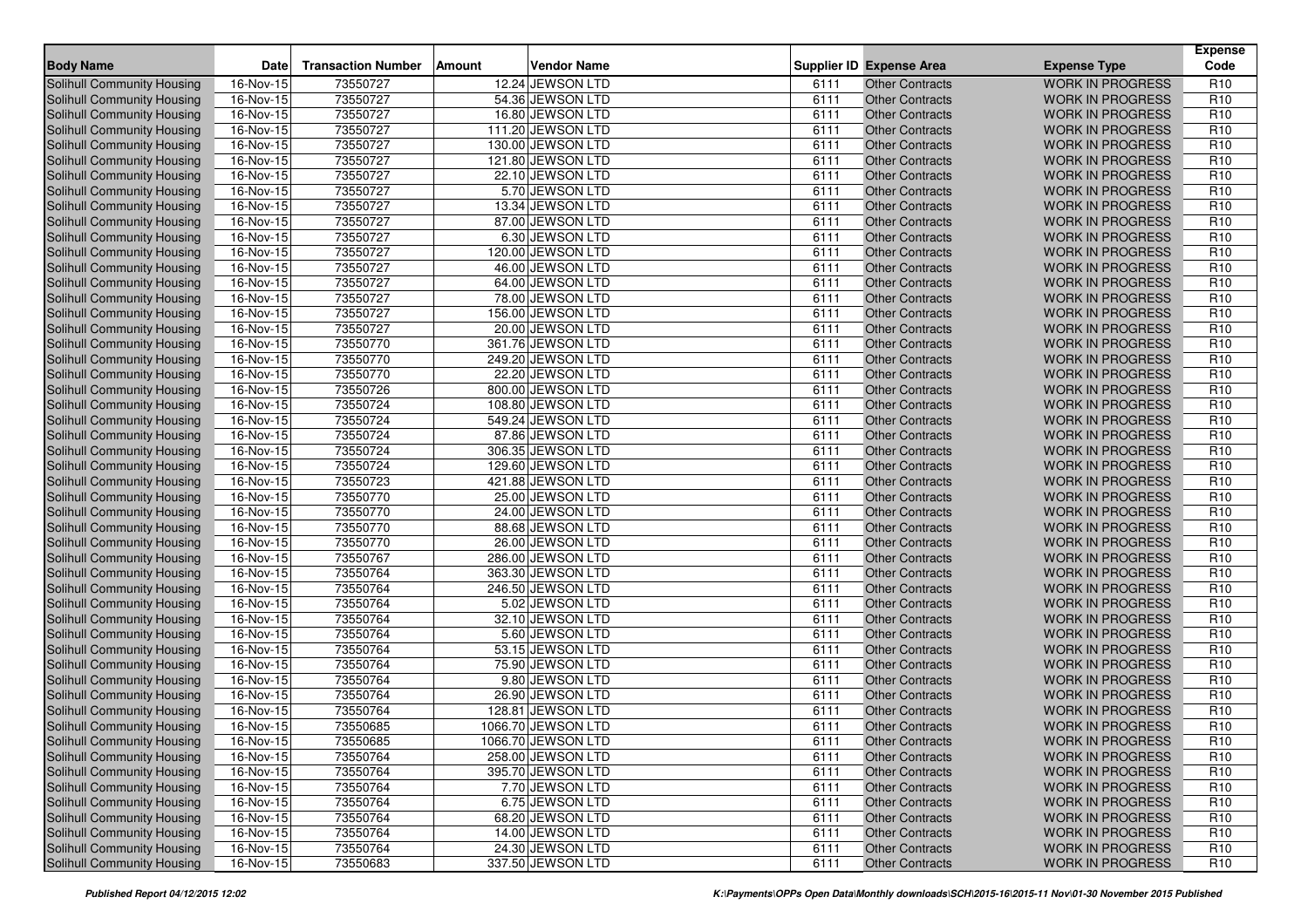| <b>Body Name</b>                  | <b>Date</b>  | <b>Transaction Number</b> | Amount | <b>Vendor Name</b> |      | <b>Supplier ID Expense Area</b> | <b>Expense Type</b>     | <b>Expense</b><br>Code |
|-----------------------------------|--------------|---------------------------|--------|--------------------|------|---------------------------------|-------------------------|------------------------|
| Solihull Community Housing        | 16-Nov-15    | 73550727                  |        | 12.24 JEWSON LTD   | 6111 | <b>Other Contracts</b>          | <b>WORK IN PROGRESS</b> | R <sub>10</sub>        |
| <b>Solihull Community Housing</b> | 16-Nov-15    | 73550727                  |        | 54.36 JEWSON LTD   | 6111 | <b>Other Contracts</b>          | <b>WORK IN PROGRESS</b> | R <sub>10</sub>        |
| <b>Solihull Community Housing</b> | $16-Nov-15$  | 73550727                  |        | 16.80 JEWSON LTD   | 6111 | <b>Other Contracts</b>          | <b>WORK IN PROGRESS</b> | R <sub>10</sub>        |
| Solihull Community Housing        | 16-Nov-15    | 73550727                  |        | 111.20 JEWSON LTD  | 6111 | <b>Other Contracts</b>          | <b>WORK IN PROGRESS</b> | R <sub>10</sub>        |
| Solihull Community Housing        | 16-Nov-15    | 73550727                  |        | 130.00 JEWSON LTD  | 6111 | <b>Other Contracts</b>          | <b>WORK IN PROGRESS</b> | R <sub>10</sub>        |
| <b>Solihull Community Housing</b> | 16-Nov-15    | 73550727                  |        | 121.80 JEWSON LTD  | 6111 | <b>Other Contracts</b>          | <b>WORK IN PROGRESS</b> | R <sub>10</sub>        |
| Solihull Community Housing        | 16-Nov-15    | 73550727                  |        | 22.10 JEWSON LTD   | 6111 | <b>Other Contracts</b>          | <b>WORK IN PROGRESS</b> | R <sub>10</sub>        |
| <b>Solihull Community Housing</b> | 16-Nov-15    | 73550727                  |        | 5.70 JEWSON LTD    | 6111 | <b>Other Contracts</b>          | <b>WORK IN PROGRESS</b> | R <sub>10</sub>        |
| Solihull Community Housing        | 16-Nov-15    | 73550727                  |        | 13.34 JEWSON LTD   | 6111 | <b>Other Contracts</b>          | <b>WORK IN PROGRESS</b> | R <sub>10</sub>        |
| Solihull Community Housing        | 16-Nov-15    | 73550727                  |        | 87.00 JEWSON LTD   | 6111 | <b>Other Contracts</b>          | <b>WORK IN PROGRESS</b> | R <sub>10</sub>        |
| <b>Solihull Community Housing</b> | 16-Nov-15    | 73550727                  |        | 6.30 JEWSON LTD    | 6111 | <b>Other Contracts</b>          | <b>WORK IN PROGRESS</b> | R <sub>10</sub>        |
| Solihull Community Housing        | $16-Nov-15$  | 73550727                  |        | 120.00 JEWSON LTD  | 6111 | <b>Other Contracts</b>          | <b>WORK IN PROGRESS</b> | R <sub>10</sub>        |
| <b>Solihull Community Housing</b> | 16-Nov-15    | 73550727                  |        | 46.00 JEWSON LTD   | 6111 | <b>Other Contracts</b>          | <b>WORK IN PROGRESS</b> | R <sub>10</sub>        |
| <b>Solihull Community Housing</b> | 16-Nov-15    | 73550727                  |        | 64.00 JEWSON LTD   | 6111 | <b>Other Contracts</b>          | <b>WORK IN PROGRESS</b> | R <sub>10</sub>        |
| Solihull Community Housing        | $16$ -Nov-15 | 73550727                  |        | 78.00 JEWSON LTD   | 6111 | <b>Other Contracts</b>          | <b>WORK IN PROGRESS</b> | R <sub>10</sub>        |
| Solihull Community Housing        | 16-Nov-15    | 73550727                  |        | 156.00 JEWSON LTD  | 6111 | <b>Other Contracts</b>          | <b>WORK IN PROGRESS</b> | R <sub>10</sub>        |
| Solihull Community Housing        | 16-Nov-15    | 73550727                  |        | 20.00 JEWSON LTD   | 6111 | <b>Other Contracts</b>          | <b>WORK IN PROGRESS</b> | R <sub>10</sub>        |
| Solihull Community Housing        | 16-Nov-15    | 73550770                  |        | 361.76 JEWSON LTD  | 6111 | <b>Other Contracts</b>          | <b>WORK IN PROGRESS</b> | R <sub>10</sub>        |
| Solihull Community Housing        | 16-Nov-15    | 73550770                  |        | 249.20 JEWSON LTD  | 6111 | <b>Other Contracts</b>          | <b>WORK IN PROGRESS</b> | R <sub>10</sub>        |
| Solihull Community Housing        | 16-Nov-15    | 73550770                  |        | 22.20 JEWSON LTD   | 6111 | <b>Other Contracts</b>          | <b>WORK IN PROGRESS</b> | R <sub>10</sub>        |
| Solihull Community Housing        | 16-Nov-15    | 73550726                  |        | 800.00 JEWSON LTD  | 6111 | <b>Other Contracts</b>          | <b>WORK IN PROGRESS</b> | R <sub>10</sub>        |
| Solihull Community Housing        | 16-Nov-15    | 73550724                  |        | 108.80 JEWSON LTD  | 6111 | <b>Other Contracts</b>          | <b>WORK IN PROGRESS</b> | R <sub>10</sub>        |
| Solihull Community Housing        | 16-Nov-15    | 73550724                  |        | 549.24 JEWSON LTD  | 6111 | <b>Other Contracts</b>          | <b>WORK IN PROGRESS</b> | R <sub>10</sub>        |
| <b>Solihull Community Housing</b> | 16-Nov-15    | 73550724                  |        | 87.86 JEWSON LTD   | 6111 | <b>Other Contracts</b>          | <b>WORK IN PROGRESS</b> | R <sub>10</sub>        |
| <b>Solihull Community Housing</b> | 16-Nov-15    | 73550724                  |        | 306.35 JEWSON LTD  | 6111 | <b>Other Contracts</b>          | <b>WORK IN PROGRESS</b> | R <sub>10</sub>        |
| Solihull Community Housing        | 16-Nov-15    | 73550724                  |        | 129.60 JEWSON LTD  | 6111 | <b>Other Contracts</b>          | <b>WORK IN PROGRESS</b> | R <sub>10</sub>        |
| <b>Solihull Community Housing</b> | 16-Nov-15    | 73550723                  |        | 421.88 JEWSON LTD  | 6111 | <b>Other Contracts</b>          | <b>WORK IN PROGRESS</b> | R <sub>10</sub>        |
| Solihull Community Housing        | 16-Nov-15    | 73550770                  |        | 25.00 JEWSON LTD   | 6111 | <b>Other Contracts</b>          | <b>WORK IN PROGRESS</b> | R <sub>10</sub>        |
| Solihull Community Housing        | 16-Nov-15    | 73550770                  |        | 24.00 JEWSON LTD   | 6111 | <b>Other Contracts</b>          | <b>WORK IN PROGRESS</b> | R <sub>10</sub>        |
| Solihull Community Housing        | 16-Nov-15    | 73550770                  |        | 88.68 JEWSON LTD   | 6111 | <b>Other Contracts</b>          | <b>WORK IN PROGRESS</b> | R <sub>10</sub>        |
| Solihull Community Housing        | 16-Nov-15    | 73550770                  |        | 26.00 JEWSON LTD   | 6111 | <b>Other Contracts</b>          | <b>WORK IN PROGRESS</b> | R <sub>10</sub>        |
| Solihull Community Housing        | 16-Nov-15    | 73550767                  |        | 286.00 JEWSON LTD  | 6111 | <b>Other Contracts</b>          | <b>WORK IN PROGRESS</b> | R <sub>10</sub>        |
| Solihull Community Housing        | 16-Nov-15    | 73550764                  |        | 363.30 JEWSON LTD  | 6111 | <b>Other Contracts</b>          | <b>WORK IN PROGRESS</b> | R <sub>10</sub>        |
| Solihull Community Housing        | 16-Nov-15    | 73550764                  |        | 246.50 JEWSON LTD  | 6111 | <b>Other Contracts</b>          | <b>WORK IN PROGRESS</b> | R <sub>10</sub>        |
| <b>Solihull Community Housing</b> | 16-Nov-15    | 73550764                  |        | 5.02 JEWSON LTD    | 6111 | <b>Other Contracts</b>          | <b>WORK IN PROGRESS</b> | R <sub>10</sub>        |
| Solihull Community Housing        | 16-Nov-15    | 73550764                  |        | 32.10 JEWSON LTD   | 6111 | <b>Other Contracts</b>          | <b>WORK IN PROGRESS</b> | R <sub>10</sub>        |
| Solihull Community Housing        | 16-Nov-15    | 73550764                  |        | 5.60 JEWSON LTD    | 6111 | <b>Other Contracts</b>          | <b>WORK IN PROGRESS</b> | R <sub>10</sub>        |
| <b>Solihull Community Housing</b> | 16-Nov-15    | 73550764                  |        | 53.15 JEWSON LTD   | 6111 | <b>Other Contracts</b>          | <b>WORK IN PROGRESS</b> | R <sub>10</sub>        |
| <b>Solihull Community Housing</b> | 16-Nov-15    | 73550764                  |        | 75.90 JEWSON LTD   | 6111 | <b>Other Contracts</b>          | <b>WORK IN PROGRESS</b> | R <sub>10</sub>        |
| Solihull Community Housing        | 16-Nov-15    | 73550764                  |        | 9.80 JEWSON LTD    | 6111 | <b>Other Contracts</b>          | <b>WORK IN PROGRESS</b> | R <sub>10</sub>        |
| Solihull Community Housing        | 16-Nov-15    | 73550764                  |        | 26.90 JEWSON LTD   | 6111 | <b>Other Contracts</b>          | <b>WORK IN PROGRESS</b> | R <sub>10</sub>        |
| Solihull Community Housing        | 16-Nov-15    | 73550764                  |        | 128.81 JEWSON LTD  | 6111 | <b>Other Contracts</b>          | <b>WORK IN PROGRESS</b> | R <sub>10</sub>        |
| Solihull Community Housing        | 16-Nov-15    | 73550685                  |        | 1066.70 JEWSON LTD | 6111 | <b>Other Contracts</b>          | <b>WORK IN PROGRESS</b> | R <sub>10</sub>        |
| Solihull Community Housing        | 16-Nov-15    | 73550685                  |        | 1066.70 JEWSON LTD | 6111 | Other Contracts                 | WORK IN PROGRESS        | R <sub>10</sub>        |
| Solihull Community Housing        | 16-Nov-15    | 73550764                  |        | 258.00 JEWSON LTD  | 6111 | <b>Other Contracts</b>          | <b>WORK IN PROGRESS</b> | R <sub>10</sub>        |
| Solihull Community Housing        | 16-Nov-15    | 73550764                  |        | 395.70 JEWSON LTD  | 6111 | <b>Other Contracts</b>          | <b>WORK IN PROGRESS</b> | R <sub>10</sub>        |
| Solihull Community Housing        | 16-Nov-15    | 73550764                  |        | 7.70 JEWSON LTD    | 6111 | <b>Other Contracts</b>          | <b>WORK IN PROGRESS</b> | R <sub>10</sub>        |
| Solihull Community Housing        | 16-Nov-15    | 73550764                  |        | 6.75 JEWSON LTD    | 6111 | <b>Other Contracts</b>          | <b>WORK IN PROGRESS</b> | R <sub>10</sub>        |
| Solihull Community Housing        | 16-Nov-15    | 73550764                  |        | 68.20 JEWSON LTD   | 6111 | <b>Other Contracts</b>          | <b>WORK IN PROGRESS</b> | R <sub>10</sub>        |
| Solihull Community Housing        | 16-Nov-15    | 73550764                  |        | 14.00 JEWSON LTD   | 6111 | <b>Other Contracts</b>          | <b>WORK IN PROGRESS</b> | R <sub>10</sub>        |
| Solihull Community Housing        | $16-Nov-15$  | 73550764                  |        | 24.30 JEWSON LTD   | 6111 | <b>Other Contracts</b>          | <b>WORK IN PROGRESS</b> | R <sub>10</sub>        |
| Solihull Community Housing        | 16-Nov-15    | 73550683                  |        | 337.50 JEWSON LTD  | 6111 | <b>Other Contracts</b>          | WORK IN PROGRESS        | R <sub>10</sub>        |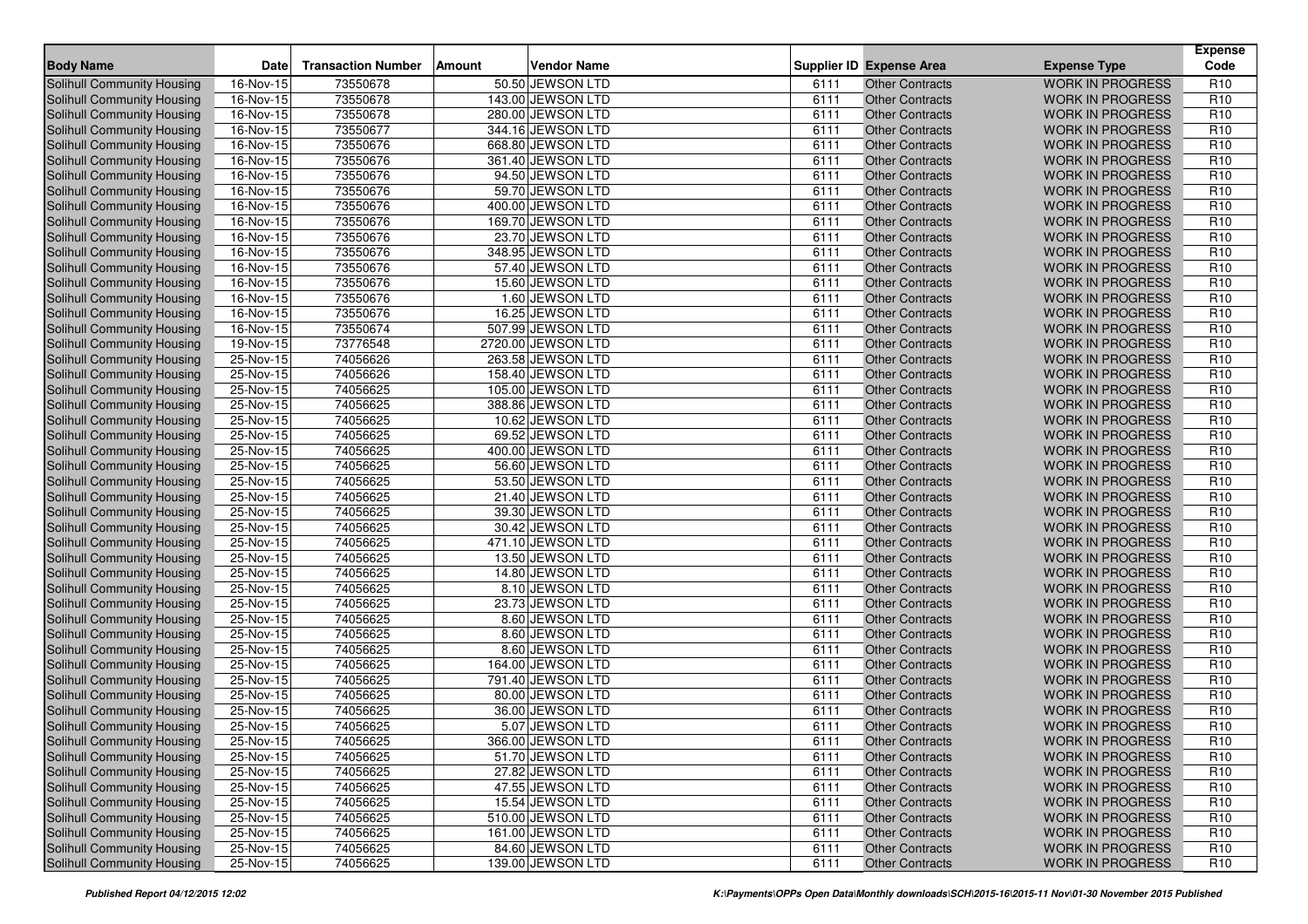| <b>Body Name</b>                  | <b>Date</b> | <b>Transaction Number</b> | Amount | <b>Vendor Name</b> |      | <b>Supplier ID Expense Area</b> | <b>Expense Type</b>     | <b>Expense</b><br>Code |
|-----------------------------------|-------------|---------------------------|--------|--------------------|------|---------------------------------|-------------------------|------------------------|
| Solihull Community Housing        | 16-Nov-15   | 73550678                  |        | 50.50 JEWSON LTD   | 6111 | <b>Other Contracts</b>          | <b>WORK IN PROGRESS</b> | R <sub>10</sub>        |
| <b>Solihull Community Housing</b> | 16-Nov-15   | 73550678                  |        | 143.00 JEWSON LTD  | 6111 | <b>Other Contracts</b>          | <b>WORK IN PROGRESS</b> | R <sub>10</sub>        |
| <b>Solihull Community Housing</b> | $16-Nov-15$ | 73550678                  |        | 280.00 JEWSON LTD  | 6111 | <b>Other Contracts</b>          | <b>WORK IN PROGRESS</b> | R <sub>10</sub>        |
| Solihull Community Housing        | 16-Nov-15   | 73550677                  |        | 344.16 JEWSON LTD  | 6111 | <b>Other Contracts</b>          | <b>WORK IN PROGRESS</b> | R <sub>10</sub>        |
| Solihull Community Housing        | 16-Nov-15   | 73550676                  |        | 668.80 JEWSON LTD  | 6111 | <b>Other Contracts</b>          | <b>WORK IN PROGRESS</b> | R <sub>10</sub>        |
| <b>Solihull Community Housing</b> | 16-Nov-15   | 73550676                  |        | 361.40 JEWSON LTD  | 6111 | <b>Other Contracts</b>          | <b>WORK IN PROGRESS</b> | R <sub>10</sub>        |
| Solihull Community Housing        | 16-Nov-15   | 73550676                  |        | 94.50 JEWSON LTD   | 6111 | <b>Other Contracts</b>          | <b>WORK IN PROGRESS</b> | R <sub>10</sub>        |
| Solihull Community Housing        | 16-Nov-15   | 73550676                  |        | 59.70 JEWSON LTD   | 6111 | <b>Other Contracts</b>          | <b>WORK IN PROGRESS</b> | R <sub>10</sub>        |
| Solihull Community Housing        | 16-Nov-15   | 73550676                  |        | 400.00 JEWSON LTD  | 6111 | <b>Other Contracts</b>          | <b>WORK IN PROGRESS</b> | R <sub>10</sub>        |
| Solihull Community Housing        | 16-Nov-15   | 73550676                  |        | 169.70 JEWSON LTD  | 6111 | <b>Other Contracts</b>          | <b>WORK IN PROGRESS</b> | R <sub>10</sub>        |
| Solihull Community Housing        | 16-Nov-15   | 73550676                  |        | 23.70 JEWSON LTD   | 6111 | <b>Other Contracts</b>          | <b>WORK IN PROGRESS</b> | R <sub>10</sub>        |
| Solihull Community Housing        | $16-Nov-15$ | 73550676                  |        | 348.95 JEWSON LTD  | 6111 | <b>Other Contracts</b>          | <b>WORK IN PROGRESS</b> | R <sub>10</sub>        |
| Solihull Community Housing        | 16-Nov-15   | 73550676                  |        | 57.40 JEWSON LTD   | 6111 | <b>Other Contracts</b>          | <b>WORK IN PROGRESS</b> | R <sub>10</sub>        |
| <b>Solihull Community Housing</b> | 16-Nov-15   | 73550676                  |        | 15.60 JEWSON LTD   | 6111 | <b>Other Contracts</b>          | <b>WORK IN PROGRESS</b> | R <sub>10</sub>        |
| Solihull Community Housing        | 16-Nov-15   | 73550676                  |        | 1.60 JEWSON LTD    | 6111 | <b>Other Contracts</b>          | <b>WORK IN PROGRESS</b> | R <sub>10</sub>        |
| Solihull Community Housing        | 16-Nov-15   | 73550676                  |        | 16.25 JEWSON LTD   | 6111 | <b>Other Contracts</b>          | <b>WORK IN PROGRESS</b> | R <sub>10</sub>        |
| Solihull Community Housing        | 16-Nov-15   | 73550674                  |        | 507.99 JEWSON LTD  | 6111 | <b>Other Contracts</b>          | <b>WORK IN PROGRESS</b> | R <sub>10</sub>        |
| Solihull Community Housing        | 19-Nov-15   | 73776548                  |        | 2720.00 JEWSON LTD | 6111 | <b>Other Contracts</b>          | <b>WORK IN PROGRESS</b> | R <sub>10</sub>        |
| Solihull Community Housing        | 25-Nov-15   | 74056626                  |        | 263.58 JEWSON LTD  | 6111 | <b>Other Contracts</b>          | <b>WORK IN PROGRESS</b> | R <sub>10</sub>        |
| Solihull Community Housing        | 25-Nov-15   | 74056626                  |        | 158.40 JEWSON LTD  | 6111 | <b>Other Contracts</b>          | <b>WORK IN PROGRESS</b> | R <sub>10</sub>        |
| <b>Solihull Community Housing</b> | 25-Nov-15   | 74056625                  |        | 105.00 JEWSON LTD  | 6111 | <b>Other Contracts</b>          | <b>WORK IN PROGRESS</b> | R <sub>10</sub>        |
| Solihull Community Housing        | 25-Nov-15   | 74056625                  |        | 388.86 JEWSON LTD  | 6111 | <b>Other Contracts</b>          | <b>WORK IN PROGRESS</b> | R <sub>10</sub>        |
| Solihull Community Housing        | 25-Nov-15   | 74056625                  |        | 10.62 JEWSON LTD   | 6111 | <b>Other Contracts</b>          | <b>WORK IN PROGRESS</b> | R <sub>10</sub>        |
| <b>Solihull Community Housing</b> | 25-Nov-15   | 74056625                  |        | 69.52 JEWSON LTD   | 6111 | <b>Other Contracts</b>          | <b>WORK IN PROGRESS</b> | R <sub>10</sub>        |
| <b>Solihull Community Housing</b> | 25-Nov-15   | 74056625                  |        | 400.00 JEWSON LTD  | 6111 | <b>Other Contracts</b>          | <b>WORK IN PROGRESS</b> | R <sub>10</sub>        |
| Solihull Community Housing        | 25-Nov-15   | 74056625                  |        | 56.60 JEWSON LTD   | 6111 | <b>Other Contracts</b>          | <b>WORK IN PROGRESS</b> | R <sub>10</sub>        |
| <b>Solihull Community Housing</b> | 25-Nov-15   | 74056625                  |        | 53.50 JEWSON LTD   | 6111 | <b>Other Contracts</b>          | <b>WORK IN PROGRESS</b> | R <sub>10</sub>        |
| Solihull Community Housing        | 25-Nov-15   | 74056625                  |        | 21.40 JEWSON LTD   | 6111 | <b>Other Contracts</b>          | <b>WORK IN PROGRESS</b> | R <sub>10</sub>        |
| Solihull Community Housing        | 25-Nov-15   | 74056625                  |        | 39.30 JEWSON LTD   | 6111 | <b>Other Contracts</b>          | <b>WORK IN PROGRESS</b> | R <sub>10</sub>        |
| Solihull Community Housing        | $25-Nov-15$ | 74056625                  |        | 30.42 JEWSON LTD   | 6111 | <b>Other Contracts</b>          | <b>WORK IN PROGRESS</b> | R <sub>10</sub>        |
| Solihull Community Housing        | 25-Nov-15   | 74056625                  |        | 471.10 JEWSON LTD  | 6111 | <b>Other Contracts</b>          | <b>WORK IN PROGRESS</b> | R <sub>10</sub>        |
| Solihull Community Housing        | 25-Nov-15   | 74056625                  |        | 13.50 JEWSON LTD   | 6111 | <b>Other Contracts</b>          | <b>WORK IN PROGRESS</b> | R <sub>10</sub>        |
| Solihull Community Housing        | 25-Nov-15   | 74056625                  |        | 14.80 JEWSON LTD   | 6111 | <b>Other Contracts</b>          | <b>WORK IN PROGRESS</b> | R <sub>10</sub>        |
| Solihull Community Housing        | 25-Nov-15   | 74056625                  |        | 8.10 JEWSON LTD    | 6111 | <b>Other Contracts</b>          | <b>WORK IN PROGRESS</b> | R <sub>10</sub>        |
| <b>Solihull Community Housing</b> | 25-Nov-15   | 74056625                  |        | 23.73 JEWSON LTD   | 6111 | <b>Other Contracts</b>          | <b>WORK IN PROGRESS</b> | R <sub>10</sub>        |
| Solihull Community Housing        | 25-Nov-15   | 74056625                  |        | 8.60 JEWSON LTD    | 6111 | <b>Other Contracts</b>          | <b>WORK IN PROGRESS</b> | R <sub>10</sub>        |
| Solihull Community Housing        | 25-Nov-15   | 74056625                  |        | 8.60 JEWSON LTD    | 6111 | <b>Other Contracts</b>          | <b>WORK IN PROGRESS</b> | R <sub>10</sub>        |
| <b>Solihull Community Housing</b> | 25-Nov-15   | 74056625                  |        | 8.60 JEWSON LTD    | 6111 | <b>Other Contracts</b>          | <b>WORK IN PROGRESS</b> | R <sub>10</sub>        |
| Solihull Community Housing        | 25-Nov-15   | 74056625                  |        | 164.00 JEWSON LTD  | 6111 | <b>Other Contracts</b>          | <b>WORK IN PROGRESS</b> | R <sub>10</sub>        |
| Solihull Community Housing        | 25-Nov-15   | 74056625                  |        | 791.40 JEWSON LTD  | 6111 | <b>Other Contracts</b>          | <b>WORK IN PROGRESS</b> | R <sub>10</sub>        |
| Solihull Community Housing        | 25-Nov-15   | 74056625                  |        | 80.00 JEWSON LTD   | 6111 | <b>Other Contracts</b>          | <b>WORK IN PROGRESS</b> | R <sub>10</sub>        |
| Solihull Community Housing        | 25-Nov-15   | 74056625                  |        | 36.00 JEWSON LTD   | 6111 | <b>Other Contracts</b>          | <b>WORK IN PROGRESS</b> | R <sub>10</sub>        |
| Solihull Community Housing        | 25-Nov-15   | 74056625                  |        | 5.07 JEWSON LTD    | 6111 | <b>Other Contracts</b>          | <b>WORK IN PROGRESS</b> | R <sub>10</sub>        |
| Solihull Community Housing        | 25-Nov-15   | 74056625                  |        | 366.00 JEWSON LTD  | 6111 | Other Contracts                 | WORK IN PROGRESS        | R <sub>10</sub>        |
| Solihull Community Housing        | 25-Nov-15   | 74056625                  |        | 51.70 JEWSON LTD   | 6111 | <b>Other Contracts</b>          | <b>WORK IN PROGRESS</b> | R <sub>10</sub>        |
| Solihull Community Housing        | 25-Nov-15   | 74056625                  |        | 27.82 JEWSON LTD   | 6111 | <b>Other Contracts</b>          | <b>WORK IN PROGRESS</b> | R <sub>10</sub>        |
| Solihull Community Housing        | 25-Nov-15   | 74056625                  |        | 47.55 JEWSON LTD   | 6111 | <b>Other Contracts</b>          | <b>WORK IN PROGRESS</b> | R <sub>10</sub>        |
| Solihull Community Housing        | 25-Nov-15   | 74056625                  |        | 15.54 JEWSON LTD   | 6111 | <b>Other Contracts</b>          | <b>WORK IN PROGRESS</b> | R <sub>10</sub>        |
| Solihull Community Housing        | 25-Nov-15   | 74056625                  |        | 510.00 JEWSON LTD  | 6111 | <b>Other Contracts</b>          | <b>WORK IN PROGRESS</b> | R <sub>10</sub>        |
| Solihull Community Housing        | 25-Nov-15   | 74056625                  |        | 161.00 JEWSON LTD  | 6111 | <b>Other Contracts</b>          | <b>WORK IN PROGRESS</b> | R <sub>10</sub>        |
| Solihull Community Housing        | 25-Nov-15   | 74056625                  |        | 84.60 JEWSON LTD   | 6111 | <b>Other Contracts</b>          | <b>WORK IN PROGRESS</b> | R <sub>10</sub>        |
| Solihull Community Housing        | 25-Nov-15   | 74056625                  |        | 139.00 JEWSON LTD  | 6111 | <b>Other Contracts</b>          | WORK IN PROGRESS        | R <sub>10</sub>        |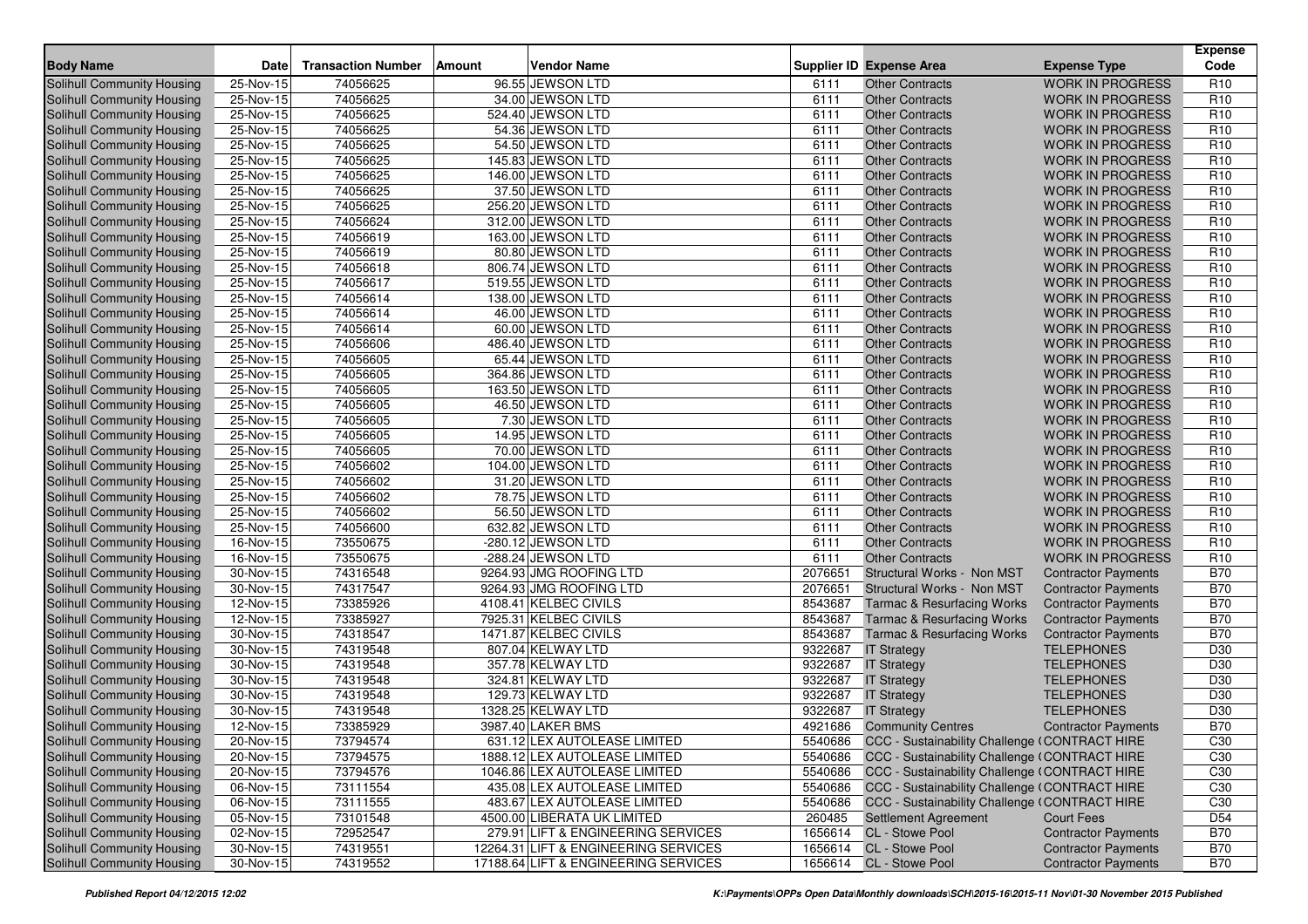| <b>Body Name</b>                                         | Date                     | <b>Transaction Number</b> | <b>Amount</b> | <b>Vendor Name</b>                    |              | <b>Supplier ID Expense Area</b>                       | <b>Expense Type</b>        | <b>Expense</b><br>Code             |
|----------------------------------------------------------|--------------------------|---------------------------|---------------|---------------------------------------|--------------|-------------------------------------------------------|----------------------------|------------------------------------|
| Solihull Community Housing                               | 25-Nov-15                | 74056625                  |               | 96.55 JEWSON LTD                      | 6111         | <b>Other Contracts</b>                                | <b>WORK IN PROGRESS</b>    | R <sub>10</sub>                    |
|                                                          |                          | 74056625                  |               | 34.00 JEWSON LTD                      | 6111         |                                                       | <b>WORK IN PROGRESS</b>    |                                    |
| Solihull Community Housing                               | 25-Nov-15<br>$25-Nov-15$ |                           |               |                                       |              | <b>Other Contracts</b>                                | <b>WORK IN PROGRESS</b>    | R <sub>10</sub><br>R <sub>10</sub> |
| Solihull Community Housing                               |                          | 74056625<br>74056625      |               | 524.40 JEWSON LTD<br>54.36 JEWSON LTD | 6111<br>6111 | <b>Other Contracts</b><br><b>Other Contracts</b>      | <b>WORK IN PROGRESS</b>    | R <sub>10</sub>                    |
| Solihull Community Housing                               | 25-Nov-15<br>25-Nov-15   | 74056625                  |               | 54.50 JEWSON LTD                      | 6111         | <b>Other Contracts</b>                                | <b>WORK IN PROGRESS</b>    | R <sub>10</sub>                    |
| Solihull Community Housing<br>Solihull Community Housing | 25-Nov-15                | 74056625                  |               | 145.83 JEWSON LTD                     | 6111         | <b>Other Contracts</b>                                | <b>WORK IN PROGRESS</b>    | R <sub>10</sub>                    |
| <b>Solihull Community Housing</b>                        | 25-Nov-15                | 74056625                  |               | 146.00 JEWSON LTD                     | 6111         | <b>Other Contracts</b>                                | <b>WORK IN PROGRESS</b>    | R <sub>10</sub>                    |
| Solihull Community Housing                               | 25-Nov-15                | 74056625                  |               | 37.50 JEWSON LTD                      | 6111         | <b>Other Contracts</b>                                | <b>WORK IN PROGRESS</b>    | R <sub>10</sub>                    |
| Solihull Community Housing                               | 25-Nov-15                | 74056625                  |               | 256.20 JEWSON LTD                     | 6111         | <b>Other Contracts</b>                                | <b>WORK IN PROGRESS</b>    | R <sub>10</sub>                    |
| Solihull Community Housing                               | 25-Nov-15                | 74056624                  |               | 312.00 JEWSON LTD                     | 6111         | <b>Other Contracts</b>                                | <b>WORK IN PROGRESS</b>    | R <sub>10</sub>                    |
| Solihull Community Housing                               | 25-Nov-15                | 74056619                  |               | 163.00 JEWSON LTD                     | 6111         | <b>Other Contracts</b>                                | <b>WORK IN PROGRESS</b>    | R <sub>10</sub>                    |
| <b>Solihull Community Housing</b>                        | $25-Nov-15$              | 74056619                  |               | 80.80 JEWSON LTD                      | 6111         | <b>Other Contracts</b>                                | <b>WORK IN PROGRESS</b>    | R <sub>10</sub>                    |
| Solihull Community Housing                               | 25-Nov-15                | 74056618                  |               | 806.74 JEWSON LTD                     | 6111         | <b>Other Contracts</b>                                | <b>WORK IN PROGRESS</b>    | R <sub>10</sub>                    |
| Solihull Community Housing                               | 25-Nov-15                | 74056617                  |               | 519.55 JEWSON LTD                     | 6111         | <b>Other Contracts</b>                                | <b>WORK IN PROGRESS</b>    | R <sub>10</sub>                    |
| <b>Solihull Community Housing</b>                        | 25-Nov-15                | 74056614                  |               | 138.00 JEWSON LTD                     | 6111         | <b>Other Contracts</b>                                | <b>WORK IN PROGRESS</b>    | R <sub>10</sub>                    |
| Solihull Community Housing                               | 25-Nov-15                | 74056614                  |               | 46.00 JEWSON LTD                      | 6111         | <b>Other Contracts</b>                                | <b>WORK IN PROGRESS</b>    | R <sub>10</sub>                    |
| Solihull Community Housing                               | 25-Nov-15                | 74056614                  |               | 60.00 JEWSON LTD                      | 6111         | <b>Other Contracts</b>                                | <b>WORK IN PROGRESS</b>    | R <sub>10</sub>                    |
| Solihull Community Housing                               | $25$ -Nov-15             | 74056606                  |               | 486.40 JEWSON LTD                     | 6111         | <b>Other Contracts</b>                                | <b>WORK IN PROGRESS</b>    | R <sub>10</sub>                    |
| Solihull Community Housing                               | 25-Nov-15                | 74056605                  |               | 65.44 JEWSON LTD                      | 6111         | <b>Other Contracts</b>                                | <b>WORK IN PROGRESS</b>    | R <sub>10</sub>                    |
| Solihull Community Housing                               | 25-Nov-15                | 74056605                  |               | 364.86 JEWSON LTD                     | 6111         | <b>Other Contracts</b>                                | <b>WORK IN PROGRESS</b>    | R <sub>10</sub>                    |
| Solihull Community Housing                               | 25-Nov-15                | 74056605                  |               | 163.50 JEWSON LTD                     | 6111         | <b>Other Contracts</b>                                | <b>WORK IN PROGRESS</b>    | R <sub>10</sub>                    |
| Solihull Community Housing                               | 25-Nov-15                | 74056605                  |               | 46.50 JEWSON LTD                      | 6111         | <b>Other Contracts</b>                                | <b>WORK IN PROGRESS</b>    | R <sub>10</sub>                    |
| Solihull Community Housing                               | 25-Nov-15                | 74056605                  |               | 7.30 JEWSON LTD                       | 6111         | <b>Other Contracts</b>                                | <b>WORK IN PROGRESS</b>    | R <sub>10</sub>                    |
| Solihull Community Housing                               | 25-Nov-15                | 74056605                  |               | 14.95 JEWSON LTD                      | 6111         | <b>Other Contracts</b>                                | <b>WORK IN PROGRESS</b>    | R <sub>10</sub>                    |
| Solihull Community Housing                               | $25-Nov-15$              | 74056605                  |               | 70.00 JEWSON LTD                      | 6111         | <b>Other Contracts</b>                                | <b>WORK IN PROGRESS</b>    | R <sub>10</sub>                    |
| Solihull Community Housing                               | 25-Nov-15                | 74056602                  |               | 104.00 JEWSON LTD                     | 6111         | <b>Other Contracts</b>                                | <b>WORK IN PROGRESS</b>    | R <sub>10</sub>                    |
| Solihull Community Housing                               | 25-Nov-15                | 74056602                  |               | 31.20 JEWSON LTD                      | 6111         | <b>Other Contracts</b>                                | <b>WORK IN PROGRESS</b>    | R <sub>10</sub>                    |
| Solihull Community Housing                               | 25-Nov-15                | 74056602                  |               | 78.75 JEWSON LTD                      | 6111         | <b>Other Contracts</b>                                | <b>WORK IN PROGRESS</b>    | R <sub>10</sub>                    |
| Solihull Community Housing                               | $\overline{25}$ -Nov-15  | 74056602                  |               | 56.50 JEWSON LTD                      | 6111         | <b>Other Contracts</b>                                | <b>WORK IN PROGRESS</b>    | R <sub>10</sub>                    |
| Solihull Community Housing                               | 25-Nov-15                | 74056600                  |               | 632.82 JEWSON LTD                     | 6111         | <b>Other Contracts</b>                                | <b>WORK IN PROGRESS</b>    | R <sub>10</sub>                    |
| Solihull Community Housing                               | 16-Nov-15                | 73550675                  |               | -280.12 JEWSON LTD                    | 6111         | <b>Other Contracts</b>                                | <b>WORK IN PROGRESS</b>    | R <sub>10</sub>                    |
| Solihull Community Housing                               | 16-Nov-15                | 73550675                  |               | -288.24 JEWSON LTD                    | 6111         | <b>Other Contracts</b>                                | <b>WORK IN PROGRESS</b>    | R <sub>10</sub>                    |
| <b>Solihull Community Housing</b>                        | 30-Nov-15                | 74316548                  |               | 9264.93 JMG ROOFING LTD               | 2076651      | Structural Works - Non MST                            | <b>Contractor Payments</b> | <b>B70</b>                         |
| Solihull Community Housing                               | 30-Nov-15                | 74317547                  |               | 9264.93 JMG ROOFING LTD               | 2076651      | Structural Works - Non MST                            | <b>Contractor Payments</b> | <b>B70</b>                         |
| Solihull Community Housing                               | 12-Nov-15                | 73385926                  |               | 4108.41 KELBEC CIVILS                 | 8543687      | <b>Tarmac &amp; Resurfacing Works</b>                 | <b>Contractor Payments</b> | <b>B70</b>                         |
| Solihull Community Housing                               | 12-Nov-15                | 73385927                  |               | 7925.31 KELBEC CIVILS                 | 8543687      | <b>Tarmac &amp; Resurfacing Works</b>                 | <b>Contractor Payments</b> | <b>B70</b>                         |
| <b>Solihull Community Housing</b>                        | 30-Nov-15                | 74318547                  |               | 1471.87 KELBEC CIVILS                 | 8543687      | <b>Tarmac &amp; Resurfacing Works</b>                 | <b>Contractor Payments</b> | <b>B70</b>                         |
| Solihull Community Housing                               | 30-Nov-15                | 74319548                  |               | 807.04 KELWAY LTD                     | 9322687      | <b>IT Strategy</b>                                    | <b>TELEPHONES</b>          | D30                                |
| <b>Solihull Community Housing</b>                        | $30-Nov-15$              | 74319548                  |               | 357.78 KELWAY LTD                     | 9322687      | <b>IT Strategy</b>                                    | <b>TELEPHONES</b>          | D30                                |
| <b>Solihull Community Housing</b>                        | 30-Nov-15                | 74319548                  |               | 324.81 KELWAY LTD                     | 9322687      | <b>IT Strategy</b>                                    | <b>TELEPHONES</b>          | D30                                |
| Solihull Community Housing                               | 30-Nov-15                | 74319548                  |               | 129.73 KELWAY LTD                     | 9322687      | <b>IT Strategy</b>                                    | <b>TELEPHONES</b>          | D30                                |
| Solihull Community Housing                               | 30-Nov-15                | 74319548                  |               | 1328.25 KELWAY LTD                    | 9322687      | <b>IT Strategy</b>                                    | <b>TELEPHONES</b>          | D <sub>30</sub>                    |
| Solihull Community Housing                               | 12-Nov-15                | 73385929                  |               | 3987.40 LAKER BMS                     |              | 4921686 Community Centres                             | <b>Contractor Payments</b> | <b>B70</b>                         |
| Solihull Community Housing                               | 20-Nov-15                | 73794574                  |               | 631.12 LEX AUTOLEASE LIMITED          |              | 5540686 CCC - Sustainability Challenge (CONTRACT HIRE |                            | C30                                |
| Solihull Community Housing                               | 20-Nov-15                | 73794575                  |               | 1888.12 LEX AUTOLEASE LIMITED         |              | 5540686 CCC - Sustainability Challenge (CONTRACT HIRE |                            | C <sub>30</sub>                    |
| Solihull Community Housing                               | 20-Nov-15                | 73794576                  |               | 1046.86 LEX AUTOLEASE LIMITED         | 5540686      | CCC - Sustainability Challenge (CONTRACT HIRE         |                            | C30                                |
| Solihull Community Housing                               | 06-Nov-15                | 73111554                  |               | 435.08 LEX AUTOLEASE LIMITED          | 5540686      | CCC - Sustainability Challenge (CONTRACT HIRE         |                            | C30                                |
| <b>Solihull Community Housing</b>                        | 06-Nov-15                | 73111555                  |               | 483.67 LEX AUTOLEASE LIMITED          | 5540686      | CCC - Sustainability Challenge (CONTRACT HIRE         |                            | C30                                |
| <b>Solihull Community Housing</b>                        | 05-Nov-15                | 73101548                  |               | 4500.00 LIBERATA UK LIMITED           | 260485       | <b>Settlement Agreement</b>                           | <b>Court Fees</b>          | D <sub>54</sub>                    |
| Solihull Community Housing                               | 02-Nov-15                | 72952547                  |               | 279.91 LIFT & ENGINEERING SERVICES    |              | 1656614 CL - Stowe Pool                               | <b>Contractor Payments</b> | <b>B70</b>                         |
| Solihull Community Housing                               | $\overline{30-N}$ ov-15  | 74319551                  |               | 12264.31 LIFT & ENGINEERING SERVICES  |              | 1656614 CL - Stowe Pool                               | <b>Contractor Payments</b> | <b>B70</b>                         |
| Solihull Community Housing                               | 30-Nov-15                | 74319552                  |               | 17188.64 LIFT & ENGINEERING SERVICES  |              | 1656614 CL - Stowe Pool                               | <b>Contractor Payments</b> | <b>B70</b>                         |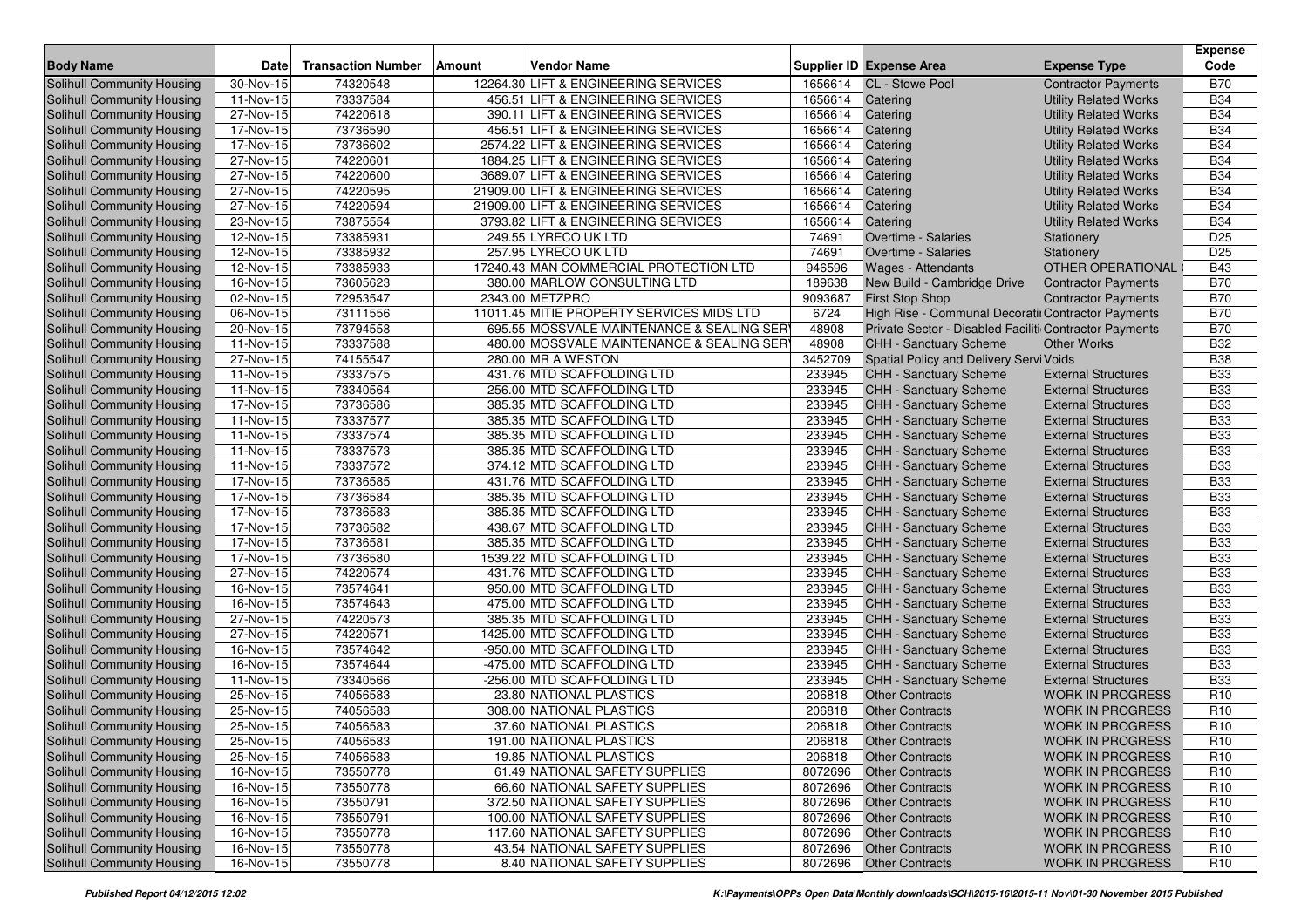| <b>Body Name</b>                  | <b>Date</b>                    | <b>Transaction Number</b> | <b>Amount</b> | <b>Vendor Name</b>                        |         | <b>Supplier ID Expense Area</b>                        | <b>Expense Type</b>          | <b>Expense</b><br>Code |
|-----------------------------------|--------------------------------|---------------------------|---------------|-------------------------------------------|---------|--------------------------------------------------------|------------------------------|------------------------|
| <b>Solihull Community Housing</b> | 30-Nov-15                      | 74320548                  |               | 12264.30 LIFT & ENGINEERING SERVICES      | 1656614 | CL - Stowe Pool                                        | <b>Contractor Payments</b>   | <b>B70</b>             |
| Solihull Community Housing        | 11-Nov-15                      | 73337584                  |               | 456.51 LIFT & ENGINEERING SERVICES        | 1656614 | Catering                                               | <b>Utility Related Works</b> | <b>B34</b>             |
| Solihull Community Housing        | 27-Nov-15                      | 74220618                  |               | 390.11 LIFT & ENGINEERING SERVICES        | 1656614 | Catering                                               | <b>Utility Related Works</b> | <b>B34</b>             |
| Solihull Community Housing        | 17-Nov-15                      | 73736590                  |               | 456.51 LIFT & ENGINEERING SERVICES        | 1656614 | Catering                                               | <b>Utility Related Works</b> | <b>B34</b>             |
| Solihull Community Housing        | 17-Nov-15                      | 73736602                  |               | 2574.22 LIFT & ENGINEERING SERVICES       | 1656614 | Catering                                               | <b>Utility Related Works</b> | <b>B34</b>             |
| Solihull Community Housing        | 27-Nov-15                      | 74220601                  |               | 1884.25 LIFT & ENGINEERING SERVICES       | 1656614 | Catering                                               | <b>Utility Related Works</b> | <b>B34</b>             |
| Solihull Community Housing        | $\overline{27}$ -Nov-15        | 74220600                  |               | 3689.07 LIFT & ENGINEERING SERVICES       | 1656614 | Catering                                               | <b>Utility Related Works</b> | <b>B34</b>             |
| Solihull Community Housing        | 27-Nov-15                      | 74220595                  |               | 21909.00 LIFT & ENGINEERING SERVICES      | 1656614 | Catering                                               | <b>Utility Related Works</b> | <b>B34</b>             |
| Solihull Community Housing        | 27-Nov-15                      | 74220594                  |               | 21909.00 LIFT & ENGINEERING SERVICES      | 1656614 | Catering                                               | <b>Utility Related Works</b> | <b>B34</b>             |
| Solihull Community Housing        | 23-Nov-15                      | 73875554                  |               | 3793.82 LIFT & ENGINEERING SERVICES       | 1656614 | Catering                                               | <b>Utility Related Works</b> | <b>B34</b>             |
| Solihull Community Housing        | 12-Nov-15                      | 73385931                  |               | 249.55 LYRECO UK LTD                      | 74691   | Overtime - Salaries                                    | Stationery                   | D <sub>25</sub>        |
| <b>Solihull Community Housing</b> | 12-Nov-15                      | 73385932                  |               | 257.95 LYRECO UK LTD                      | 74691   | <b>Overtime - Salaries</b>                             | Stationery                   | D <sub>25</sub>        |
| Solihull Community Housing        | 12-Nov-15                      | 73385933                  |               | 17240.43 MAN COMMERCIAL PROTECTION LTD    | 946596  | Wages - Attendants                                     | <b>OTHER OPERATIONAL</b>     | <b>B43</b>             |
| Solihull Community Housing        | 16-Nov-15                      | 73605623                  |               | 380.00 MARLOW CONSULTING LTD              | 189638  | New Build - Cambridge Drive                            | <b>Contractor Payments</b>   | <b>B70</b>             |
| <b>Solihull Community Housing</b> | 02-Nov-15                      | 72953547                  |               | 2343.00 METZPRO                           | 9093687 | <b>First Stop Shop</b>                                 | <b>Contractor Payments</b>   | <b>B70</b>             |
| Solihull Community Housing        | 06-Nov-15                      | 73111556                  |               | 11011.45 MITIE PROPERTY SERVICES MIDS LTD | 6724    | High Rise - Communal Decoratii Contractor Payments     |                              | <b>B70</b>             |
| Solihull Community Housing        | 20-Nov-15                      | 73794558                  |               | 695.55 MOSSVALE MAINTENANCE & SEALING SER | 48908   | Private Sector - Disabled Faciliti Contractor Payments |                              | <b>B70</b>             |
| Solihull Community Housing        | 11-Nov-15                      | 73337588                  |               | 480.00 MOSSVALE MAINTENANCE & SEALING SER | 48908   | CHH - Sanctuary Scheme                                 | <b>Other Works</b>           | <b>B32</b>             |
| <b>Solihull Community Housing</b> | 27-Nov-15                      | 74155547                  |               | 280.00 MR A WESTON                        | 3452709 | Spatial Policy and Delivery Servi Voids                |                              | <b>B38</b>             |
| <b>Solihull Community Housing</b> | 11-Nov-15                      | 73337575                  |               | 431.76 MTD SCAFFOLDING LTD                | 233945  | <b>CHH - Sanctuary Scheme</b>                          | <b>External Structures</b>   | <b>B33</b>             |
| Solihull Community Housing        | 11-Nov-15                      | 73340564                  |               | 256.00 MTD SCAFFOLDING LTD                | 233945  | CHH - Sanctuary Scheme                                 | <b>External Structures</b>   | <b>B33</b>             |
| Solihull Community Housing        | 17-Nov-15                      | 73736586                  |               | 385.35 MTD SCAFFOLDING LTD                | 233945  | <b>CHH - Sanctuary Scheme</b>                          | <b>External Structures</b>   | <b>B33</b>             |
| Solihull Community Housing        | 11-Nov-15                      | 73337577                  |               | 385.35 MTD SCAFFOLDING LTD                | 233945  | <b>CHH - Sanctuary Scheme</b>                          | <b>External Structures</b>   | <b>B33</b>             |
| Solihull Community Housing        | 11-Nov-15                      | 73337574                  |               | 385.35 MTD SCAFFOLDING LTD                | 233945  | <b>CHH - Sanctuary Scheme</b>                          | <b>External Structures</b>   | <b>B33</b>             |
| Solihull Community Housing        | 11-Nov-15                      | 73337573                  |               | 385.35 MTD SCAFFOLDING LTD                | 233945  | CHH - Sanctuary Scheme                                 | <b>External Structures</b>   | <b>B33</b>             |
| Solihull Community Housing        | 11-Nov-15                      | 73337572                  |               | 374.12 MTD SCAFFOLDING LTD                | 233945  | CHH - Sanctuary Scheme                                 | <b>External Structures</b>   | <b>B33</b>             |
| Solihull Community Housing        | 17-Nov-15                      | 73736585                  |               | 431.76 MTD SCAFFOLDING LTD                | 233945  | CHH - Sanctuary Scheme                                 | <b>External Structures</b>   | <b>B33</b>             |
| Solihull Community Housing        | $\overline{17\text{-}N}$ ov-15 | 73736584                  |               | 385.35 MTD SCAFFOLDING LTD                | 233945  | <b>CHH - Sanctuary Scheme</b>                          | <b>External Structures</b>   | <b>B33</b>             |
| Solihull Community Housing        | 17-Nov-15                      | 73736583                  |               | 385.35 MTD SCAFFOLDING LTD                | 233945  | CHH - Sanctuary Scheme                                 | <b>External Structures</b>   | <b>B33</b>             |
| Solihull Community Housing        | 17-Nov-15                      | 73736582                  |               | 438.67 MTD SCAFFOLDING LTD                | 233945  | CHH - Sanctuary Scheme                                 | <b>External Structures</b>   | <b>B33</b>             |
| Solihull Community Housing        | $\overline{17\text{-}N}$ ov-15 | 73736581                  |               | 385.35 MTD SCAFFOLDING LTD                | 233945  | CHH - Sanctuary Scheme                                 | <b>External Structures</b>   | <b>B33</b>             |
| Solihull Community Housing        | 17-Nov-15                      | 73736580                  |               | 1539.22 MTD SCAFFOLDING LTD               | 233945  | CHH - Sanctuary Scheme                                 | <b>External Structures</b>   | <b>B33</b>             |
| Solihull Community Housing        | 27-Nov-15                      | 74220574                  |               | 431.76 MTD SCAFFOLDING LTD                | 233945  | CHH - Sanctuary Scheme                                 | <b>External Structures</b>   | <b>B33</b>             |
| Solihull Community Housing        | 16-Nov-15                      | 73574641                  |               | 950.00 MTD SCAFFOLDING LTD                | 233945  | CHH - Sanctuary Scheme                                 | <b>External Structures</b>   | <b>B33</b>             |
| Solihull Community Housing        | 16-Nov-15                      | 73574643                  |               | 475.00 MTD SCAFFOLDING LTD                | 233945  | CHH - Sanctuary Scheme                                 | <b>External Structures</b>   | <b>B33</b>             |
| <b>Solihull Community Housing</b> | 27-Nov-15                      | 74220573                  |               | 385.35 MTD SCAFFOLDING LTD                | 233945  | <b>CHH - Sanctuary Scheme</b>                          | <b>External Structures</b>   | <b>B33</b>             |
| Solihull Community Housing        | 27-Nov-15                      | 74220571                  |               | 1425.00 MTD SCAFFOLDING LTD               | 233945  | CHH - Sanctuary Scheme                                 | <b>External Structures</b>   | <b>B33</b>             |
| Solihull Community Housing        | 16-Nov-15                      | 73574642                  |               | -950.00 MTD SCAFFOLDING LTD               | 233945  | CHH - Sanctuary Scheme                                 | <b>External Structures</b>   | <b>B33</b>             |
| Solihull Community Housing        | 16-Nov-15                      | 73574644                  |               | -475.00 MTD SCAFFOLDING LTD               | 233945  | CHH - Sanctuary Scheme                                 | <b>External Structures</b>   | <b>B33</b>             |
| Solihull Community Housing        | 11-Nov-15                      | 73340566                  |               | -256.00 MTD SCAFFOLDING LTD               | 233945  | CHH - Sanctuary Scheme                                 | <b>External Structures</b>   | <b>B33</b>             |
| Solihull Community Housing        | 25-Nov-15                      | 74056583                  |               | 23.80 NATIONAL PLASTICS                   | 206818  | <b>Other Contracts</b>                                 | <b>WORK IN PROGRESS</b>      | R <sub>10</sub>        |
| Solihull Community Housing        | 25-Nov-15                      | 74056583                  |               | 308.00 NATIONAL PLASTICS                  | 206818  | <b>Other Contracts</b>                                 | <b>WORK IN PROGRESS</b>      | R <sub>10</sub>        |
| Solihull Community Housing        | 25-Nov-15                      | 74056583                  |               | 37.60 NATIONAL PLASTICS                   | 206818  | <b>Other Contracts</b>                                 | <b>WORK IN PROGRESS</b>      | R <sub>10</sub>        |
| Solihull Community Housing        | 25-Nov-15                      | 74056583                  |               | 191.00 NATIONAL PLASTICS                  | 206818  | <b>Other Contracts</b>                                 | <b>WORK IN PROGRESS</b>      | R <sub>10</sub>        |
| Solihull Community Housing        | 25-Nov-15                      | 74056583                  |               | 19.85 NATIONAL PLASTICS                   | 206818  | <b>Other Contracts</b>                                 | <b>WORK IN PROGRESS</b>      | R <sub>10</sub>        |
| Solihull Community Housing        | 16-Nov-15                      | 73550778                  |               | 61.49 NATIONAL SAFETY SUPPLIES            | 8072696 | <b>Other Contracts</b>                                 | <b>WORK IN PROGRESS</b>      | R <sub>10</sub>        |
| Solihull Community Housing        | 16-Nov-15                      | 73550778                  |               | 66.60 NATIONAL SAFETY SUPPLIES            | 8072696 | <b>Other Contracts</b>                                 | <b>WORK IN PROGRESS</b>      | R <sub>10</sub>        |
| Solihull Community Housing        | 16-Nov-15                      | 73550791                  |               | 372.50 NATIONAL SAFETY SUPPLIES           | 8072696 | <b>Other Contracts</b>                                 | <b>WORK IN PROGRESS</b>      | R <sub>10</sub>        |
| Solihull Community Housing        | 16-Nov-15                      | 73550791                  |               | 100.00 NATIONAL SAFETY SUPPLIES           | 8072696 | <b>Other Contracts</b>                                 | <b>WORK IN PROGRESS</b>      | R <sub>10</sub>        |
| Solihull Community Housing        | 16-Nov-15                      | 73550778                  |               | 117.60 NATIONAL SAFETY SUPPLIES           | 8072696 | <b>Other Contracts</b>                                 | <b>WORK IN PROGRESS</b>      | R <sub>10</sub>        |
| Solihull Community Housing        | 16-Nov-15                      | 73550778                  |               | 43.54 NATIONAL SAFETY SUPPLIES            | 8072696 | <b>Other Contracts</b>                                 | <b>WORK IN PROGRESS</b>      | R <sub>10</sub>        |
| Solihull Community Housing        | 16-Nov-15                      | 73550778                  |               | 8.40 NATIONAL SAFETY SUPPLIES             |         | 8072696 Other Contracts                                | <b>WORK IN PROGRESS</b>      | R <sub>10</sub>        |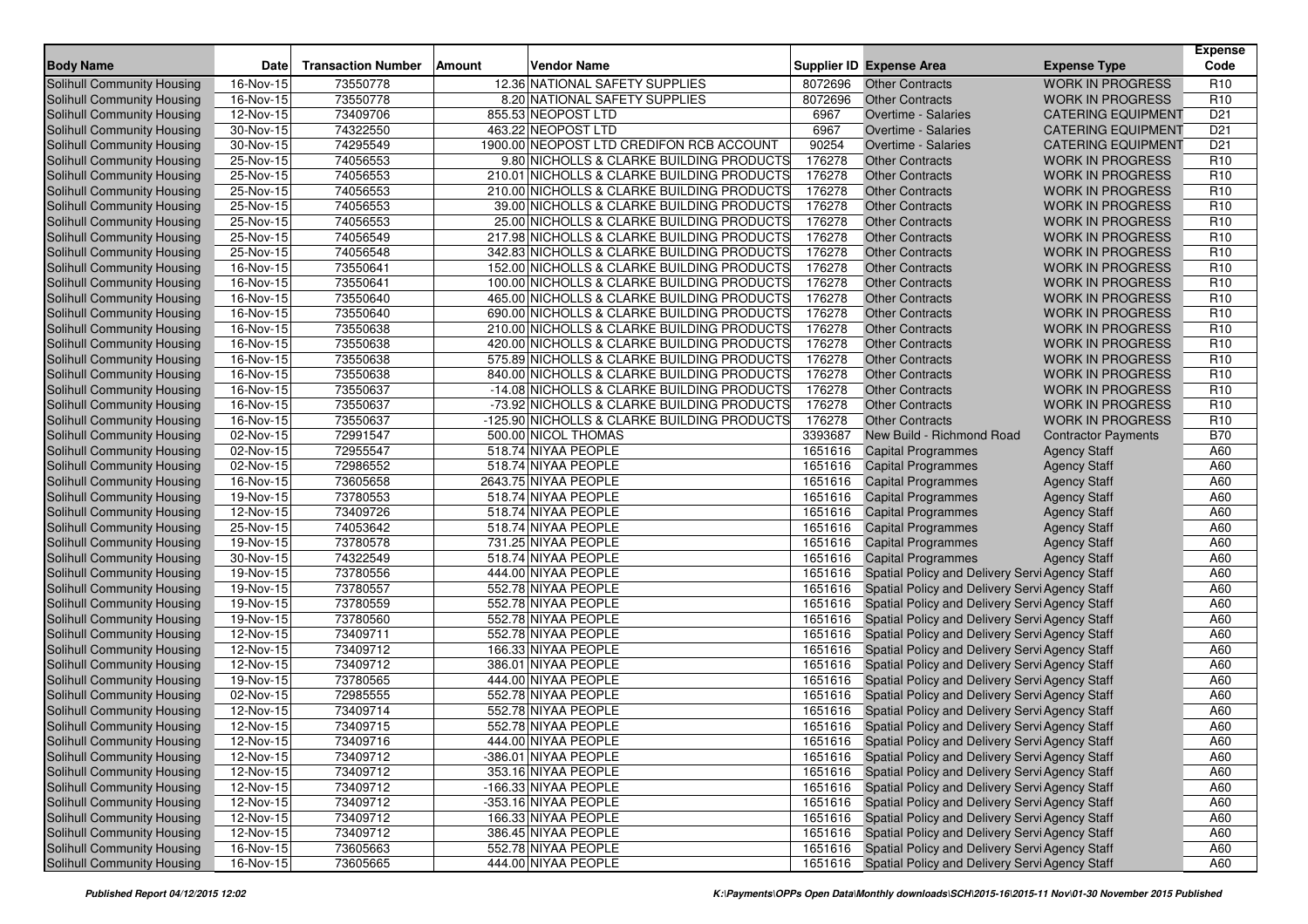| <b>Body Name</b>                  | <b>Date</b> | <b>Transaction Number</b> | Amount | <b>Vendor Name</b>                          |         | Supplier ID Expense Area                               | <b>Expense Type</b>        | <b>Expense</b><br>Code |
|-----------------------------------|-------------|---------------------------|--------|---------------------------------------------|---------|--------------------------------------------------------|----------------------------|------------------------|
| Solihull Community Housing        | 16-Nov-15   | 73550778                  |        | 12.36 NATIONAL SAFETY SUPPLIES              | 8072696 | <b>Other Contracts</b>                                 | <b>WORK IN PROGRESS</b>    | R <sub>10</sub>        |
| <b>Solihull Community Housing</b> | 16-Nov-15   | 73550778                  |        | 8.20 NATIONAL SAFETY SUPPLIES               | 8072696 | <b>Other Contracts</b>                                 | <b>WORK IN PROGRESS</b>    | R <sub>10</sub>        |
| Solihull Community Housing        | 12-Nov-15   | 73409706                  |        | 855.53 NEOPOST LTD                          | 6967    | <b>Overtime - Salaries</b>                             | <b>CATERING EQUIPMENT</b>  | D <sub>21</sub>        |
| Solihull Community Housing        | 30-Nov-15   | 74322550                  |        | 463.22 NEOPOST LTD                          | 6967    | Overtime - Salaries                                    | <b>CATERING EQUIPMENT</b>  | D <sub>21</sub>        |
| Solihull Community Housing        | 30-Nov-15   | 74295549                  |        | 1900.00 NEOPOST LTD CREDIFON RCB ACCOUNT    | 90254   | Overtime - Salaries                                    | <b>CATERING EQUIPMENT</b>  | D <sub>21</sub>        |
| Solihull Community Housing        | 25-Nov-15   | 74056553                  |        | 9.80 NICHOLLS & CLARKE BUILDING PRODUCTS    | 176278  | <b>Other Contracts</b>                                 | <b>WORK IN PROGRESS</b>    | R <sub>10</sub>        |
| Solihull Community Housing        | 25-Nov-15   | 74056553                  |        | 210.01 NICHOLLS & CLARKE BUILDING PRODUCTS  | 176278  | <b>Other Contracts</b>                                 | <b>WORK IN PROGRESS</b>    | R <sub>10</sub>        |
| Solihull Community Housing        | 25-Nov-15   | 74056553                  |        | 210.00 NICHOLLS & CLARKE BUILDING PRODUCTS  | 176278  | <b>Other Contracts</b>                                 | <b>WORK IN PROGRESS</b>    | R <sub>10</sub>        |
| Solihull Community Housing        | 25-Nov-15   | 74056553                  |        | 39.00 NICHOLLS & CLARKE BUILDING PRODUCTS   | 176278  | <b>Other Contracts</b>                                 | <b>WORK IN PROGRESS</b>    | R <sub>10</sub>        |
| Solihull Community Housing        | 25-Nov-15   | 74056553                  |        | 25.00 NICHOLLS & CLARKE BUILDING PRODUCTS   | 176278  | <b>Other Contracts</b>                                 | <b>WORK IN PROGRESS</b>    | R <sub>10</sub>        |
| Solihull Community Housing        | 25-Nov-15   | 74056549                  |        | 217.98 NICHOLLS & CLARKE BUILDING PRODUCTS  | 176278  | <b>Other Contracts</b>                                 | <b>WORK IN PROGRESS</b>    | R <sub>10</sub>        |
| Solihull Community Housing        | 25-Nov-15   | 74056548                  |        | 342.83 NICHOLLS & CLARKE BUILDING PRODUCTS  | 176278  | <b>Other Contracts</b>                                 | <b>WORK IN PROGRESS</b>    | R <sub>10</sub>        |
| Solihull Community Housing        | 16-Nov-15   | 73550641                  |        | 152.00 NICHOLLS & CLARKE BUILDING PRODUCTS  | 176278  | <b>Other Contracts</b>                                 | <b>WORK IN PROGRESS</b>    | R <sub>10</sub>        |
| Solihull Community Housing        | 16-Nov-15   | 73550641                  |        | 100.00 NICHOLLS & CLARKE BUILDING PRODUCTS  | 176278  | <b>Other Contracts</b>                                 | <b>WORK IN PROGRESS</b>    | R <sub>10</sub>        |
| Solihull Community Housing        | 16-Nov-15   | 73550640                  |        | 465.00 NICHOLLS & CLARKE BUILDING PRODUCTS  | 176278  | <b>Other Contracts</b>                                 | <b>WORK IN PROGRESS</b>    | R <sub>10</sub>        |
| Solihull Community Housing        | 16-Nov-15   | 73550640                  |        | 690.00 NICHOLLS & CLARKE BUILDING PRODUCTS  | 176278  | <b>Other Contracts</b>                                 | <b>WORK IN PROGRESS</b>    | R <sub>10</sub>        |
| Solihull Community Housing        | 16-Nov-15   | 73550638                  |        | 210.00 NICHOLLS & CLARKE BUILDING PRODUCTS  | 176278  | <b>Other Contracts</b>                                 | <b>WORK IN PROGRESS</b>    | R <sub>10</sub>        |
| Solihull Community Housing        | 16-Nov-15   | 73550638                  |        | 420.00 NICHOLLS & CLARKE BUILDING PRODUCTS  | 176278  | <b>Other Contracts</b>                                 | <b>WORK IN PROGRESS</b>    | R <sub>10</sub>        |
| Solihull Community Housing        | 16-Nov-15   | 73550638                  |        | 575.89 NICHOLLS & CLARKE BUILDING PRODUCTS  | 176278  | <b>Other Contracts</b>                                 | <b>WORK IN PROGRESS</b>    | R <sub>10</sub>        |
| Solihull Community Housing        | 16-Nov-15   | 73550638                  |        | 840.00 NICHOLLS & CLARKE BUILDING PRODUCTS  | 176278  | <b>Other Contracts</b>                                 | <b>WORK IN PROGRESS</b>    | R <sub>10</sub>        |
| Solihull Community Housing        | 16-Nov-15   | 73550637                  |        | -14.08 NICHOLLS & CLARKE BUILDING PRODUCTS  | 176278  | <b>Other Contracts</b>                                 | <b>WORK IN PROGRESS</b>    | R <sub>10</sub>        |
| Solihull Community Housing        | 16-Nov-15   | 73550637                  |        | -73.92 NICHOLLS & CLARKE BUILDING PRODUCTS  | 176278  | <b>Other Contracts</b>                                 | <b>WORK IN PROGRESS</b>    | R <sub>10</sub>        |
| Solihull Community Housing        | 16-Nov-15   | 73550637                  |        | -125.90 NICHOLLS & CLARKE BUILDING PRODUCTS | 176278  | <b>Other Contracts</b>                                 | <b>WORK IN PROGRESS</b>    | R <sub>10</sub>        |
| <b>Solihull Community Housing</b> | 02-Nov-15   | 72991547                  |        | 500.00 NICOL THOMAS                         | 3393687 | New Build - Richmond Road                              | <b>Contractor Payments</b> | <b>B70</b>             |
| Solihull Community Housing        | 02-Nov-15   | 72955547                  |        | 518.74 NIYAA PEOPLE                         | 1651616 | <b>Capital Programmes</b>                              | <b>Agency Staff</b>        | A60                    |
| Solihull Community Housing        | 02-Nov-15   | 72986552                  |        | 518.74 NIYAA PEOPLE                         | 1651616 | <b>Capital Programmes</b>                              | <b>Agency Staff</b>        | A60                    |
| Solihull Community Housing        | 16-Nov-15   | 73605658                  |        | 2643.75 NIYAA PEOPLE                        | 1651616 | <b>Capital Programmes</b>                              | <b>Agency Staff</b>        | A60                    |
| Solihull Community Housing        | 19-Nov-15   | 73780553                  |        | 518.74 NIYAA PEOPLE                         | 1651616 | <b>Capital Programmes</b>                              | <b>Agency Staff</b>        | A60                    |
| Solihull Community Housing        | 12-Nov-15   | 73409726                  |        | 518.74 NIYAA PEOPLE                         | 1651616 | <b>Capital Programmes</b>                              | <b>Agency Staff</b>        | A60                    |
| Solihull Community Housing        | 25-Nov-15   | 74053642                  |        | 518.74 NIYAA PEOPLE                         | 1651616 | <b>Capital Programmes</b>                              | <b>Agency Staff</b>        | A60                    |
| Solihull Community Housing        | 19-Nov-15   | 73780578                  |        | 731.25 NIYAA PEOPLE                         | 1651616 | <b>Capital Programmes</b>                              | <b>Agency Staff</b>        | A60                    |
| Solihull Community Housing        | 30-Nov-15   | 74322549                  |        | 518.74 NIYAA PEOPLE                         | 1651616 | <b>Capital Programmes</b>                              | <b>Agency Staff</b>        | A60                    |
| Solihull Community Housing        | 19-Nov-15   | 73780556                  |        | 444.00 NIYAA PEOPLE                         | 1651616 | Spatial Policy and Delivery Servi Agency Staff         |                            | A60                    |
| Solihull Community Housing        | 19-Nov-15   | 73780557                  |        | 552.78 NIYAA PEOPLE                         | 1651616 | Spatial Policy and Delivery Servi Agency Staff         |                            | A60                    |
| Solihull Community Housing        | 19-Nov-15   | 73780559                  |        | 552.78 NIYAA PEOPLE                         | 1651616 | Spatial Policy and Delivery Servi Agency Staff         |                            | A60                    |
| Solihull Community Housing        | 19-Nov-15   | 73780560                  |        | 552.78 NIYAA PEOPLE                         | 1651616 | Spatial Policy and Delivery Servi Agency Staff         |                            | A60                    |
| Solihull Community Housing        | 12-Nov-15   | 73409711                  |        | 552.78 NIYAA PEOPLE                         | 1651616 | Spatial Policy and Delivery Servi Agency Staff         |                            | A60                    |
| Solihull Community Housing        | 12-Nov-15   | 73409712                  |        | 166.33 NIYAA PEOPLE                         | 1651616 | Spatial Policy and Delivery Servi Agency Staff         |                            | A60                    |
| Solihull Community Housing        | 12-Nov-15   | 73409712                  |        | 386.01 NIYAA PEOPLE                         | 1651616 | Spatial Policy and Delivery Servi Agency Staff         |                            | A60                    |
| Solihull Community Housing        | 19-Nov-15   | 73780565                  |        | 444.00 NIYAA PEOPLE                         | 1651616 | Spatial Policy and Delivery Servi Agency Staff         |                            | A60                    |
| Solihull Community Housing        | 02-Nov-15   | 72985555                  |        | 552.78 NIYAA PEOPLE                         | 1651616 | Spatial Policy and Delivery Servi Agency Staff         |                            | A60                    |
| Solihull Community Housing        | 12-Nov-15   | 73409714                  |        | 552.78 NIYAA PEOPLE                         | 1651616 | Spatial Policy and Delivery Servi Agency Staff         |                            | A60                    |
| Solihull Community Housing        | 12-Nov-15   | 73409715                  |        | 552.78 NIYAA PEOPLE                         | 1651616 | Spatial Policy and Delivery Servi Agency Staff         |                            | A60                    |
| Solihull Community Housing        | 12-Nov-15   | 73409716                  |        | 444.00 NIYAA PEOPLE                         |         | 1651616 Spatial Policy and Delivery Servi Agency Staff |                            | A60                    |
| Solihull Community Housing        | 12-Nov-15   | 73409712                  |        | -386.01 NIYAA PEOPLE                        |         | 1651616 Spatial Policy and Delivery Servi Agency Staff |                            | A60                    |
| Solihull Community Housing        | 12-Nov-15   | 73409712                  |        | 353.16 NIYAA PEOPLE                         | 1651616 | Spatial Policy and Delivery Servi Agency Staff         |                            | A60                    |
| Solihull Community Housing        | 12-Nov-15   | 73409712                  |        | -166.33 NIYAA PEOPLE                        |         | 1651616 Spatial Policy and Delivery Servi Agency Staff |                            | A60                    |
| Solihull Community Housing        | 12-Nov-15   | 73409712                  |        | -353.16 NIYAA PEOPLE                        |         | 1651616 Spatial Policy and Delivery Servi Agency Staff |                            | A60                    |
| Solihull Community Housing        | 12-Nov-15   | 73409712                  |        | 166.33 NIYAA PEOPLE                         | 1651616 | Spatial Policy and Delivery Servi Agency Staff         |                            | A60                    |
| Solihull Community Housing        | 12-Nov-15   | 73409712                  |        | 386.45 NIYAA PEOPLE                         |         | 1651616 Spatial Policy and Delivery Servi Agency Staff |                            | A60                    |
| Solihull Community Housing        | 16-Nov-15   | 73605663                  |        | 552.78 NIYAA PEOPLE                         | 1651616 | Spatial Policy and Delivery Servi Agency Staff         |                            | A60                    |
| Solihull Community Housing        | 16-Nov-15   | 73605665                  |        | 444.00 NIYAA PEOPLE                         |         | 1651616 Spatial Policy and Delivery Servi Agency Staff |                            | A60                    |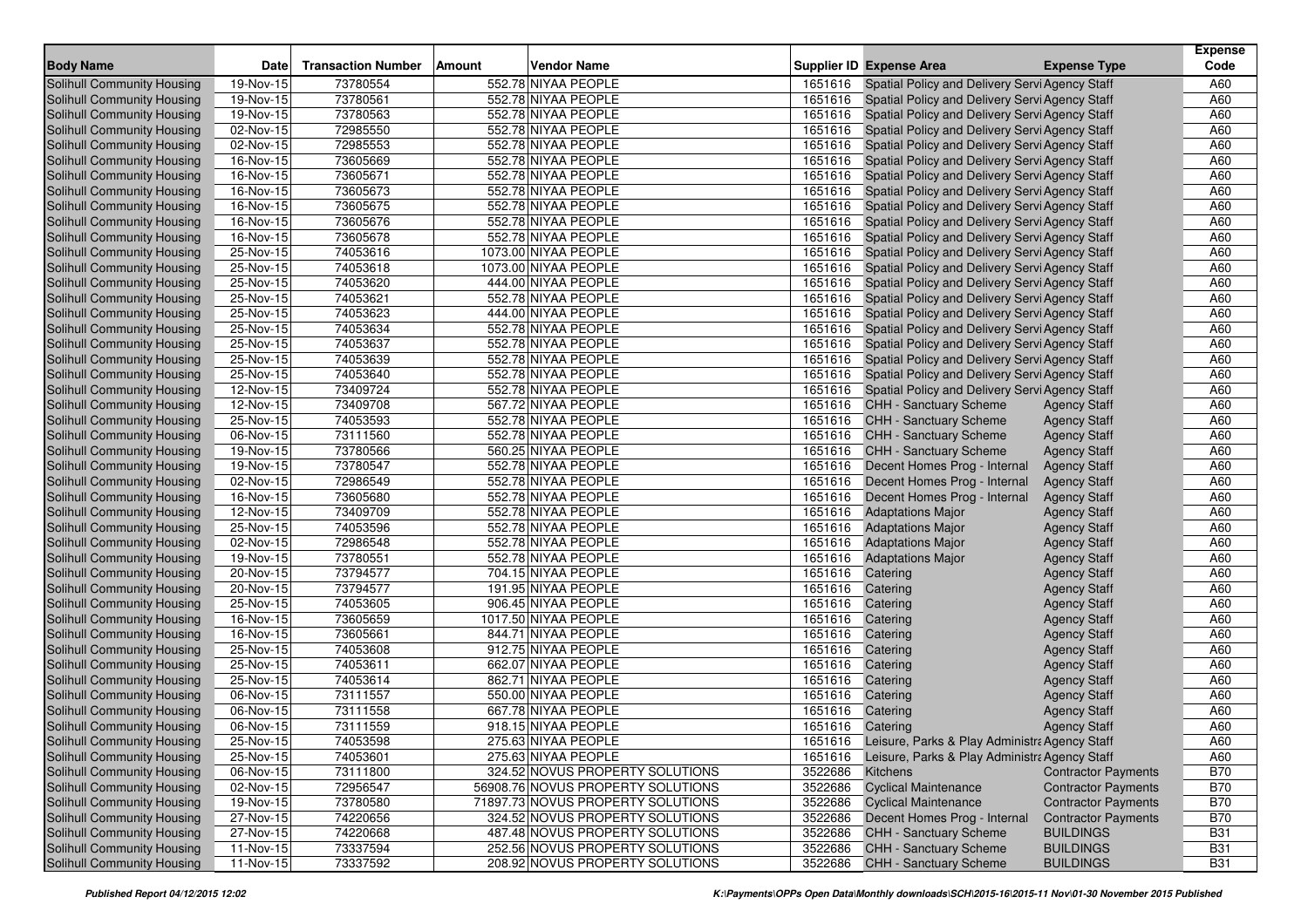|                                                          |                         |                           |        |                                                                    |                    |                                                                |                                      | <b>Expense</b>           |
|----------------------------------------------------------|-------------------------|---------------------------|--------|--------------------------------------------------------------------|--------------------|----------------------------------------------------------------|--------------------------------------|--------------------------|
| <b>Body Name</b>                                         | Date                    | <b>Transaction Number</b> | Amount | <b>Vendor Name</b>                                                 |                    | <b>Supplier ID Expense Area</b>                                | <b>Expense Type</b>                  | Code                     |
| <b>Solihull Community Housing</b>                        | 19-Nov-15               | 73780554                  |        | 552.78 NIYAA PEOPLE                                                | 1651616            | Spatial Policy and Delivery Servi Agency Staff                 |                                      | A60                      |
| Solihull Community Housing                               | 19-Nov-15               | 73780561                  |        | 552.78 NIYAA PEOPLE                                                |                    | 1651616 Spatial Policy and Delivery Servi Agency Staff         |                                      | A60                      |
| Solihull Community Housing                               | $19-Nov-15$             | 73780563                  |        | 552.78 NIYAA PEOPLE                                                |                    | 1651616 Spatial Policy and Delivery Servi Agency Staff         |                                      | A60                      |
| Solihull Community Housing                               | 02-Nov-15               | 72985550                  |        | 552.78 NIYAA PEOPLE                                                | 1651616            | Spatial Policy and Delivery Servi Agency Staff                 |                                      | A60                      |
| Solihull Community Housing                               | 02-Nov-15               | 72985553                  |        | 552.78 NIYAA PEOPLE                                                | 1651616            | Spatial Policy and Delivery Servi Agency Staff                 |                                      | A60                      |
| Solihull Community Housing                               | 16-Nov-15               | 73605669                  |        | 552.78 NIYAA PEOPLE                                                | 1651616            | Spatial Policy and Delivery Servi Agency Staff                 |                                      | A60                      |
| Solihull Community Housing                               | 16-Nov-15               | 73605671                  |        | 552.78 NIYAA PEOPLE                                                | 1651616            | Spatial Policy and Delivery Servi Agency Staff                 |                                      | A60                      |
| Solihull Community Housing                               | 16-Nov-15               | 73605673                  |        | 552.78 NIYAA PEOPLE                                                | 1651616            | Spatial Policy and Delivery Servi Agency Staff                 |                                      | A60                      |
| Solihull Community Housing                               | 16-Nov-15               | 73605675                  |        | 552.78 NIYAA PEOPLE                                                | 1651616            | Spatial Policy and Delivery Servi Agency Staff                 |                                      | A60                      |
| Solihull Community Housing                               | 16-Nov-15               | 73605676                  |        | 552.78 NIYAA PEOPLE                                                | 1651616            | Spatial Policy and Delivery Servi Agency Staff                 |                                      | A60                      |
| Solihull Community Housing                               | 16-Nov-15               | 73605678                  |        | 552.78 NIYAA PEOPLE                                                | 1651616            | Spatial Policy and Delivery Servi Agency Staff                 |                                      | A60                      |
| Solihull Community Housing                               | 25-Nov-15               | 74053616                  |        | 1073.00 NIYAA PEOPLE                                               | 1651616            | Spatial Policy and Delivery Servi Agency Staff                 |                                      | A60                      |
| Solihull Community Housing                               | 25-Nov-15               | 74053618                  |        | 1073.00 NIYAA PEOPLE                                               | 1651616            | Spatial Policy and Delivery Servi Agency Staff                 |                                      | A60                      |
| Solihull Community Housing                               | 25-Nov-15               | 74053620                  |        | 444.00 NIYAA PEOPLE                                                | 1651616            | Spatial Policy and Delivery Servi Agency Staff                 |                                      | A60                      |
| Solihull Community Housing                               | 25-Nov-15               | 74053621                  |        | 552.78 NIYAA PEOPLE                                                | 1651616            | Spatial Policy and Delivery Servi Agency Staff                 |                                      | A60                      |
| Solihull Community Housing                               | 25-Nov-15               | 74053623                  |        | 444.00 NIYAA PEOPLE                                                | 1651616            | Spatial Policy and Delivery Servi Agency Staff                 |                                      | A60                      |
| Solihull Community Housing                               | 25-Nov-15               | 74053634                  |        | 552.78 NIYAA PEOPLE                                                | 1651616            | Spatial Policy and Delivery Servi Agency Staff                 |                                      | A60                      |
| Solihull Community Housing                               | 25-Nov-15               | 74053637                  |        | 552.78 NIYAA PEOPLE                                                | 1651616            | Spatial Policy and Delivery Servi Agency Staff                 |                                      | A60                      |
| Solihull Community Housing                               | 25-Nov-15               | 74053639                  |        | 552.78 NIYAA PEOPLE                                                | 1651616            | Spatial Policy and Delivery Servi Agency Staff                 |                                      | A60                      |
| Solihull Community Housing                               | 25-Nov-15               | 74053640                  |        | 552.78 NIYAA PEOPLE                                                | 1651616            | Spatial Policy and Delivery Servi Agency Staff                 |                                      | A60                      |
| Solihull Community Housing                               | 12-Nov-15               | 73409724                  |        | 552.78 NIYAA PEOPLE                                                | 1651616            | Spatial Policy and Delivery Servi Agency Staff                 |                                      | A60                      |
| Solihull Community Housing                               | 12-Nov-15               | 73409708                  |        | 567.72 NIYAA PEOPLE                                                | 1651616            | <b>CHH - Sanctuary Scheme</b>                                  | <b>Agency Staff</b>                  | A60                      |
| Solihull Community Housing                               | 25-Nov-15               | 74053593                  |        | 552.78 NIYAA PEOPLE                                                | 1651616            | <b>CHH - Sanctuary Scheme</b>                                  | <b>Agency Staff</b>                  | A60                      |
| Solihull Community Housing                               | 06-Nov-15               | 73111560                  |        | 552.78 NIYAA PEOPLE                                                | 1651616            | <b>CHH - Sanctuary Scheme</b>                                  | <b>Agency Staff</b>                  | A60                      |
| Solihull Community Housing                               | 19-Nov-15               | 73780566                  |        | 560.25 NIYAA PEOPLE                                                | 1651616            | <b>CHH - Sanctuary Scheme</b>                                  | <b>Agency Staff</b>                  | A60                      |
| Solihull Community Housing                               | 19-Nov-15               | 73780547                  |        | 552.78 NIYAA PEOPLE                                                | 1651616            | Decent Homes Prog - Internal                                   | <b>Agency Staff</b>                  | A60                      |
| Solihull Community Housing                               | 02-Nov-15               | 72986549                  |        | 552.78 NIYAA PEOPLE                                                | 1651616            | Decent Homes Prog - Internal                                   | <b>Agency Staff</b>                  | A60                      |
| Solihull Community Housing                               | $16-Nov-15$             | 73605680                  |        | 552.78 NIYAA PEOPLE                                                | 1651616            | Decent Homes Prog - Internal                                   | <b>Agency Staff</b>                  | A60                      |
| Solihull Community Housing                               | $\overline{12}$ -Nov-15 | 73409709                  |        | 552.78 NIYAA PEOPLE                                                | 1651616            | <b>Adaptations Major</b>                                       | <b>Agency Staff</b>                  | A60                      |
| Solihull Community Housing                               | 25-Nov-15               | 74053596                  |        | 552.78 NIYAA PEOPLE                                                | 1651616            | <b>Adaptations Major</b>                                       | <b>Agency Staff</b>                  | A60                      |
| Solihull Community Housing                               | $02-Nov-15$             | 72986548                  |        | 552.78 NIYAA PEOPLE                                                | 1651616            | <b>Adaptations Major</b>                                       | <b>Agency Staff</b>                  | A60                      |
| Solihull Community Housing                               | 19-Nov-15               | 73780551                  |        | 552.78 NIYAA PEOPLE                                                | 1651616            | <b>Adaptations Major</b>                                       | <b>Agency Staff</b>                  | A60                      |
| Solihull Community Housing                               | 20-Nov-15               | 73794577                  |        | 704.15 NIYAA PEOPLE                                                | 1651616            | Catering                                                       | <b>Agency Staff</b>                  | A60                      |
| Solihull Community Housing                               | 20-Nov-15               | 73794577                  |        | 191.95 NIYAA PEOPLE                                                | 1651616            | Catering                                                       | <b>Agency Staff</b>                  | A60                      |
| Solihull Community Housing                               | 25-Nov-15               | 74053605                  |        | 906.45 NIYAA PEOPLE                                                | 1651616            | Catering                                                       | <b>Agency Staff</b>                  | A60                      |
| Solihull Community Housing                               | 16-Nov-15               | 73605659                  |        | 1017.50 NIYAA PEOPLE                                               | 1651616            | Catering                                                       | <b>Agency Staff</b>                  | A60                      |
| Solihull Community Housing                               | 16-Nov-15               | 73605661                  |        | 844.71 NIYAA PEOPLE                                                | 1651616            | Catering                                                       | <b>Agency Staff</b>                  | A60                      |
| Solihull Community Housing                               | 25-Nov-15               | 74053608                  |        | 912.75 NIYAA PEOPLE                                                | 1651616            | Catering                                                       | <b>Agency Staff</b>                  | A60                      |
| Solihull Community Housing                               | 25-Nov-15               | 74053611                  |        | 662.07 NIYAA PEOPLE                                                | 1651616            | Catering                                                       | <b>Agency Staff</b>                  | A60                      |
| Solihull Community Housing                               | 25-Nov-15               | 74053614                  |        | 862.71 NIYAA PEOPLE                                                | 1651616            | Catering                                                       | <b>Agency Staff</b>                  | A60                      |
| Solihull Community Housing                               | 06-Nov-15               | 73111557                  |        | 550.00 NIYAA PEOPLE                                                | 1651616            | Catering                                                       | <b>Agency Staff</b>                  | A60                      |
| Solihull Community Housing                               | 06-Nov-15               | 73111558                  |        | 667.78 NIYAA PEOPLE                                                | 1651616            | Catering                                                       | <b>Agency Staff</b>                  | A60                      |
| Solihull Community Housing                               | 06-Nov-15               | 73111559                  |        | 918.15 NIYAA PEOPLE                                                | 1651616 Catering   |                                                                | <b>Agency Staff</b>                  | A60                      |
| Solihull Community Housing                               | 25-Nov-15               | 74053598                  |        | 275.63 NIYAA PEOPLE                                                |                    | 1651616 Leisure, Parks & Play Administra Agency Staff          |                                      | A60                      |
| Solihull Community Housing                               | 25-Nov-15               | 74053601                  |        | 275.63 NIYAA PEOPLE                                                |                    | 1651616 Leisure, Parks & Play Administra Agency Staff          |                                      | A60                      |
| Solihull Community Housing                               | 06-Nov-15               | 73111800                  |        | 324.52 NOVUS PROPERTY SOLUTIONS                                    | 3522686            | Kitchens                                                       | <b>Contractor Payments</b>           | <b>B70</b>               |
| Solihull Community Housing                               | 02-Nov-15               | 72956547                  |        | 56908.76 NOVUS PROPERTY SOLUTIONS                                  | 3522686            | <b>Cyclical Maintenance</b>                                    | <b>Contractor Payments</b>           | <b>B70</b>               |
| Solihull Community Housing<br>Solihull Community Housing | 19-Nov-15               | 73780580                  |        | 71897.73 NOVUS PROPERTY SOLUTIONS                                  | 3522686            | <b>Cyclical Maintenance</b>                                    | <b>Contractor Payments</b>           | <b>B70</b>               |
|                                                          | 27-Nov-15               | 74220656                  |        | 324.52 NOVUS PROPERTY SOLUTIONS                                    | 3522686            | Decent Homes Prog - Internal                                   | <b>Contractor Payments</b>           | <b>B70</b>               |
| Solihull Community Housing                               | 27-Nov-15               | 74220668                  |        | 487.48 NOVUS PROPERTY SOLUTIONS                                    | 3522686<br>3522686 | <b>CHH - Sanctuary Scheme</b><br><b>CHH - Sanctuary Scheme</b> | <b>BUILDINGS</b>                     | <b>B31</b>               |
| Solihull Community Housing<br>Solihull Community Housing | 11-Nov-15               | 73337594<br>73337592      |        | 252.56 NOVUS PROPERTY SOLUTIONS<br>208.92 NOVUS PROPERTY SOLUTIONS | 3522686            | CHH - Sanctuary Scheme                                         | <b>BUILDINGS</b><br><b>BUILDINGS</b> | <b>B31</b><br><b>B31</b> |
|                                                          | $11-Nov-15$             |                           |        |                                                                    |                    |                                                                |                                      |                          |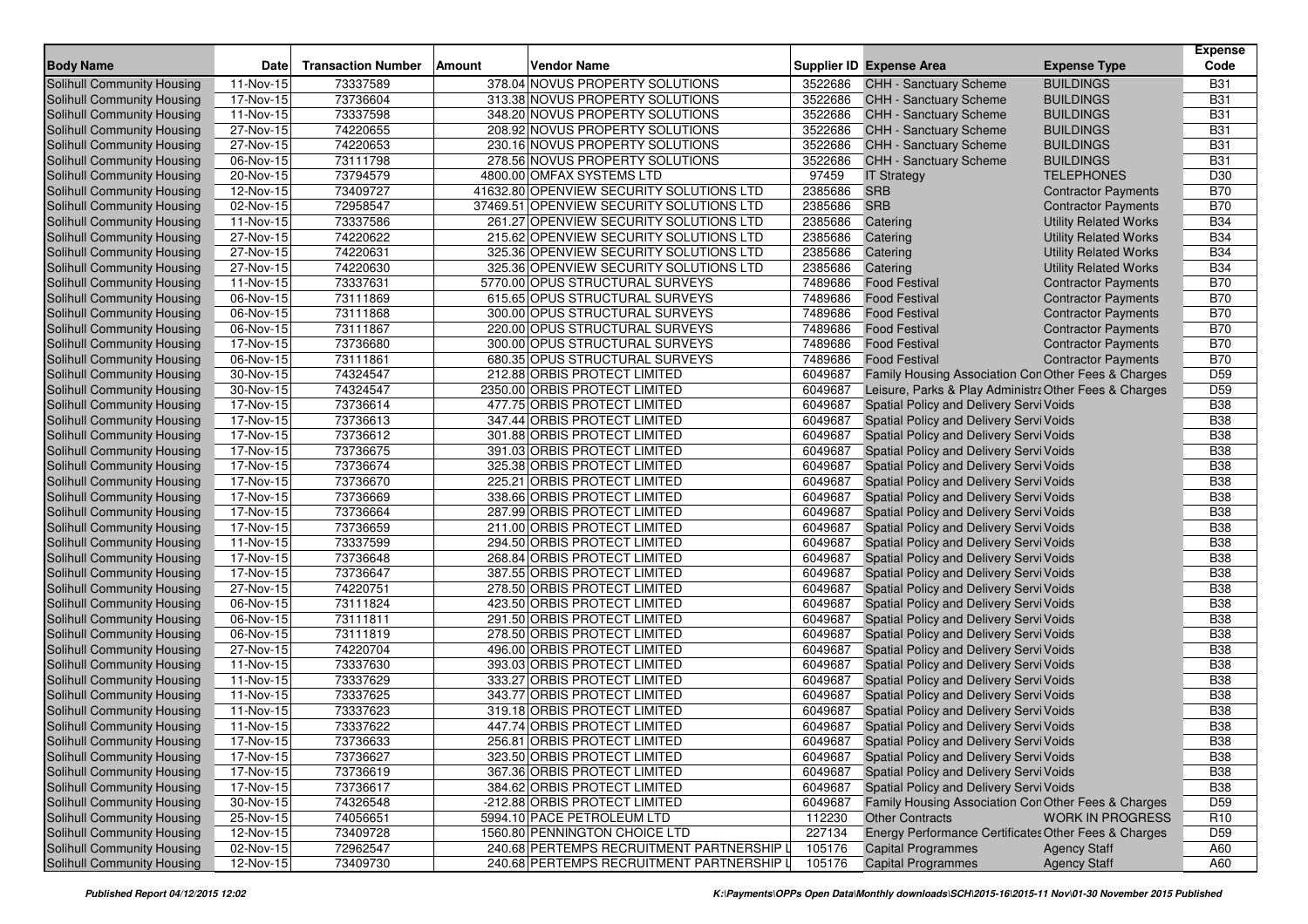| <b>Body Name</b>                                         | <b>Date</b>             | <b>Transaction Number</b> | Amount | <b>Vendor Name</b>                                          |                  | <b>Supplier ID Expense Area</b>                                               | <b>Expense Type</b>          | <b>Expense</b><br>Code             |
|----------------------------------------------------------|-------------------------|---------------------------|--------|-------------------------------------------------------------|------------------|-------------------------------------------------------------------------------|------------------------------|------------------------------------|
| <b>Solihull Community Housing</b>                        | 11-Nov-15               | 73337589                  |        | 378.04 NOVUS PROPERTY SOLUTIONS                             | 3522686          | CHH - Sanctuary Scheme                                                        | <b>BUILDINGS</b>             | <b>B31</b>                         |
| Solihull Community Housing                               | 17-Nov-15               | 73736604                  |        | 313.38 NOVUS PROPERTY SOLUTIONS                             | 3522686          | <b>CHH - Sanctuary Scheme</b>                                                 | <b>BUILDINGS</b>             | <b>B31</b>                         |
| Solihull Community Housing                               | 11-Nov-15               | 73337598                  |        | 348.20 NOVUS PROPERTY SOLUTIONS                             | 3522686          | <b>CHH - Sanctuary Scheme</b>                                                 | <b>BUILDINGS</b>             | <b>B31</b>                         |
| <b>Solihull Community Housing</b>                        | 27-Nov-15               | 74220655                  |        | 208.92 NOVUS PROPERTY SOLUTIONS                             | 3522686          | CHH - Sanctuary Scheme                                                        | <b>BUILDINGS</b>             | <b>B31</b>                         |
| Solihull Community Housing                               | 27-Nov-15               | 74220653                  |        | 230.16 NOVUS PROPERTY SOLUTIONS                             | 3522686          | CHH - Sanctuary Scheme                                                        | <b>BUILDINGS</b>             | <b>B31</b>                         |
| Solihull Community Housing                               | 06-Nov-15               | 73111798                  |        | 278.56 NOVUS PROPERTY SOLUTIONS                             | 3522686          | <b>CHH - Sanctuary Scheme</b>                                                 | <b>BUILDINGS</b>             | <b>B31</b>                         |
| Solihull Community Housing                               | 20-Nov-15               | 73794579                  |        | 4800.00 OMFAX SYSTEMS LTD                                   | 97459            | <b>IT Strategy</b>                                                            | <b>TELEPHONES</b>            | D30                                |
| Solihull Community Housing                               | 12-Nov-15               | 73409727                  |        | 41632.80 OPENVIEW SECURITY SOLUTIONS LTD                    | 2385686          | <b>SRB</b>                                                                    | <b>Contractor Payments</b>   | <b>B70</b>                         |
| Solihull Community Housing                               | 02-Nov-15               | 72958547                  |        | 37469.51 OPENVIEW SECURITY SOLUTIONS LTD                    | 2385686          | <b>SRB</b>                                                                    | <b>Contractor Payments</b>   | <b>B70</b>                         |
| Solihull Community Housing                               | $\overline{11}$ -Nov-15 | 73337586                  |        | 261.27 OPENVIEW SECURITY SOLUTIONS LTD                      | 2385686          | Catering                                                                      | <b>Utility Related Works</b> | <b>B34</b>                         |
| Solihull Community Housing                               | 27-Nov-15               | 74220622                  |        | 215.62 OPENVIEW SECURITY SOLUTIONS LTD                      | 2385686          | Catering                                                                      | <b>Utility Related Works</b> | <b>B34</b>                         |
| <b>Solihull Community Housing</b>                        | 27-Nov-15               | 74220631                  |        | 325.36 OPENVIEW SECURITY SOLUTIONS LTD                      | 2385686          | Catering                                                                      | <b>Utility Related Works</b> | <b>B34</b>                         |
| Solihull Community Housing                               | 27-Nov-15               | 74220630                  |        | 325.36 OPENVIEW SECURITY SOLUTIONS LTD                      | 2385686          | Catering                                                                      | <b>Utility Related Works</b> | <b>B34</b>                         |
| Solihull Community Housing                               | 11-Nov-15               | 73337631                  |        | 5770.00 OPUS STRUCTURAL SURVEYS                             | 7489686          | <b>Food Festival</b>                                                          | <b>Contractor Payments</b>   | <b>B70</b>                         |
| <b>Solihull Community Housing</b>                        | 06-Nov-15               | 73111869                  |        | 615.65 OPUS STRUCTURAL SURVEYS                              | 7489686          | <b>Food Festival</b>                                                          | <b>Contractor Payments</b>   | <b>B70</b>                         |
| Solihull Community Housing                               | 06-Nov-15               | 73111868                  |        | 300.00 OPUS STRUCTURAL SURVEYS                              | 7489686          | <b>Food Festival</b>                                                          | <b>Contractor Payments</b>   | <b>B70</b>                         |
| Solihull Community Housing                               | 06-Nov-15               | 73111867                  |        | 220.00 OPUS STRUCTURAL SURVEYS                              | 7489686          | <b>Food Festival</b>                                                          | <b>Contractor Payments</b>   | <b>B70</b>                         |
| Solihull Community Housing                               | 17-Nov-15               | 73736680                  |        | 300.00 OPUS STRUCTURAL SURVEYS                              | 7489686          | <b>Food Festival</b>                                                          | <b>Contractor Payments</b>   | <b>B70</b>                         |
| <b>Solihull Community Housing</b>                        | 06-Nov-15               | 73111861                  |        | 680.35 OPUS STRUCTURAL SURVEYS                              | 7489686          | <b>Food Festival</b>                                                          | <b>Contractor Payments</b>   | <b>B70</b>                         |
| <b>Solihull Community Housing</b>                        | 30-Nov-15               | 74324547                  |        | 212.88 ORBIS PROTECT LIMITED                                | 6049687          | Family Housing Association Con Other Fees & Charges                           |                              | D <sub>59</sub>                    |
| Solihull Community Housing                               | 30-Nov-15               | 74324547                  |        | 2350.00 ORBIS PROTECT LIMITED                               | 6049687          | Leisure, Parks & Play Administra Other Fees & Charges                         |                              | D <sub>59</sub>                    |
| <b>Solihull Community Housing</b>                        | 17-Nov-15               | 73736614                  |        | 477.75 ORBIS PROTECT LIMITED                                | 6049687          | Spatial Policy and Delivery Servi Voids                                       |                              | <b>B38</b>                         |
| Solihull Community Housing                               | 17-Nov-15               | 73736613                  |        | 347.44 ORBIS PROTECT LIMITED                                | 6049687          | Spatial Policy and Delivery Servi Voids                                       |                              | <b>B38</b>                         |
| Solihull Community Housing                               | 17-Nov-15               | 73736612                  |        | 301.88 ORBIS PROTECT LIMITED                                | 6049687          | Spatial Policy and Delivery Servi Voids                                       |                              | <b>B38</b>                         |
| Solihull Community Housing                               | 17-Nov-15               | 73736675                  |        | 391.03 ORBIS PROTECT LIMITED                                | 6049687          | Spatial Policy and Delivery Servi Voids                                       |                              | <b>B38</b>                         |
| <b>Solihull Community Housing</b>                        | 17-Nov-15               | 73736674                  |        | 325.38 ORBIS PROTECT LIMITED                                | 6049687          | Spatial Policy and Delivery Servi Voids                                       |                              | <b>B38</b>                         |
| Solihull Community Housing                               | 17-Nov-15               | 73736670                  |        | 225.21 ORBIS PROTECT LIMITED                                | 6049687          | Spatial Policy and Delivery Servi Voids                                       |                              | <b>B38</b>                         |
| Solihull Community Housing                               | 17-Nov-15               | 73736669                  |        | 338.66 ORBIS PROTECT LIMITED                                | 6049687          | Spatial Policy and Delivery Servi Voids                                       |                              | <b>B38</b>                         |
| Solihull Community Housing                               | 17-Nov-15               | 73736664                  |        | 287.99 ORBIS PROTECT LIMITED                                | 6049687          | Spatial Policy and Delivery Servi Voids                                       |                              | <b>B38</b>                         |
| Solihull Community Housing                               | 17-Nov-15               | 73736659                  |        | 211.00 ORBIS PROTECT LIMITED                                | 6049687          | Spatial Policy and Delivery Servi Voids                                       |                              | <b>B38</b>                         |
| Solihull Community Housing                               | 11-Nov-15               | 73337599                  |        | 294.50 ORBIS PROTECT LIMITED                                | 6049687          | Spatial Policy and Delivery Servi Voids                                       |                              | <b>B38</b>                         |
| Solihull Community Housing                               | 17-Nov-15               | 73736648                  |        | 268.84 ORBIS PROTECT LIMITED                                | 6049687          | Spatial Policy and Delivery Servi Voids                                       |                              | <b>B38</b>                         |
| Solihull Community Housing                               | 17-Nov-15               | 73736647                  |        | 387.55 ORBIS PROTECT LIMITED                                | 6049687          | Spatial Policy and Delivery Servi Voids                                       |                              | <b>B38</b>                         |
| Solihull Community Housing                               | 27-Nov-15               | 74220751                  |        | 278.50 ORBIS PROTECT LIMITED                                | 6049687          | Spatial Policy and Delivery Servi Voids                                       |                              | <b>B38</b>                         |
| Solihull Community Housing                               | 06-Nov-15               | 73111824                  |        | 423.50 ORBIS PROTECT LIMITED                                | 6049687          | Spatial Policy and Delivery Servi Voids                                       |                              | <b>B38</b>                         |
| <b>Solihull Community Housing</b>                        | 06-Nov-15               | 73111811                  |        | 291.50 ORBIS PROTECT LIMITED                                | 6049687          | Spatial Policy and Delivery Servi Voids                                       |                              | <b>B38</b>                         |
| <b>Solihull Community Housing</b>                        | 06-Nov-15               | 73111819                  |        | 278.50 ORBIS PROTECT LIMITED                                | 6049687          | Spatial Policy and Delivery Servi Voids                                       |                              | <b>B38</b>                         |
| Solihull Community Housing                               | 27-Nov-15               | 74220704                  |        | 496.00 ORBIS PROTECT LIMITED                                | 6049687          | Spatial Policy and Delivery Servi Voids                                       |                              | <b>B38</b>                         |
| Solihull Community Housing                               | 11-Nov-15               | 73337630                  |        | 393.03 ORBIS PROTECT LIMITED                                | 6049687          | Spatial Policy and Delivery Servi Voids                                       |                              | <b>B38</b>                         |
| Solihull Community Housing                               | 11-Nov-15               | 73337629                  |        | 333.27 ORBIS PROTECT LIMITED                                | 6049687          | Spatial Policy and Delivery Servi Voids                                       |                              | <b>B38</b>                         |
| Solihull Community Housing                               | 11-Nov-15               | 73337625                  |        | 343.77 ORBIS PROTECT LIMITED                                | 6049687          | Spatial Policy and Delivery Servi Voids                                       |                              | <b>B38</b>                         |
| Solihull Community Housing                               | 11-Nov-15               | 73337623                  |        | 319.18 ORBIS PROTECT LIMITED                                | 6049687          | Spatial Policy and Delivery Servi Voids                                       |                              | <b>B38</b>                         |
| Solihull Community Housing                               | 11-Nov-15               | 73337622                  |        | 447.74 ORBIS PROTECT LIMITED                                | 6049687          | Spatial Policy and Delivery Servi Voids                                       |                              | <b>B38</b>                         |
| <b>Solihull Community Housing</b>                        | 17-Nov-15               | 73736633                  |        | 256.81 ORBIS PROTECT LIMITED                                | 6049687          | <b>Spatial Policy and Delivery Servi Voids</b>                                |                              | <b>B38</b>                         |
| Solihull Community Housing                               | 17-Nov-15               | 73736627                  |        | 323.50 ORBIS PROTECT LIMITED                                | 6049687          | <b>Spatial Policy and Delivery Servi Voids</b>                                |                              | <b>B38</b>                         |
| Solihull Community Housing                               | $17-Nov-15$             | 73736619                  |        | 367.36 ORBIS PROTECT LIMITED                                | 6049687          | Spatial Policy and Delivery Servi Voids                                       |                              | <b>B38</b>                         |
| Solihull Community Housing                               | 17-Nov-15               | 73736617                  |        | 384.62 ORBIS PROTECT LIMITED                                | 6049687          | Spatial Policy and Delivery Servi Voids                                       |                              | <b>B38</b>                         |
| Solihull Community Housing                               | 30-Nov-15               | 74326548                  |        | -212.88 ORBIS PROTECT LIMITED                               | 6049687          | Family Housing Association Con Other Fees & Charges<br><b>Other Contracts</b> | <b>WORK IN PROGRESS</b>      | D <sub>59</sub>                    |
| Solihull Community Housing<br>Solihull Community Housing | 25-Nov-15               | 74056651<br>73409728      |        | 5994.10 PACE PETROLEUM LTD<br>1560.80 PENNINGTON CHOICE LTD | 112230<br>227134 | Energy Performance Certificates Other Fees & Charges                          |                              | R <sub>10</sub><br>D <sub>59</sub> |
|                                                          | 12-Nov-15               | 72962547                  |        |                                                             |                  | <b>Capital Programmes</b>                                                     |                              |                                    |
| Solihull Community Housing                               | 02-Nov-15               |                           |        | 240.68 PERTEMPS RECRUITMENT PARTNERSHIP                     | 105176           |                                                                               | <b>Agency Staff</b>          | A60                                |
| Solihull Community Housing                               | 12-Nov-15               | 73409730                  |        | 240.68 PERTEMPS RECRUITMENT PARTNERSHIP L                   | 105176           | <b>Capital Programmes</b>                                                     | <b>Agency Staff</b>          | A60                                |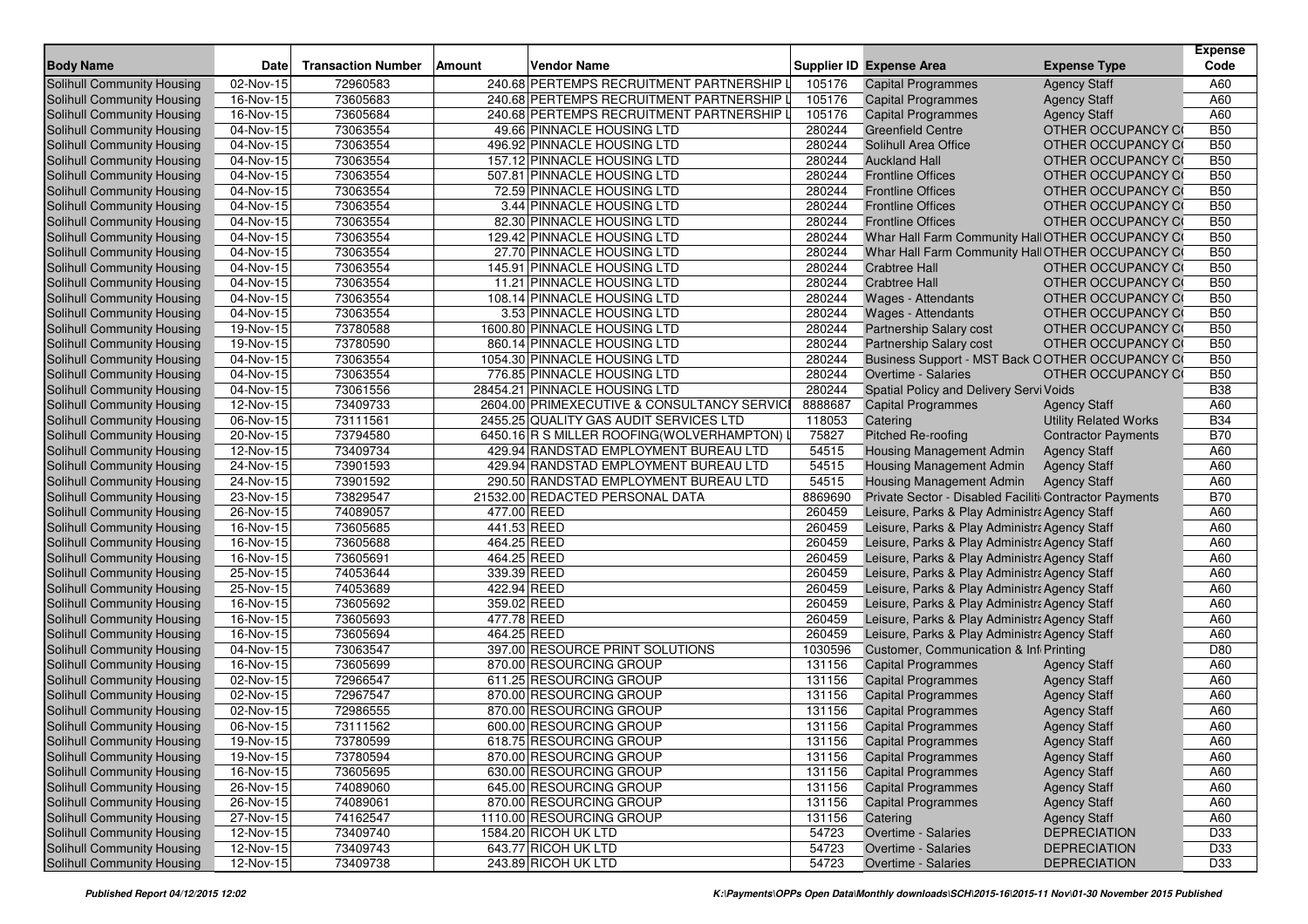| <b>Body Name</b>           | <b>Date</b>             | <b>Transaction Number</b> | Amount      | <b>Vendor Name</b>                         |         | <b>Supplier ID Expense Area</b>                        | <b>Expense Type</b>          | <b>Expense</b><br>Code |
|----------------------------|-------------------------|---------------------------|-------------|--------------------------------------------|---------|--------------------------------------------------------|------------------------------|------------------------|
| Solihull Community Housing | 02-Nov-15               | 72960583                  |             | 240.68 PERTEMPS RECRUITMENT PARTNERSHIP    | 105176  | <b>Capital Programmes</b>                              | <b>Agency Staff</b>          | A60                    |
| Solihull Community Housing | 16-Nov-15               | 73605683                  |             | 240.68 PERTEMPS RECRUITMENT PARTNERSHIP    | 105176  | <b>Capital Programmes</b>                              | <b>Agency Staff</b>          | A60                    |
| Solihull Community Housing | 16-Nov-15               | 73605684                  |             | 240.68 PERTEMPS RECRUITMENT PARTNERSHIP    | 105176  | <b>Capital Programmes</b>                              | <b>Agency Staff</b>          | A60                    |
| Solihull Community Housing | 04-Nov-15               | 73063554                  |             | 49.66 PINNACLE HOUSING LTD                 | 280244  | <b>Greenfield Centre</b>                               | OTHER OCCUPANCY CO           | <b>B50</b>             |
| Solihull Community Housing | 04-Nov-15               | 73063554                  |             | 496.92 PINNACLE HOUSING LTD                | 280244  | Solihull Area Office                                   | OTHER OCCUPANCY CO           | <b>B50</b>             |
| Solihull Community Housing | $\overline{04-N}$ ov-15 | 73063554                  |             | 157.12 PINNACLE HOUSING LTD                | 280244  | <b>Auckland Hall</b>                                   | OTHER OCCUPANCY CO           | <b>B50</b>             |
| Solihull Community Housing | 04-Nov-15               | 73063554                  |             | 507.81 PINNACLE HOUSING LTD                | 280244  | <b>Frontline Offices</b>                               | OTHER OCCUPANCY CO           | <b>B50</b>             |
| Solihull Community Housing | 04-Nov-15               | 73063554                  |             | 72.59 PINNACLE HOUSING LTD                 | 280244  | <b>Frontline Offices</b>                               | OTHER OCCUPANCY CO           | <b>B50</b>             |
| Solihull Community Housing | 04-Nov-15               | 73063554                  |             | 3.44 PINNACLE HOUSING LTD                  | 280244  | <b>Frontline Offices</b>                               | OTHER OCCUPANCY CO           | <b>B50</b>             |
| Solihull Community Housing | 04-Nov-15               | 73063554                  |             | 82.30 PINNACLE HOUSING LTD                 | 280244  | <b>Frontline Offices</b>                               | OTHER OCCUPANCY CO           | <b>B50</b>             |
| Solihull Community Housing | 04-Nov-15               | 73063554                  |             | 129.42 PINNACLE HOUSING LTD                | 280244  | Whar Hall Farm Community Hall OTHER OCCUPANCY CO       |                              | <b>B50</b>             |
| Solihull Community Housing | 04-Nov-15               | 73063554                  |             | 27.70 PINNACLE HOUSING LTD                 | 280244  | Whar Hall Farm Community Hall OTHER OCCUPANCY CO       |                              | <b>B50</b>             |
| Solihull Community Housing | 04-Nov-15               | 73063554                  |             | 145.91 PINNACLE HOUSING LTD                | 280244  | <b>Crabtree Hall</b>                                   | OTHER OCCUPANCY CO           | <b>B50</b>             |
| Solihull Community Housing | $\overline{04-Nov-15}$  | 73063554                  |             | 11.21 PINNACLE HOUSING LTD                 | 280244  | <b>Crabtree Hall</b>                                   | OTHER OCCUPANCY CO           | <b>B50</b>             |
| Solihull Community Housing | 04-Nov-15               | 73063554                  |             | 108.14 PINNACLE HOUSING LTD                | 280244  | Wages - Attendants                                     | OTHER OCCUPANCY CO           | <b>B50</b>             |
| Solihull Community Housing | 04-Nov-15               | 73063554                  |             | 3.53 PINNACLE HOUSING LTD                  | 280244  | <b>Wages - Attendants</b>                              | OTHER OCCUPANCY CO           | <b>B50</b>             |
| Solihull Community Housing | 19-Nov-15               | 73780588                  |             | 1600.80 PINNACLE HOUSING LTD               | 280244  | <b>Partnership Salary cost</b>                         | OTHER OCCUPANCY CO           | <b>B50</b>             |
| Solihull Community Housing | 19-Nov-15               | 73780590                  |             | 860.14 PINNACLE HOUSING LTD                | 280244  | Partnership Salary cost                                | OTHER OCCUPANCY CO           | <b>B50</b>             |
| Solihull Community Housing | 04-Nov-15               | 73063554                  |             | 1054.30 PINNACLE HOUSING LTD               | 280244  | Business Support - MST Back OOTHER OCCUPANCY CO        |                              | <b>B50</b>             |
| Solihull Community Housing | 04-Nov-15               | 73063554                  |             | 776.85 PINNACLE HOUSING LTD                | 280244  | Overtime - Salaries                                    | OTHER OCCUPANCY CO           | <b>B50</b>             |
| Solihull Community Housing | 04-Nov-15               | 73061556                  |             | 28454.21 PINNACLE HOUSING LTD              | 280244  | Spatial Policy and Delivery Servi Voids                |                              | <b>B38</b>             |
| Solihull Community Housing | 12-Nov-15               | 73409733                  |             | 2604.00 PRIMEXECUTIVE & CONSULTANCY SERVIC | 8888687 | <b>Capital Programmes</b>                              | <b>Agency Staff</b>          | A60                    |
| Solihull Community Housing | 06-Nov-15               | 73111561                  |             | 2455.25 QUALITY GAS AUDIT SERVICES LTD     | 118053  | Catering                                               | <b>Utility Related Works</b> | <b>B34</b>             |
| Solihull Community Housing | 20-Nov-15               | 73794580                  |             | 6450.16 R S MILLER ROOFING(WOLVERHAMPTON)  | 75827   | <b>Pitched Re-roofing</b>                              | <b>Contractor Payments</b>   | <b>B70</b>             |
| Solihull Community Housing | 12-Nov-15               | 73409734                  |             | 429.94 RANDSTAD EMPLOYMENT BUREAU LTD      | 54515   | Housing Management Admin                               | <b>Agency Staff</b>          | A60                    |
| Solihull Community Housing | 24-Nov-15               | 73901593                  |             | 429.94 RANDSTAD EMPLOYMENT BUREAU LTD      | 54515   | Housing Management Admin                               | <b>Agency Staff</b>          | A60                    |
| Solihull Community Housing | 24-Nov-15               | 73901592                  |             | 290.50 RANDSTAD EMPLOYMENT BUREAU LTD      | 54515   | Housing Management Admin                               | <b>Agency Staff</b>          | A60                    |
| Solihull Community Housing | 23-Nov-15               | 73829547                  |             | 21532.00 REDACTED PERSONAL DATA            | 8869690 | Private Sector - Disabled Faciliti Contractor Payments |                              | <b>B70</b>             |
| Solihull Community Housing | 26-Nov-15               | 74089057                  | 477.00 REED |                                            | 260459  | Leisure, Parks & Play Administra Agency Staff          |                              | A60                    |
| Solihull Community Housing | 16-Nov-15               | 73605685                  | 441.53 REED |                                            | 260459  | Leisure, Parks & Play Administra Agency Staff          |                              | A60                    |
| Solihull Community Housing | 16-Nov-15               | 73605688                  | 464.25 REED |                                            | 260459  | Leisure, Parks & Play Administra Agency Staff          |                              | A60                    |
| Solihull Community Housing | 16-Nov-15               | 73605691                  | 464.25 REED |                                            | 260459  | Leisure, Parks & Play Administra Agency Staff          |                              | A60                    |
| Solihull Community Housing | 25-Nov-15               | 74053644                  | 339.39 REED |                                            | 260459  | Leisure, Parks & Play Administra Agency Staff          |                              | A60                    |
| Solihull Community Housing | 25-Nov-15               | 74053689                  | 422.94 REED |                                            | 260459  | Leisure, Parks & Play Administra Agency Staff          |                              | A60                    |
| Solihull Community Housing | 16-Nov-15               | 73605692                  | 359.02 REED |                                            | 260459  | Leisure, Parks & Play Administra Agency Staff          |                              | A60                    |
| Solihull Community Housing | 16-Nov-15               | 73605693                  | 477.78 REED |                                            | 260459  | Leisure, Parks & Play Administra Agency Staff          |                              | A60                    |
| Solihull Community Housing | 16-Nov-15               | 73605694                  | 464.25 REED |                                            | 260459  | Leisure, Parks & Play Administra Agency Staff          |                              | A60                    |
| Solihull Community Housing | 04-Nov-15               | 73063547                  |             | 397.00 RESOURCE PRINT SOLUTIONS            | 1030596 | Customer, Communication & Inf Printing                 |                              | D80                    |
| Solihull Community Housing | 16-Nov-15               | 73605699                  |             | 870.00 RESOURCING GROUP                    | 131156  | <b>Capital Programmes</b>                              | <b>Agency Staff</b>          | A60                    |
| Solihull Community Housing | 02-Nov-15               | 72966547                  |             | 611.25 RESOURCING GROUP                    | 131156  | <b>Capital Programmes</b>                              | <b>Agency Staff</b>          | A60                    |
| Solihull Community Housing | 02-Nov-15               | 72967547                  |             | 870.00 RESOURCING GROUP                    | 131156  | <b>Capital Programmes</b>                              | <b>Agency Staff</b>          | A60                    |
| Solihull Community Housing | 02-Nov-15               | 72986555                  |             | 870.00 RESOURCING GROUP                    | 131156  | <b>Capital Programmes</b>                              | <b>Agency Staff</b>          | A60                    |
| Solihull Community Housing | 06-Nov-15               | 73111562                  |             | 600.00 RESOURCING GROUP                    | 131156  | <b>Capital Programmes</b>                              | <b>Agency Staff</b>          | A60                    |
| Solihull Community Housing | 19-Nov-15               | 73780599                  |             | 618.75 RESOURCING GROUP                    | 131156  | <b>Capital Programmes</b>                              | <b>Agency Staff</b>          | A60                    |
| Solihull Community Housing | 19-Nov-15               | 73780594                  |             | 870.00 RESOURCING GROUP                    | 131156  | <b>Capital Programmes</b>                              | <b>Agency Staff</b>          | A60                    |
| Solihull Community Housing | 16-Nov-15               | 73605695                  |             | 630.00 RESOURCING GROUP                    | 131156  | <b>Capital Programmes</b>                              | <b>Agency Staff</b>          | A60                    |
| Solihull Community Housing | 26-Nov-15               | 74089060                  |             | 645.00 RESOURCING GROUP                    | 131156  | <b>Capital Programmes</b>                              | <b>Agency Staff</b>          | A60                    |
| Solihull Community Housing | 26-Nov-15               | 74089061                  |             | 870.00 RESOURCING GROUP                    | 131156  | <b>Capital Programmes</b>                              | <b>Agency Staff</b>          | A60                    |
| Solihull Community Housing | 27-Nov-15               | 74162547                  |             | 1110.00 RESOURCING GROUP                   | 131156  | Catering                                               | <b>Agency Staff</b>          | A60                    |
| Solihull Community Housing | 12-Nov-15               | 73409740                  |             | 1584.20 RICOH UK LTD                       | 54723   | Overtime - Salaries                                    | <b>DEPRECIATION</b>          | D33                    |
| Solihull Community Housing | $12-Nov-15$             | 73409743                  |             | 643.77 RICOH UK LTD                        | 54723   | Overtime - Salaries                                    | <b>DEPRECIATION</b>          | D33                    |
| Solihull Community Housing | 12-Nov-15               | 73409738                  |             | 243.89 RICOH UK LTD                        | 54723   | Overtime - Salaries                                    | <b>DEPRECIATION</b>          | D33                    |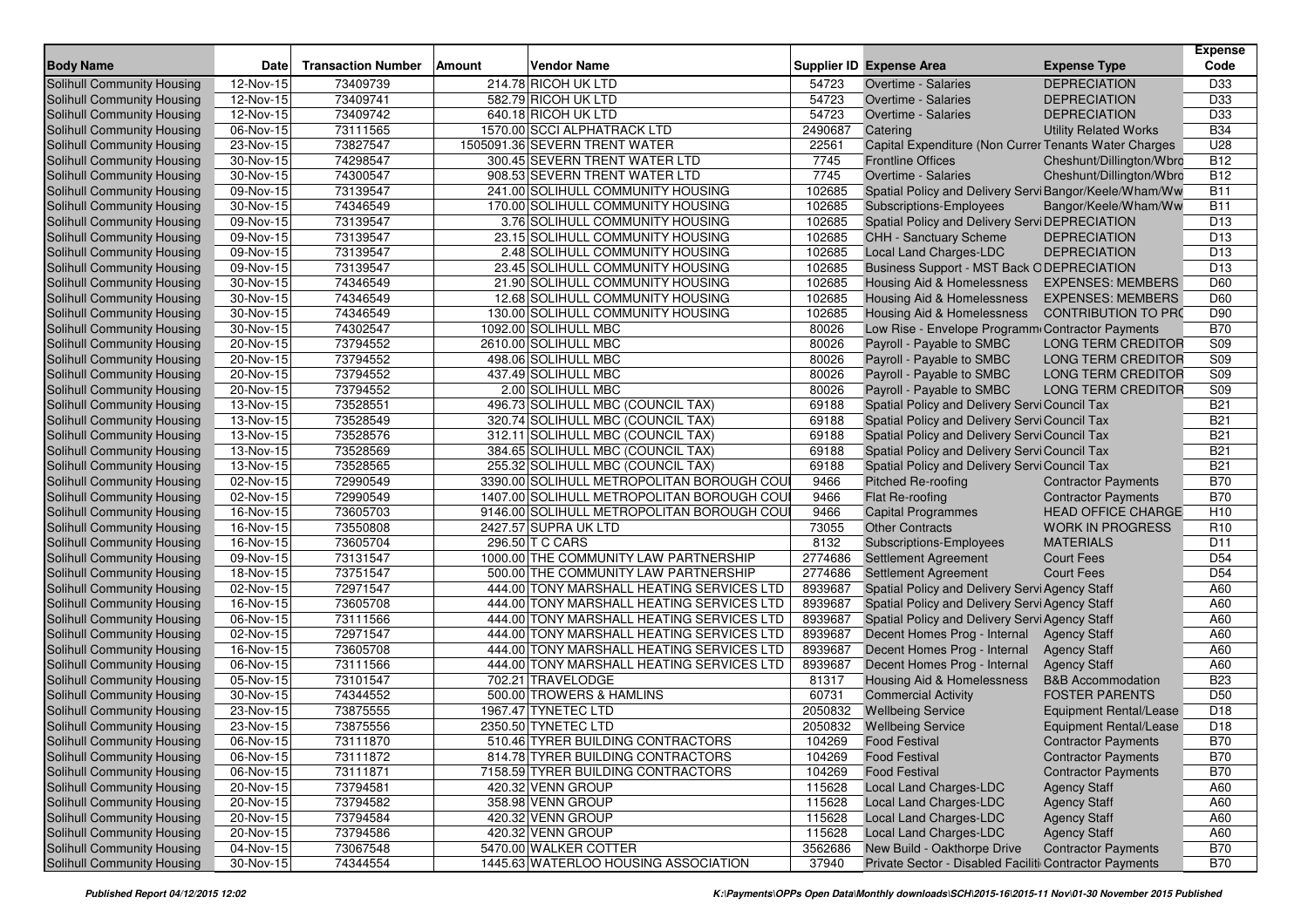| <b>Body Name</b>                                         | <b>Date</b>             | <b>Transaction Number</b> | Amount | <b>Vendor Name</b>                                       |                  | <b>Supplier ID Expense Area</b>                         | <b>Expense Type</b>                        | <b>Expense</b><br>Code |
|----------------------------------------------------------|-------------------------|---------------------------|--------|----------------------------------------------------------|------------------|---------------------------------------------------------|--------------------------------------------|------------------------|
| Solihull Community Housing                               | 12-Nov-15               | 73409739                  |        | 214.78 RICOH UK LTD                                      | 54723            | Overtime - Salaries                                     | <b>DEPRECIATION</b>                        | D33                    |
| <b>Solihull Community Housing</b>                        | 12-Nov-15               | 73409741                  |        | 582.79 RICOH UK LTD                                      | 54723            | Overtime - Salaries                                     | <b>DEPRECIATION</b>                        | D33                    |
| Solihull Community Housing                               | $\overline{12}$ -Nov-15 | 73409742                  |        | 640.18 RICOH UK LTD                                      | 54723            | <b>Overtime - Salaries</b>                              | <b>DEPRECIATION</b>                        | D33                    |
| Solihull Community Housing                               | 06-Nov-15               | 73111565                  |        | 1570.00 SCCI ALPHATRACK LTD                              | 2490687          | Catering                                                | <b>Utility Related Works</b>               | <b>B34</b>             |
| Solihull Community Housing                               | 23-Nov-15               | 73827547                  |        | 1505091.36 SEVERN TRENT WATER                            | 22561            | Capital Expenditure (Non Currer Tenants Water Charges   |                                            | U28                    |
| Solihull Community Housing                               | 30-Nov-15               | 74298547                  |        | 300.45 SEVERN TRENT WATER LTD                            | 7745             | <b>Frontline Offices</b>                                | Cheshunt/Dillington/Wbrc                   | <b>B12</b>             |
| Solihull Community Housing                               | 30-Nov-15               | 74300547                  |        | 908.53 SEVERN TRENT WATER LTD                            | 7745             | Overtime - Salaries                                     | Cheshunt/Dillington/Wbrc                   | <b>B12</b>             |
| Solihull Community Housing                               | 09-Nov-15               | 73139547                  |        | 241.00 SOLIHULL COMMUNITY HOUSING                        | 102685           | Spatial Policy and Delivery Servi Bangor/Keele/Wham/Ww  |                                            | <b>B11</b>             |
| Solihull Community Housing                               | 30-Nov-15               | 74346549                  |        | 170.00 SOLIHULL COMMUNITY HOUSING                        | 102685           | <b>Subscriptions-Employees</b>                          | Bangor/Keele/Wham/Ww                       | <b>B11</b>             |
| Solihull Community Housing                               | 09-Nov-15               | 73139547                  |        | 3.76 SOLIHULL COMMUNITY HOUSING                          | 102685           | Spatial Policy and Delivery Servi DEPRECIATION          |                                            | D <sub>13</sub>        |
| Solihull Community Housing                               | 09-Nov-15               | 73139547                  |        | 23.15 SOLIHULL COMMUNITY HOUSING                         | 102685           | <b>CHH - Sanctuary Scheme</b>                           | <b>DEPRECIATION</b>                        | D <sub>13</sub>        |
| Solihull Community Housing                               | 09-Nov-15               | 73139547                  |        | 2.48 SOLIHULL COMMUNITY HOUSING                          | 102685           | Local Land Charges-LDC                                  | <b>DEPRECIATION</b>                        | D <sub>13</sub>        |
| Solihull Community Housing                               | 09-Nov-15               | 73139547                  |        | 23.45 SOLIHULL COMMUNITY HOUSING                         | 102685           | <b>Business Support - MST Back ODEPRECIATION</b>        |                                            | D <sub>13</sub>        |
| Solihull Community Housing                               | 30-Nov-15               | 74346549                  |        | 21.90 SOLIHULL COMMUNITY HOUSING                         | 102685           | <b>Housing Aid &amp; Homelessness</b>                   | <b>EXPENSES: MEMBERS</b>                   | D60                    |
| Solihull Community Housing                               | 30-Nov-15               | 74346549                  |        | 12.68 SOLIHULL COMMUNITY HOUSING                         | 102685           | <b>Housing Aid &amp; Homelessness</b>                   | <b>EXPENSES: MEMBERS</b>                   | D60                    |
| Solihull Community Housing                               | 30-Nov-15               | 74346549                  |        | 130.00 SOLIHULL COMMUNITY HOUSING                        | 102685           | <b>Housing Aid &amp; Homelessness</b>                   | <b>CONTRIBUTION TO PRO</b>                 | D90                    |
| Solihull Community Housing                               | 30-Nov-15               | 74302547                  |        | 1092.00 SOLIHULL MBC                                     | 80026            | Low Rise - Envelope Programm Contractor Payments        |                                            | <b>B70</b>             |
| Solihull Community Housing                               | 20-Nov-15               | 73794552                  |        | 2610.00 SOLIHULL MBC                                     | 80026            | Payroll - Payable to SMBC                               | <b>LONG TERM CREDITOR</b>                  | S09                    |
| Solihull Community Housing                               | 20-Nov-15               | 73794552                  |        | 498.06 SOLIHULL MBC                                      | 80026            | Payroll - Payable to SMBC                               | <b>LONG TERM CREDITOR</b>                  | S09                    |
| Solihull Community Housing                               | 20-Nov-15               | 73794552                  |        | 437.49 SOLIHULL MBC                                      | 80026            | Payroll - Payable to SMBC                               | <b>LONG TERM CREDITOR</b>                  | S09                    |
| Solihull Community Housing                               | 20-Nov-15               | 73794552                  |        | 2.00 SOLIHULL MBC                                        | 80026            | Payroll - Payable to SMBC                               | <b>LONG TERM CREDITOR</b>                  | S09                    |
| Solihull Community Housing                               | 13-Nov-15               | 73528551                  |        | 496.73 SOLIHULL MBC (COUNCIL TAX)                        | 69188            | Spatial Policy and Delivery Servi Council Tax           |                                            | <b>B21</b>             |
| Solihull Community Housing                               | 13-Nov-15               | 73528549                  |        | 320.74 SOLIHULL MBC (COUNCIL TAX)                        | 69188            | Spatial Policy and Delivery Servi Council Tax           |                                            | <b>B21</b>             |
| Solihull Community Housing                               | 13-Nov-15               | 73528576                  |        | 312.11 SOLIHULL MBC (COUNCIL TAX)                        | 69188            | Spatial Policy and Delivery Servi Council Tax           |                                            | <b>B21</b>             |
| Solihull Community Housing                               | 13-Nov-15               | 73528569                  |        | 384.65 SOLIHULL MBC (COUNCIL TAX)                        | 69188            | Spatial Policy and Delivery Servi Council Tax           |                                            | <b>B21</b>             |
| Solihull Community Housing                               | $\overline{13}$ -Nov-15 | 73528565                  |        | 255.32 SOLIHULL MBC (COUNCIL TAX)                        | 69188            | Spatial Policy and Delivery Servi Council Tax           |                                            | <b>B21</b>             |
| Solihull Community Housing                               | 02-Nov-15               | 72990549                  |        | 3390.00 SOLIHULL METROPOLITAN BOROUGH COU                | 9466             | <b>Pitched Re-roofing</b>                               | <b>Contractor Payments</b>                 | <b>B70</b>             |
| Solihull Community Housing                               | 02-Nov-15               | 72990549                  |        | 1407.00 SOLIHULL METROPOLITAN BOROUGH COU                | 9466             | Flat Re-roofing                                         | <b>Contractor Payments</b>                 | <b>B70</b>             |
| Solihull Community Housing                               | 16-Nov-15               | 73605703                  |        | 9146.00 SOLIHULL METROPOLITAN BOROUGH COU                | 9466             | <b>Capital Programmes</b>                               | <b>HEAD OFFICE CHARGE</b>                  | H <sub>10</sub>        |
| Solihull Community Housing                               | 16-Nov-15               | 73550808                  |        | 2427.57 SUPRA UK LTD                                     | 73055            | <b>Other Contracts</b>                                  | <b>WORK IN PROGRESS</b>                    | R <sub>10</sub>        |
| Solihull Community Housing                               | 16-Nov-15               | 73605704                  |        | 296.50 T C CARS                                          | 8132             | <b>Subscriptions-Employees</b>                          | <b>MATERIALS</b>                           | D <sub>11</sub>        |
| Solihull Community Housing                               | $\overline{0}9-Nov-15$  | 73131547                  |        | 1000.00 THE COMMUNITY LAW PARTNERSHIP                    | 2774686          | Settlement Agreement                                    | <b>Court Fees</b>                          | D <sub>54</sub>        |
| Solihull Community Housing                               | 18-Nov-15               | 73751547                  |        | 500.00 THE COMMUNITY LAW PARTNERSHIP                     | 2774686          | Settlement Agreement                                    | <b>Court Fees</b>                          | D <sub>54</sub>        |
| Solihull Community Housing                               | 02-Nov-15               | 72971547                  |        | 444.00 TONY MARSHALL HEATING SERVICES LTD                | 8939687          | Spatial Policy and Delivery Servi Agency Staff          |                                            | A60                    |
| Solihull Community Housing                               | 16-Nov-15               | 73605708                  |        | 444.00 TONY MARSHALL HEATING SERVICES LTD                | 8939687          | Spatial Policy and Delivery Servi Agency Staff          |                                            | A60                    |
| Solihull Community Housing                               | 06-Nov-15               | 73111566                  |        | 444.00 TONY MARSHALL HEATING SERVICES LTD                | 8939687          | Spatial Policy and Delivery Servi Agency Staff          |                                            | A60                    |
| Solihull Community Housing                               | 02-Nov-15               | 72971547                  |        | 444.00 TONY MARSHALL HEATING SERVICES LTD                | 8939687          | Decent Homes Prog - Internal                            | <b>Agency Staff</b>                        | A60                    |
| Solihull Community Housing                               | 16-Nov-15               | 73605708                  |        | 444.00 TONY MARSHALL HEATING SERVICES LTD                | 8939687          | Decent Homes Prog - Internal                            | <b>Agency Staff</b>                        | A60                    |
| Solihull Community Housing                               | 06-Nov-15               | 73111566                  |        | 444.00 TONY MARSHALL HEATING SERVICES LTD                | 8939687          | Decent Homes Prog - Internal                            | <b>Agency Staff</b>                        | A60                    |
| Solihull Community Housing                               | 05-Nov-15               | 73101547                  |        | 702.21 TRAVELODGE                                        | 81317            | <b>Housing Aid &amp; Homelessness</b>                   | <b>B&amp;B</b> Accommodation               | <b>B23</b>             |
| Solihull Community Housing                               | 30-Nov-15               | 74344552                  |        | 500.00 TROWERS & HAMLINS                                 | 60731            | <b>Commercial Activity</b>                              | <b>FOSTER PARENTS</b>                      | D <sub>50</sub>        |
| Solihull Community Housing                               | 23-Nov-15               | 73875555                  |        | 1967.47 TYNETEC LTD                                      | 2050832          | <b>Wellbeing Service</b>                                | <b>Equipment Rental/Lease</b>              | D <sub>18</sub>        |
| Solihull Community Housing                               | 23-Nov-15               | 73875556                  |        | 2350.50 TYNETEC LTD<br>510.46 TYRER BUILDING CONTRACTORS | 2050832          | <b>Wellbeing Service</b>                                | Equipment Rental/Lease                     | D <sub>18</sub>        |
| Solihull Community Housing                               | 06-Nov-15               | 73111870                  |        |                                                          | 104269           | <b>Food Festival</b>                                    | <b>Contractor Payments</b>                 | <b>B70</b>             |
| Solihull Community Housing                               | 06-Nov-15               | 73111872<br>73111871      |        | 814.78 TYRER BUILDING CONTRACTORS                        | 104269           | <b>Food Festival</b><br><b>Food Festival</b>            | <b>Contractor Payments</b>                 | <b>B70</b>             |
| Solihull Community Housing<br>Solihull Community Housing | 06-Nov-15<br>20-Nov-15  |                           |        | 7158.59 TYRER BUILDING CONTRACTORS                       | 104269           |                                                         | <b>Contractor Payments</b>                 | <b>B70</b>             |
|                                                          |                         | 73794581                  |        | 420.32 VENN GROUP<br>358.98 VENN GROUP                   | 115628<br>115628 | Local Land Charges-LDC                                  | <b>Agency Staff</b>                        | A60                    |
| Solihull Community Housing<br>Solihull Community Housing | 20-Nov-15<br>20-Nov-15  | 73794582<br>73794584      |        | 420.32 VENN GROUP                                        | 115628           | <b>Local Land Charges-LDC</b><br>Local Land Charges-LDC | <b>Agency Staff</b>                        | A60<br>A60             |
| Solihull Community Housing                               | 20-Nov-15               | 73794586                  |        | 420.32 VENN GROUP                                        | 115628           | Local Land Charges-LDC                                  | <b>Agency Staff</b><br><b>Agency Staff</b> | A60                    |
| Solihull Community Housing                               | 04-Nov-15               | 73067548                  |        | 5470.00 WALKER COTTER                                    | 3562686          | New Build - Oakthorpe Drive                             | <b>Contractor Payments</b>                 | <b>B70</b>             |
|                                                          |                         |                           |        |                                                          |                  |                                                         |                                            |                        |
| Solihull Community Housing                               | 30-Nov-15               | 74344554                  |        | 1445.63 WATERLOO HOUSING ASSOCIATION                     | 37940            | Private Sector - Disabled Faciliti Contractor Payments  |                                            | <b>B70</b>             |